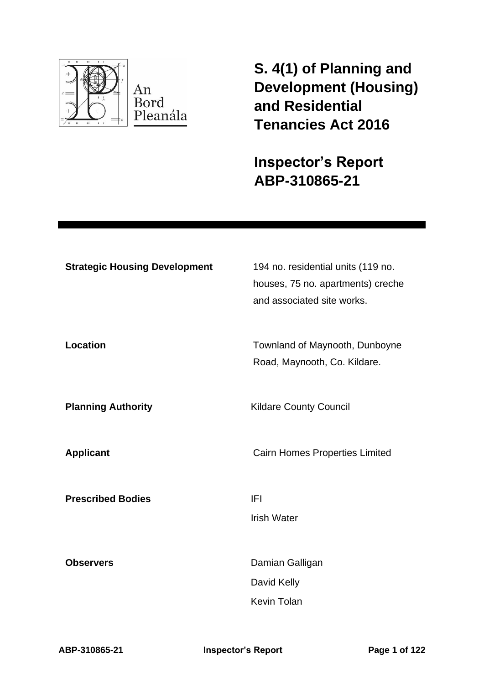

**S. 4(1) of Planning and Development (Housing) and Residential Tenancies Act 2016** 

**Inspector's Report ABP-310865-21**

| <b>Strategic Housing Development</b> | 194 no. residential units (119 no.<br>houses, 75 no. apartments) creche<br>and associated site works. |
|--------------------------------------|-------------------------------------------------------------------------------------------------------|
| <b>Location</b>                      | Townland of Maynooth, Dunboyne<br>Road, Maynooth, Co. Kildare.                                        |
| <b>Planning Authority</b>            | <b>Kildare County Council</b>                                                                         |
| <b>Applicant</b>                     | <b>Cairn Homes Properties Limited</b>                                                                 |
| <b>Prescribed Bodies</b>             | <b>IFI</b><br><b>Irish Water</b>                                                                      |
| <b>Observers</b>                     | Damian Galligan<br>David Kelly<br><b>Kevin Tolan</b>                                                  |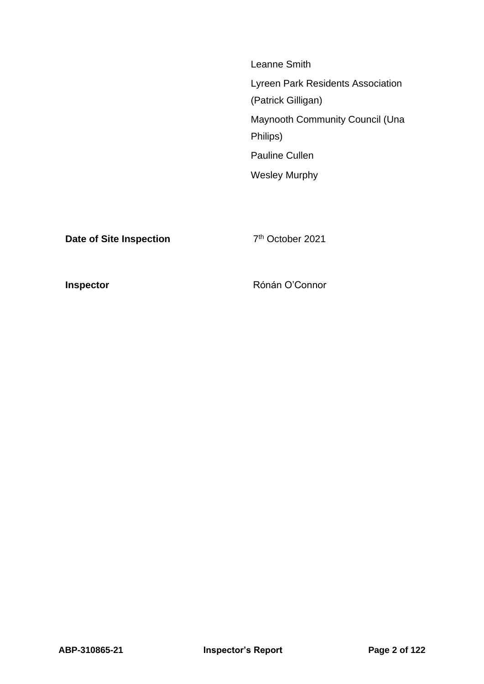Leanne Smith Lyreen Park Residents Association (Patrick Gilligan) Maynooth Community Council (Una Philips) Pauline Cullen Wesley Murphy

**Date of Site Inspection** 

7<sup>th</sup> October 2021

**Inspector Connor** Rónán O'Connor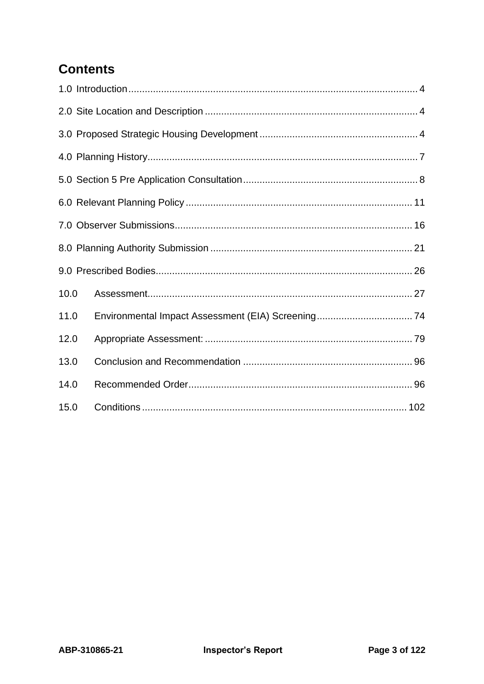# **Contents**

| 10.0 |  |  |  |  |  |  |  |
|------|--|--|--|--|--|--|--|
| 11.0 |  |  |  |  |  |  |  |
| 12.0 |  |  |  |  |  |  |  |
| 13.0 |  |  |  |  |  |  |  |
| 14.0 |  |  |  |  |  |  |  |
| 15.0 |  |  |  |  |  |  |  |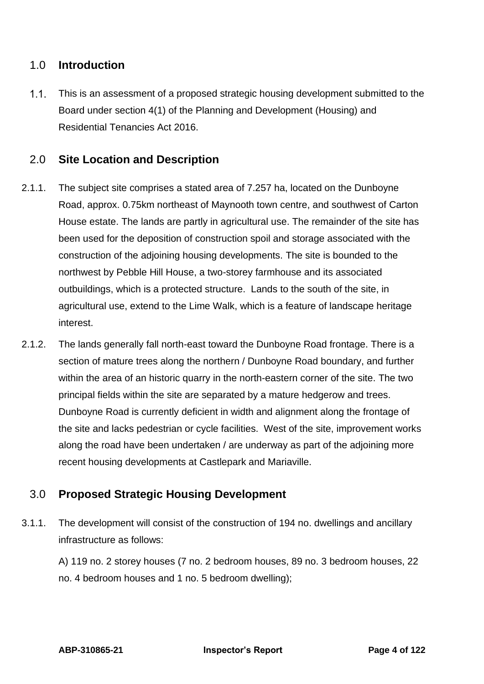## <span id="page-3-0"></span>1.0 **Introduction**

 $1.1.$ This is an assessment of a proposed strategic housing development submitted to the Board under section 4(1) of the Planning and Development (Housing) and Residential Tenancies Act 2016.

## <span id="page-3-1"></span>2.0 **Site Location and Description**

- 2.1.1. The subject site comprises a stated area of 7.257 ha, located on the Dunboyne Road, approx. 0.75km northeast of Maynooth town centre, and southwest of Carton House estate. The lands are partly in agricultural use. The remainder of the site has been used for the deposition of construction spoil and storage associated with the construction of the adjoining housing developments. The site is bounded to the northwest by Pebble Hill House, a two-storey farmhouse and its associated outbuildings, which is a protected structure. Lands to the south of the site, in agricultural use, extend to the Lime Walk, which is a feature of landscape heritage interest.
- 2.1.2. The lands generally fall north-east toward the Dunboyne Road frontage. There is a section of mature trees along the northern / Dunboyne Road boundary, and further within the area of an historic quarry in the north-eastern corner of the site. The two principal fields within the site are separated by a mature hedgerow and trees. Dunboyne Road is currently deficient in width and alignment along the frontage of the site and lacks pedestrian or cycle facilities. West of the site, improvement works along the road have been undertaken / are underway as part of the adjoining more recent housing developments at Castlepark and Mariaville.

## <span id="page-3-2"></span>3.0 **Proposed Strategic Housing Development**

3.1.1. The development will consist of the construction of 194 no. dwellings and ancillary infrastructure as follows:

A) 119 no. 2 storey houses (7 no. 2 bedroom houses, 89 no. 3 bedroom houses, 22 no. 4 bedroom houses and 1 no. 5 bedroom dwelling);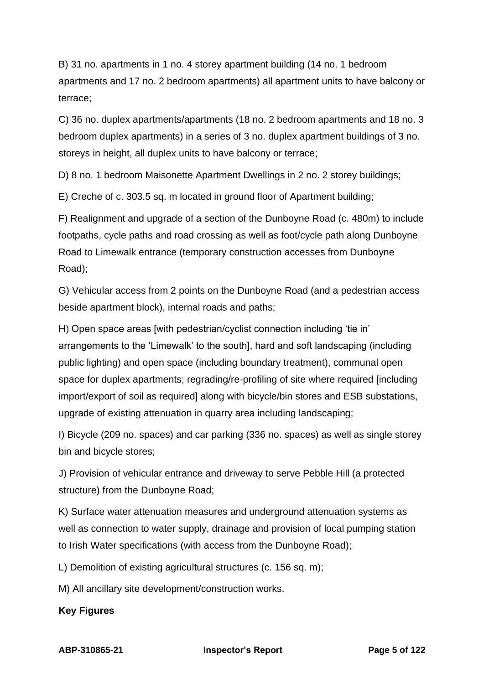B) 31 no. apartments in 1 no. 4 storey apartment building (14 no. 1 bedroom apartments and 17 no. 2 bedroom apartments) all apartment units to have balcony or terrace;

C) 36 no. duplex apartments/apartments (18 no. 2 bedroom apartments and 18 no. 3 bedroom duplex apartments) in a series of 3 no. duplex apartment buildings of 3 no. storeys in height, all duplex units to have balcony or terrace;

D) 8 no. 1 bedroom Maisonette Apartment Dwellings in 2 no. 2 storey buildings;

E) Creche of c. 303.5 sq. m located in ground floor of Apartment building;

F) Realignment and upgrade of a section of the Dunboyne Road (c. 480m) to include footpaths, cycle paths and road crossing as well as foot/cycle path along Dunboyne Road to Limewalk entrance (temporary construction accesses from Dunboyne Road);

G) Vehicular access from 2 points on the Dunboyne Road (and a pedestrian access beside apartment block), internal roads and paths;

H) Open space areas [with pedestrian/cyclist connection including 'tie in' arrangements to the 'Limewalk' to the south], hard and soft landscaping (including public lighting) and open space (including boundary treatment), communal open space for duplex apartments; regrading/re-profiling of site where required lincluding import/export of soil as required] along with bicycle/bin stores and ESB substations, upgrade of existing attenuation in quarry area including landscaping;

I) Bicycle (209 no. spaces) and car parking (336 no. spaces) as well as single storey bin and bicycle stores;

J) Provision of vehicular entrance and driveway to serve Pebble Hill (a protected structure) from the Dunboyne Road;

K) Surface water attenuation measures and underground attenuation systems as well as connection to water supply, drainage and provision of local pumping station to Irish Water specifications (with access from the Dunboyne Road);

L) Demolition of existing agricultural structures (c. 156 sq. m);

M) All ancillary site development/construction works.

**Key Figures**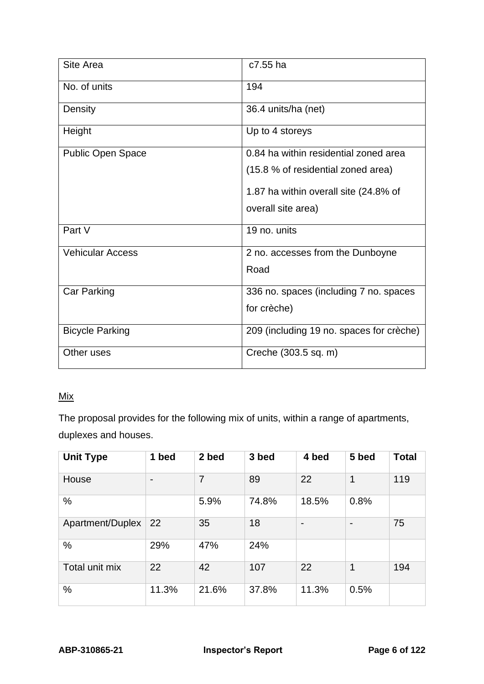| Site Area                | c7.55 ha                                 |
|--------------------------|------------------------------------------|
| No. of units             | 194                                      |
| Density                  | 36.4 units/ha (net)                      |
| Height                   | Up to 4 storeys                          |
| <b>Public Open Space</b> | 0.84 ha within residential zoned area    |
|                          | (15.8 % of residential zoned area)       |
|                          | 1.87 ha within overall site (24.8% of    |
|                          | overall site area)                       |
| Part V                   | 19 no. units                             |
| <b>Vehicular Access</b>  | 2 no. accesses from the Dunboyne         |
|                          | Road                                     |
| <b>Car Parking</b>       | 336 no. spaces (including 7 no. spaces   |
|                          | for crèche)                              |
| <b>Bicycle Parking</b>   | 209 (including 19 no. spaces for crèche) |
| Other uses               | Creche (303.5 sq. m)                     |

## Mix

The proposal provides for the following mix of units, within a range of apartments, duplexes and houses.

| <b>Unit Type</b> | 1 bed | 2 bed | 3 bed | 4 bed                    | 5 bed                    | <b>Total</b> |
|------------------|-------|-------|-------|--------------------------|--------------------------|--------------|
| House            | -     | 7     | 89    | 22                       | 1                        | 119          |
| %                |       | 5.9%  | 74.8% | 18.5%                    | 0.8%                     |              |
| Apartment/Duplex | 22    | 35    | 18    | $\overline{\phantom{0}}$ | $\overline{\phantom{0}}$ | 75           |
| %                | 29%   | 47%   | 24%   |                          |                          |              |
| Total unit mix   | 22    | 42    | 107   | 22                       | 1                        | 194          |
| $\%$             | 11.3% | 21.6% | 37.8% | 11.3%                    | 0.5%                     |              |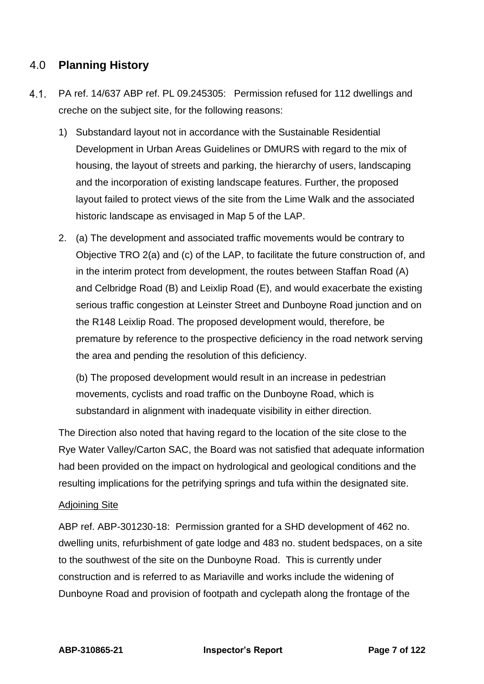## <span id="page-6-0"></span>4.0 **Planning History**

- $4.1.$ PA ref. 14/637 ABP ref. PL 09.245305: Permission refused for 112 dwellings and creche on the subject site, for the following reasons:
	- 1) Substandard layout not in accordance with the Sustainable Residential Development in Urban Areas Guidelines or DMURS with regard to the mix of housing, the layout of streets and parking, the hierarchy of users, landscaping and the incorporation of existing landscape features. Further, the proposed layout failed to protect views of the site from the Lime Walk and the associated historic landscape as envisaged in Map 5 of the LAP.
	- 2. (a) The development and associated traffic movements would be contrary to Objective TRO 2(a) and (c) of the LAP, to facilitate the future construction of, and in the interim protect from development, the routes between Staffan Road (A) and Celbridge Road (B) and Leixlip Road (E), and would exacerbate the existing serious traffic congestion at Leinster Street and Dunboyne Road junction and on the R148 Leixlip Road. The proposed development would, therefore, be premature by reference to the prospective deficiency in the road network serving the area and pending the resolution of this deficiency.

(b) The proposed development would result in an increase in pedestrian movements, cyclists and road traffic on the Dunboyne Road, which is substandard in alignment with inadequate visibility in either direction.

The Direction also noted that having regard to the location of the site close to the Rye Water Valley/Carton SAC, the Board was not satisfied that adequate information had been provided on the impact on hydrological and geological conditions and the resulting implications for the petrifying springs and tufa within the designated site.

#### Adjoining Site

ABP ref. ABP-301230-18: Permission granted for a SHD development of 462 no. dwelling units, refurbishment of gate lodge and 483 no. student bedspaces, on a site to the southwest of the site on the Dunboyne Road. This is currently under construction and is referred to as Mariaville and works include the widening of Dunboyne Road and provision of footpath and cyclepath along the frontage of the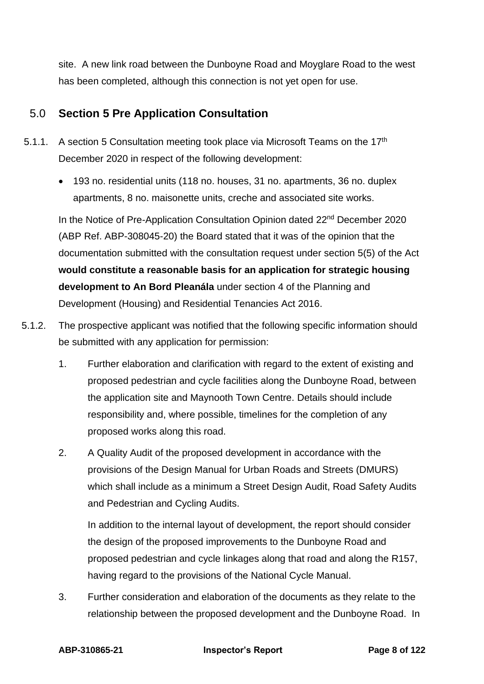site. A new link road between the Dunboyne Road and Moyglare Road to the west has been completed, although this connection is not yet open for use.

## <span id="page-7-0"></span>5.0 **Section 5 Pre Application Consultation**

- 5.1.1. A section 5 Consultation meeting took place via Microsoft Teams on the  $17<sup>th</sup>$ December 2020 in respect of the following development:
	- 193 no. residential units (118 no. houses, 31 no. apartments, 36 no. duplex apartments, 8 no. maisonette units, creche and associated site works.

In the Notice of Pre-Application Consultation Opinion dated 22nd December 2020 (ABP Ref. ABP-308045-20) the Board stated that it was of the opinion that the documentation submitted with the consultation request under section 5(5) of the Act **would constitute a reasonable basis for an application for strategic housing development to An Bord Pleanála** under section 4 of the Planning and Development (Housing) and Residential Tenancies Act 2016.

- 5.1.2. The prospective applicant was notified that the following specific information should be submitted with any application for permission:
	- 1. Further elaboration and clarification with regard to the extent of existing and proposed pedestrian and cycle facilities along the Dunboyne Road, between the application site and Maynooth Town Centre. Details should include responsibility and, where possible, timelines for the completion of any proposed works along this road.
	- 2. A Quality Audit of the proposed development in accordance with the provisions of the Design Manual for Urban Roads and Streets (DMURS) which shall include as a minimum a Street Design Audit, Road Safety Audits and Pedestrian and Cycling Audits.

In addition to the internal layout of development, the report should consider the design of the proposed improvements to the Dunboyne Road and proposed pedestrian and cycle linkages along that road and along the R157, having regard to the provisions of the National Cycle Manual.

3. Further consideration and elaboration of the documents as they relate to the relationship between the proposed development and the Dunboyne Road. In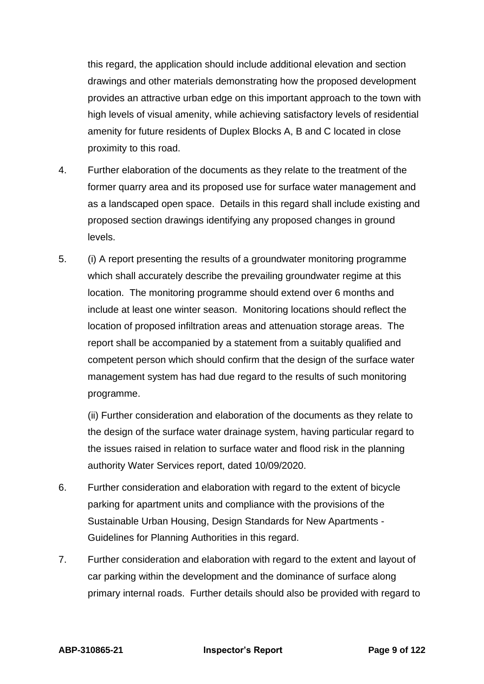this regard, the application should include additional elevation and section drawings and other materials demonstrating how the proposed development provides an attractive urban edge on this important approach to the town with high levels of visual amenity, while achieving satisfactory levels of residential amenity for future residents of Duplex Blocks A, B and C located in close proximity to this road.

- 4. Further elaboration of the documents as they relate to the treatment of the former quarry area and its proposed use for surface water management and as a landscaped open space. Details in this regard shall include existing and proposed section drawings identifying any proposed changes in ground levels.
- 5. (i) A report presenting the results of a groundwater monitoring programme which shall accurately describe the prevailing groundwater regime at this location. The monitoring programme should extend over 6 months and include at least one winter season. Monitoring locations should reflect the location of proposed infiltration areas and attenuation storage areas. The report shall be accompanied by a statement from a suitably qualified and competent person which should confirm that the design of the surface water management system has had due regard to the results of such monitoring programme.

(ii) Further consideration and elaboration of the documents as they relate to the design of the surface water drainage system, having particular regard to the issues raised in relation to surface water and flood risk in the planning authority Water Services report, dated 10/09/2020.

- 6. Further consideration and elaboration with regard to the extent of bicycle parking for apartment units and compliance with the provisions of the Sustainable Urban Housing, Design Standards for New Apartments - Guidelines for Planning Authorities in this regard.
- 7. Further consideration and elaboration with regard to the extent and layout of car parking within the development and the dominance of surface along primary internal roads. Further details should also be provided with regard to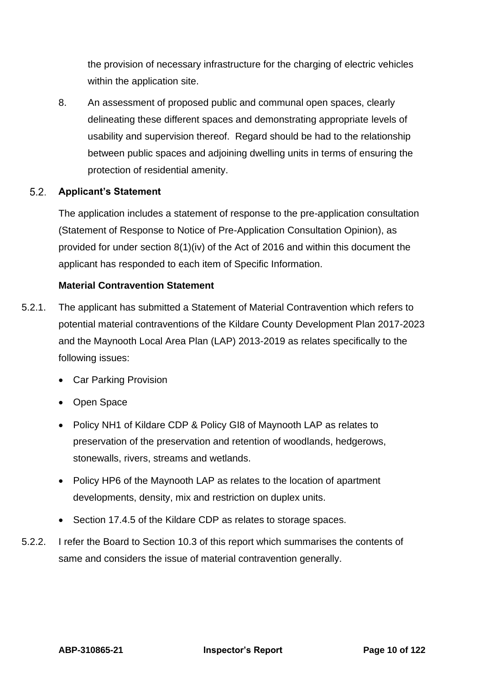the provision of necessary infrastructure for the charging of electric vehicles within the application site.

8. An assessment of proposed public and communal open spaces, clearly delineating these different spaces and demonstrating appropriate levels of usability and supervision thereof. Regard should be had to the relationship between public spaces and adjoining dwelling units in terms of ensuring the protection of residential amenity.

#### $5.2.$ **Applicant's Statement**

The application includes a statement of response to the pre-application consultation (Statement of Response to Notice of Pre-Application Consultation Opinion), as provided for under section 8(1)(iv) of the Act of 2016 and within this document the applicant has responded to each item of Specific Information.

#### **Material Contravention Statement**

- 5.2.1. The applicant has submitted a Statement of Material Contravention which refers to potential material contraventions of the Kildare County Development Plan 2017-2023 and the Maynooth Local Area Plan (LAP) 2013-2019 as relates specifically to the following issues:
	- Car Parking Provision
	- Open Space
	- Policy NH1 of Kildare CDP & Policy GI8 of Maynooth LAP as relates to preservation of the preservation and retention of woodlands, hedgerows, stonewalls, rivers, streams and wetlands.
	- Policy HP6 of the Maynooth LAP as relates to the location of apartment developments, density, mix and restriction on duplex units.
	- Section 17.4.5 of the Kildare CDP as relates to storage spaces.
- 5.2.2. I refer the Board to Section 10.3 of this report which summarises the contents of same and considers the issue of material contravention generally.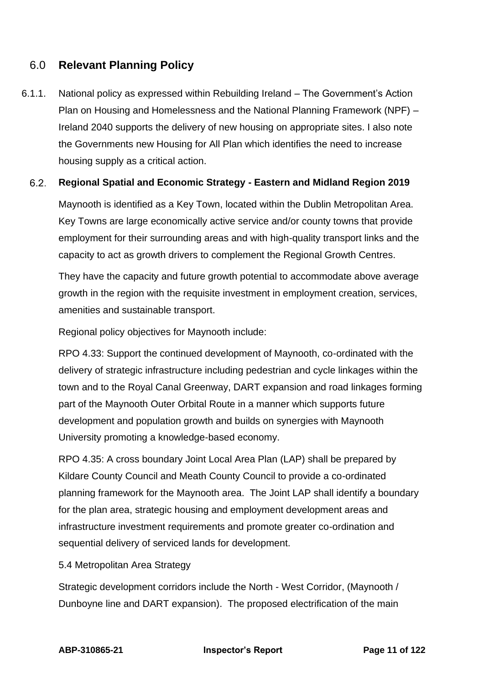## <span id="page-10-0"></span>6.0 **Relevant Planning Policy**

6.1.1. National policy as expressed within Rebuilding Ireland – The Government's Action Plan on Housing and Homelessness and the National Planning Framework (NPF) – Ireland 2040 supports the delivery of new housing on appropriate sites. I also note the Governments new Housing for All Plan which identifies the need to increase housing supply as a critical action.

#### $6.2.$ **Regional Spatial and Economic Strategy - Eastern and Midland Region 2019**

Maynooth is identified as a Key Town, located within the Dublin Metropolitan Area. Key Towns are large economically active service and/or county towns that provide employment for their surrounding areas and with high-quality transport links and the capacity to act as growth drivers to complement the Regional Growth Centres.

They have the capacity and future growth potential to accommodate above average growth in the region with the requisite investment in employment creation, services, amenities and sustainable transport.

Regional policy objectives for Maynooth include:

RPO 4.33: Support the continued development of Maynooth, co-ordinated with the delivery of strategic infrastructure including pedestrian and cycle linkages within the town and to the Royal Canal Greenway, DART expansion and road linkages forming part of the Maynooth Outer Orbital Route in a manner which supports future development and population growth and builds on synergies with Maynooth University promoting a knowledge-based economy.

RPO 4.35: A cross boundary Joint Local Area Plan (LAP) shall be prepared by Kildare County Council and Meath County Council to provide a co-ordinated planning framework for the Maynooth area. The Joint LAP shall identify a boundary for the plan area, strategic housing and employment development areas and infrastructure investment requirements and promote greater co-ordination and sequential delivery of serviced lands for development.

#### 5.4 Metropolitan Area Strategy

Strategic development corridors include the North - West Corridor, (Maynooth / Dunboyne line and DART expansion). The proposed electrification of the main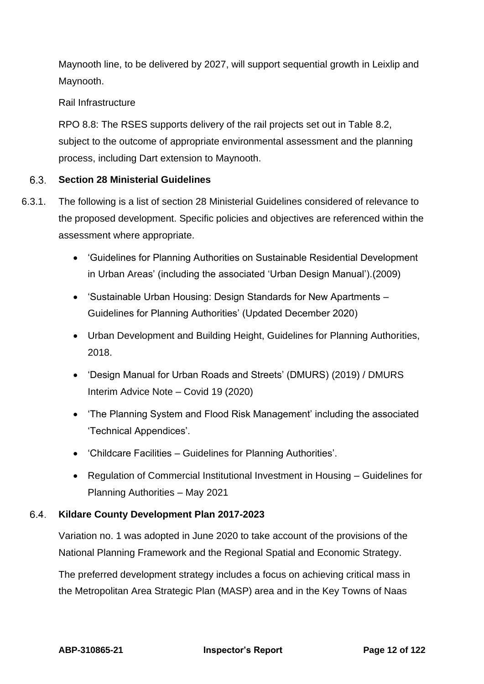Maynooth line, to be delivered by 2027, will support sequential growth in Leixlip and Maynooth.

### Rail Infrastructure

RPO 8.8: The RSES supports delivery of the rail projects set out in Table 8.2, subject to the outcome of appropriate environmental assessment and the planning process, including Dart extension to Maynooth.

#### $6.3.$ **Section 28 Ministerial Guidelines**

- 6.3.1. The following is a list of section 28 Ministerial Guidelines considered of relevance to the proposed development. Specific policies and objectives are referenced within the assessment where appropriate.
	- 'Guidelines for Planning Authorities on Sustainable Residential Development in Urban Areas' (including the associated 'Urban Design Manual').(2009)
	- 'Sustainable Urban Housing: Design Standards for New Apartments Guidelines for Planning Authorities' (Updated December 2020)
	- Urban Development and Building Height, Guidelines for Planning Authorities, 2018.
	- 'Design Manual for Urban Roads and Streets' (DMURS) (2019) / DMURS Interim Advice Note – Covid 19 (2020)
	- 'The Planning System and Flood Risk Management' including the associated 'Technical Appendices'.
	- 'Childcare Facilities Guidelines for Planning Authorities'.
	- Regulation of Commercial Institutional Investment in Housing Guidelines for Planning Authorities – May 2021

#### $6.4.$ **Kildare County Development Plan 2017-2023**

Variation no. 1 was adopted in June 2020 to take account of the provisions of the National Planning Framework and the Regional Spatial and Economic Strategy.

The preferred development strategy includes a focus on achieving critical mass in the Metropolitan Area Strategic Plan (MASP) area and in the Key Towns of Naas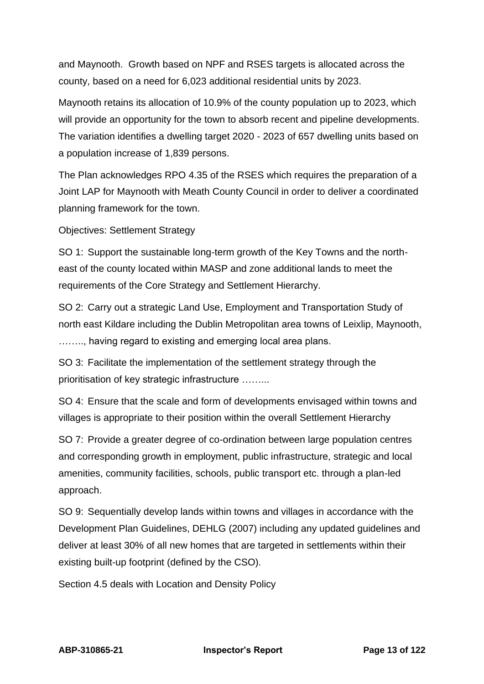and Maynooth. Growth based on NPF and RSES targets is allocated across the county, based on a need for 6,023 additional residential units by 2023.

Maynooth retains its allocation of 10.9% of the county population up to 2023, which will provide an opportunity for the town to absorb recent and pipeline developments. The variation identifies a dwelling target 2020 - 2023 of 657 dwelling units based on a population increase of 1,839 persons.

The Plan acknowledges RPO 4.35 of the RSES which requires the preparation of a Joint LAP for Maynooth with Meath County Council in order to deliver a coordinated planning framework for the town.

Objectives: Settlement Strategy

SO 1: Support the sustainable long-term growth of the Key Towns and the northeast of the county located within MASP and zone additional lands to meet the requirements of the Core Strategy and Settlement Hierarchy.

SO 2: Carry out a strategic Land Use, Employment and Transportation Study of north east Kildare including the Dublin Metropolitan area towns of Leixlip, Maynooth, …….., having regard to existing and emerging local area plans.

SO 3: Facilitate the implementation of the settlement strategy through the prioritisation of key strategic infrastructure ……...

SO 4: Ensure that the scale and form of developments envisaged within towns and villages is appropriate to their position within the overall Settlement Hierarchy

SO 7: Provide a greater degree of co-ordination between large population centres and corresponding growth in employment, public infrastructure, strategic and local amenities, community facilities, schools, public transport etc. through a plan-led approach.

SO 9: Sequentially develop lands within towns and villages in accordance with the Development Plan Guidelines, DEHLG (2007) including any updated guidelines and deliver at least 30% of all new homes that are targeted in settlements within their existing built-up footprint (defined by the CSO).

Section 4.5 deals with Location and Density Policy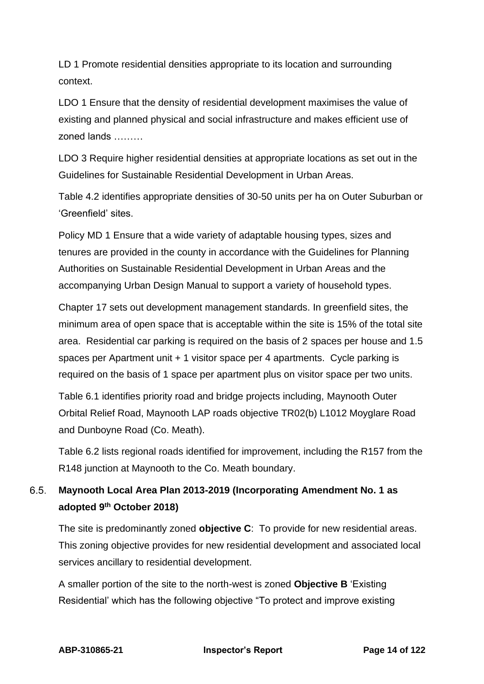LD 1 Promote residential densities appropriate to its location and surrounding context.

LDO 1 Ensure that the density of residential development maximises the value of existing and planned physical and social infrastructure and makes efficient use of zoned lands ………

LDO 3 Require higher residential densities at appropriate locations as set out in the Guidelines for Sustainable Residential Development in Urban Areas.

Table 4.2 identifies appropriate densities of 30-50 units per ha on Outer Suburban or 'Greenfield' sites.

Policy MD 1 Ensure that a wide variety of adaptable housing types, sizes and tenures are provided in the county in accordance with the Guidelines for Planning Authorities on Sustainable Residential Development in Urban Areas and the accompanying Urban Design Manual to support a variety of household types.

Chapter 17 sets out development management standards. In greenfield sites, the minimum area of open space that is acceptable within the site is 15% of the total site area. Residential car parking is required on the basis of 2 spaces per house and 1.5 spaces per Apartment unit + 1 visitor space per 4 apartments. Cycle parking is required on the basis of 1 space per apartment plus on visitor space per two units.

Table 6.1 identifies priority road and bridge projects including, Maynooth Outer Orbital Relief Road, Maynooth LAP roads objective TR02(b) L1012 Moyglare Road and Dunboyne Road (Co. Meath).

Table 6.2 lists regional roads identified for improvement, including the R157 from the R148 junction at Maynooth to the Co. Meath boundary.

#### $6.5.$ **Maynooth Local Area Plan 2013-2019 (Incorporating Amendment No. 1 as adopted 9th October 2018)**

The site is predominantly zoned **objective C**: To provide for new residential areas. This zoning objective provides for new residential development and associated local services ancillary to residential development.

A smaller portion of the site to the north-west is zoned **Objective B** 'Existing Residential' which has the following objective "To protect and improve existing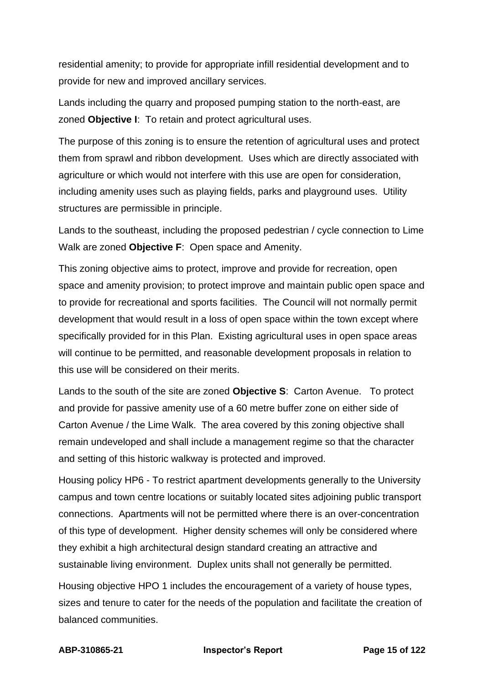residential amenity; to provide for appropriate infill residential development and to provide for new and improved ancillary services.

Lands including the quarry and proposed pumping station to the north-east, are zoned **Objective I**: To retain and protect agricultural uses.

The purpose of this zoning is to ensure the retention of agricultural uses and protect them from sprawl and ribbon development. Uses which are directly associated with agriculture or which would not interfere with this use are open for consideration, including amenity uses such as playing fields, parks and playground uses. Utility structures are permissible in principle.

Lands to the southeast, including the proposed pedestrian / cycle connection to Lime Walk are zoned **Objective F**: Open space and Amenity.

This zoning objective aims to protect, improve and provide for recreation, open space and amenity provision; to protect improve and maintain public open space and to provide for recreational and sports facilities. The Council will not normally permit development that would result in a loss of open space within the town except where specifically provided for in this Plan. Existing agricultural uses in open space areas will continue to be permitted, and reasonable development proposals in relation to this use will be considered on their merits.

Lands to the south of the site are zoned **Objective S**: Carton Avenue. To protect and provide for passive amenity use of a 60 metre buffer zone on either side of Carton Avenue / the Lime Walk. The area covered by this zoning objective shall remain undeveloped and shall include a management regime so that the character and setting of this historic walkway is protected and improved.

Housing policy HP6 - To restrict apartment developments generally to the University campus and town centre locations or suitably located sites adjoining public transport connections. Apartments will not be permitted where there is an over-concentration of this type of development. Higher density schemes will only be considered where they exhibit a high architectural design standard creating an attractive and sustainable living environment. Duplex units shall not generally be permitted.

Housing objective HPO 1 includes the encouragement of a variety of house types, sizes and tenure to cater for the needs of the population and facilitate the creation of balanced communities.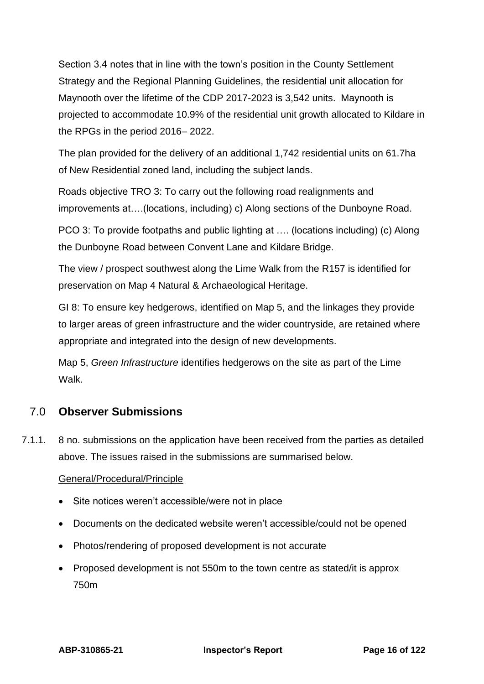Section 3.4 notes that in line with the town's position in the County Settlement Strategy and the Regional Planning Guidelines, the residential unit allocation for Maynooth over the lifetime of the CDP 2017-2023 is 3,542 units. Maynooth is projected to accommodate 10.9% of the residential unit growth allocated to Kildare in the RPGs in the period 2016– 2022.

The plan provided for the delivery of an additional 1,742 residential units on 61.7ha of New Residential zoned land, including the subject lands.

Roads objective TRO 3: To carry out the following road realignments and improvements at….(locations, including) c) Along sections of the Dunboyne Road.

PCO 3: To provide footpaths and public lighting at …. (locations including) (c) Along the Dunboyne Road between Convent Lane and Kildare Bridge.

The view / prospect southwest along the Lime Walk from the R157 is identified for preservation on Map 4 Natural & Archaeological Heritage.

GI 8: To ensure key hedgerows, identified on Map 5, and the linkages they provide to larger areas of green infrastructure and the wider countryside, are retained where appropriate and integrated into the design of new developments.

Map 5, *Green Infrastructure* identifies hedgerows on the site as part of the Lime **Walk** 

## <span id="page-15-0"></span>7.0 **Observer Submissions**

7.1.1. 8 no. submissions on the application have been received from the parties as detailed above. The issues raised in the submissions are summarised below.

### General/Procedural/Principle

- Site notices weren't accessible/were not in place
- Documents on the dedicated website weren't accessible/could not be opened
- Photos/rendering of proposed development is not accurate
- Proposed development is not 550m to the town centre as stated/it is approx 750m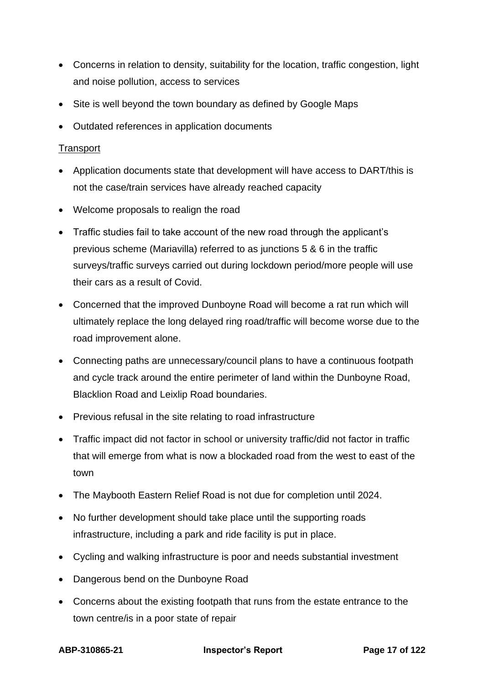- Concerns in relation to density, suitability for the location, traffic congestion, light and noise pollution, access to services
- Site is well beyond the town boundary as defined by Google Maps
- Outdated references in application documents

#### **Transport**

- Application documents state that development will have access to DART/this is not the case/train services have already reached capacity
- Welcome proposals to realign the road
- Traffic studies fail to take account of the new road through the applicant's previous scheme (Mariavilla) referred to as junctions 5 & 6 in the traffic surveys/traffic surveys carried out during lockdown period/more people will use their cars as a result of Covid.
- Concerned that the improved Dunboyne Road will become a rat run which will ultimately replace the long delayed ring road/traffic will become worse due to the road improvement alone.
- Connecting paths are unnecessary/council plans to have a continuous footpath and cycle track around the entire perimeter of land within the Dunboyne Road, Blacklion Road and Leixlip Road boundaries.
- Previous refusal in the site relating to road infrastructure
- Traffic impact did not factor in school or university traffic/did not factor in traffic that will emerge from what is now a blockaded road from the west to east of the town
- The Maybooth Eastern Relief Road is not due for completion until 2024.
- No further development should take place until the supporting roads infrastructure, including a park and ride facility is put in place.
- Cycling and walking infrastructure is poor and needs substantial investment
- Dangerous bend on the Dunboyne Road
- Concerns about the existing footpath that runs from the estate entrance to the town centre/is in a poor state of repair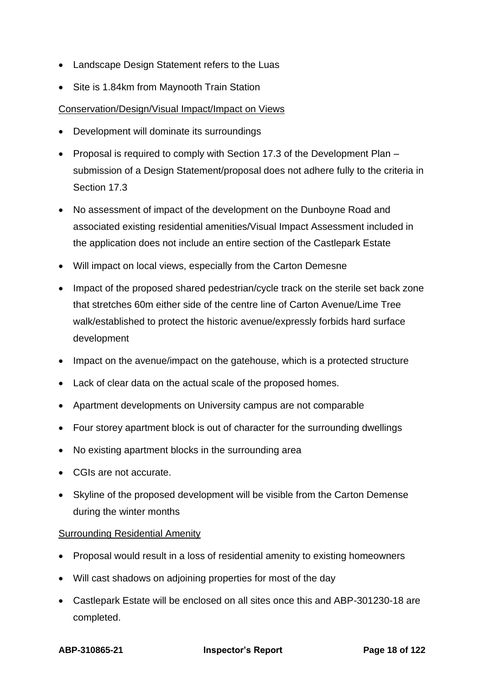- Landscape Design Statement refers to the Luas
- Site is 1.84km from Maynooth Train Station

#### Conservation/Design/Visual Impact/Impact on Views

- Development will dominate its surroundings
- Proposal is required to comply with Section 17.3 of the Development Plan submission of a Design Statement/proposal does not adhere fully to the criteria in Section 17.3
- No assessment of impact of the development on the Dunboyne Road and associated existing residential amenities/Visual Impact Assessment included in the application does not include an entire section of the Castlepark Estate
- Will impact on local views, especially from the Carton Demesne
- Impact of the proposed shared pedestrian/cycle track on the sterile set back zone that stretches 60m either side of the centre line of Carton Avenue/Lime Tree walk/established to protect the historic avenue/expressly forbids hard surface development
- Impact on the avenue/impact on the gatehouse, which is a protected structure
- Lack of clear data on the actual scale of the proposed homes.
- Apartment developments on University campus are not comparable
- Four storey apartment block is out of character for the surrounding dwellings
- No existing apartment blocks in the surrounding area
- CGIs are not accurate.
- Skyline of the proposed development will be visible from the Carton Demense during the winter months

#### Surrounding Residential Amenity

- Proposal would result in a loss of residential amenity to existing homeowners
- Will cast shadows on adjoining properties for most of the day
- Castlepark Estate will be enclosed on all sites once this and ABP-301230-18 are completed.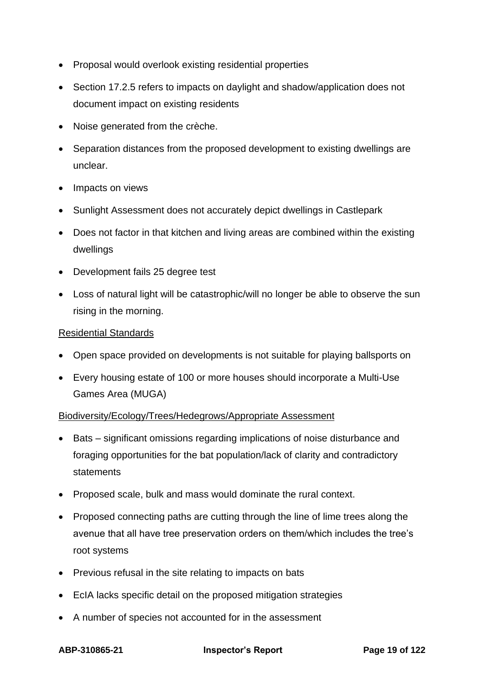- Proposal would overlook existing residential properties
- Section 17.2.5 refers to impacts on daylight and shadow/application does not document impact on existing residents
- Noise generated from the crèche.
- Separation distances from the proposed development to existing dwellings are unclear.
- Impacts on views
- Sunlight Assessment does not accurately depict dwellings in Castlepark
- Does not factor in that kitchen and living areas are combined within the existing dwellings
- Development fails 25 degree test
- Loss of natural light will be catastrophic/will no longer be able to observe the sun rising in the morning.

#### Residential Standards

- Open space provided on developments is not suitable for playing ballsports on
- Every housing estate of 100 or more houses should incorporate a Multi-Use Games Area (MUGA)

#### Biodiversity/Ecology/Trees/Hedegrows/Appropriate Assessment

- Bats significant omissions regarding implications of noise disturbance and foraging opportunities for the bat population/lack of clarity and contradictory statements
- Proposed scale, bulk and mass would dominate the rural context.
- Proposed connecting paths are cutting through the line of lime trees along the avenue that all have tree preservation orders on them/which includes the tree's root systems
- Previous refusal in the site relating to impacts on bats
- EcIA lacks specific detail on the proposed mitigation strategies
- A number of species not accounted for in the assessment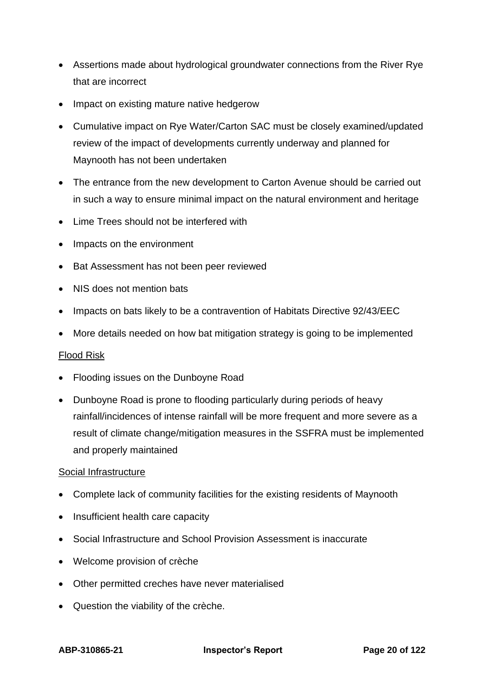- Assertions made about hydrological groundwater connections from the River Rye that are incorrect
- Impact on existing mature native hedgerow
- Cumulative impact on Rye Water/Carton SAC must be closely examined/updated review of the impact of developments currently underway and planned for Maynooth has not been undertaken
- The entrance from the new development to Carton Avenue should be carried out in such a way to ensure minimal impact on the natural environment and heritage
- Lime Trees should not be interfered with
- Impacts on the environment
- Bat Assessment has not been peer reviewed
- NIS does not mention bats
- Impacts on bats likely to be a contravention of Habitats Directive 92/43/EEC
- More details needed on how bat mitigation strategy is going to be implemented

#### Flood Risk

- Flooding issues on the Dunboyne Road
- Dunboyne Road is prone to flooding particularly during periods of heavy rainfall/incidences of intense rainfall will be more frequent and more severe as a result of climate change/mitigation measures in the SSFRA must be implemented and properly maintained

#### Social Infrastructure

- Complete lack of community facilities for the existing residents of Maynooth
- Insufficient health care capacity
- Social Infrastructure and School Provision Assessment is inaccurate
- Welcome provision of crèche
- Other permitted creches have never materialised
- Question the viability of the crèche.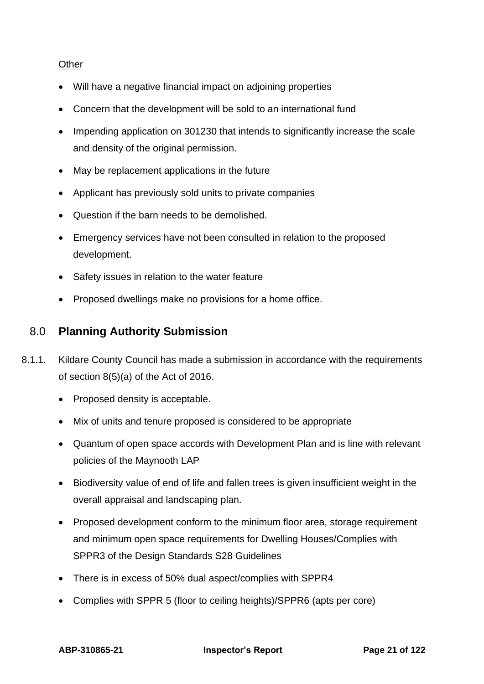#### **Other**

- Will have a negative financial impact on adjoining properties
- Concern that the development will be sold to an international fund
- Impending application on 301230 that intends to significantly increase the scale and density of the original permission.
- May be replacement applications in the future
- Applicant has previously sold units to private companies
- Question if the barn needs to be demolished.
- Emergency services have not been consulted in relation to the proposed development.
- Safety issues in relation to the water feature
- <span id="page-20-0"></span>• Proposed dwellings make no provisions for a home office.

## 8.0 **Planning Authority Submission**

- 8.1.1. Kildare County Council has made a submission in accordance with the requirements of section 8(5)(a) of the Act of 2016.
	- Proposed density is acceptable.
	- Mix of units and tenure proposed is considered to be appropriate
	- Quantum of open space accords with Development Plan and is line with relevant policies of the Maynooth LAP
	- Biodiversity value of end of life and fallen trees is given insufficient weight in the overall appraisal and landscaping plan.
	- Proposed development conform to the minimum floor area, storage requirement and minimum open space requirements for Dwelling Houses/Complies with SPPR3 of the Design Standards S28 Guidelines
	- There is in excess of 50% dual aspect/complies with SPPR4
	- Complies with SPPR 5 (floor to ceiling heights)/SPPR6 (apts per core)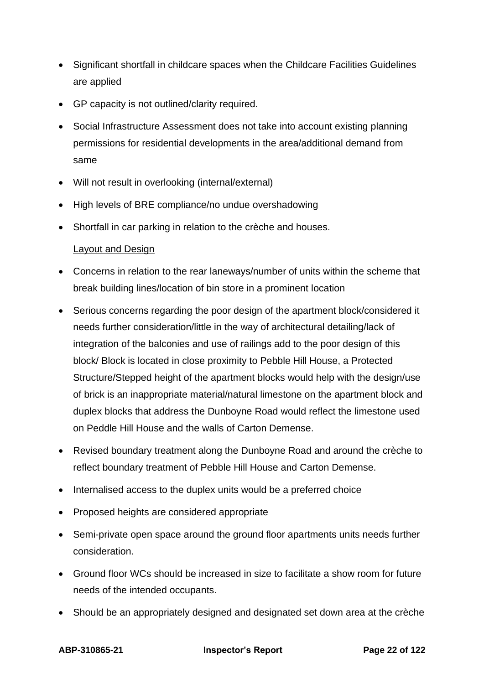- Significant shortfall in childcare spaces when the Childcare Facilities Guidelines are applied
- GP capacity is not outlined/clarity required.
- Social Infrastructure Assessment does not take into account existing planning permissions for residential developments in the area/additional demand from same
- Will not result in overlooking (internal/external)
- High levels of BRE compliance/no undue overshadowing
- Shortfall in car parking in relation to the crèche and houses.

### Layout and Design

- Concerns in relation to the rear laneways/number of units within the scheme that break building lines/location of bin store in a prominent location
- Serious concerns regarding the poor design of the apartment block/considered it needs further consideration/little in the way of architectural detailing/lack of integration of the balconies and use of railings add to the poor design of this block/ Block is located in close proximity to Pebble Hill House, a Protected Structure/Stepped height of the apartment blocks would help with the design/use of brick is an inappropriate material/natural limestone on the apartment block and duplex blocks that address the Dunboyne Road would reflect the limestone used on Peddle Hill House and the walls of Carton Demense.
- Revised boundary treatment along the Dunboyne Road and around the crèche to reflect boundary treatment of Pebble Hill House and Carton Demense.
- Internalised access to the duplex units would be a preferred choice
- Proposed heights are considered appropriate
- Semi-private open space around the ground floor apartments units needs further consideration.
- Ground floor WCs should be increased in size to facilitate a show room for future needs of the intended occupants.
- Should be an appropriately designed and designated set down area at the crèche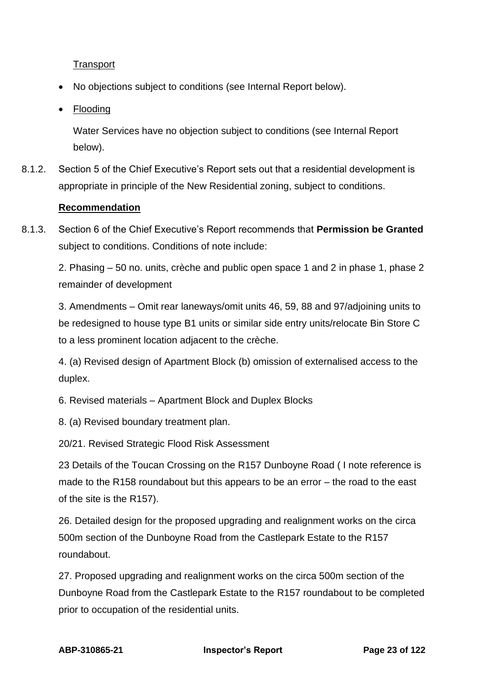**Transport** 

- No objections subject to conditions (see Internal Report below).
- <u>Flooding</u>

Water Services have no objection subject to conditions (see Internal Report below).

8.1.2. Section 5 of the Chief Executive's Report sets out that a residential development is appropriate in principle of the New Residential zoning, subject to conditions.

#### **Recommendation**

8.1.3. Section 6 of the Chief Executive's Report recommends that **Permission be Granted** subject to conditions. Conditions of note include:

2. Phasing – 50 no. units, crèche and public open space 1 and 2 in phase 1, phase 2 remainder of development

3. Amendments – Omit rear laneways/omit units 46, 59, 88 and 97/adjoining units to be redesigned to house type B1 units or similar side entry units/relocate Bin Store C to a less prominent location adjacent to the crèche.

4. (a) Revised design of Apartment Block (b) omission of externalised access to the duplex.

6. Revised materials – Apartment Block and Duplex Blocks

8. (a) Revised boundary treatment plan.

20/21. Revised Strategic Flood Risk Assessment

23 Details of the Toucan Crossing on the R157 Dunboyne Road ( I note reference is made to the R158 roundabout but this appears to be an error – the road to the east of the site is the R157).

26. Detailed design for the proposed upgrading and realignment works on the circa 500m section of the Dunboyne Road from the Castlepark Estate to the R157 roundabout.

27. Proposed upgrading and realignment works on the circa 500m section of the Dunboyne Road from the Castlepark Estate to the R157 roundabout to be completed prior to occupation of the residential units.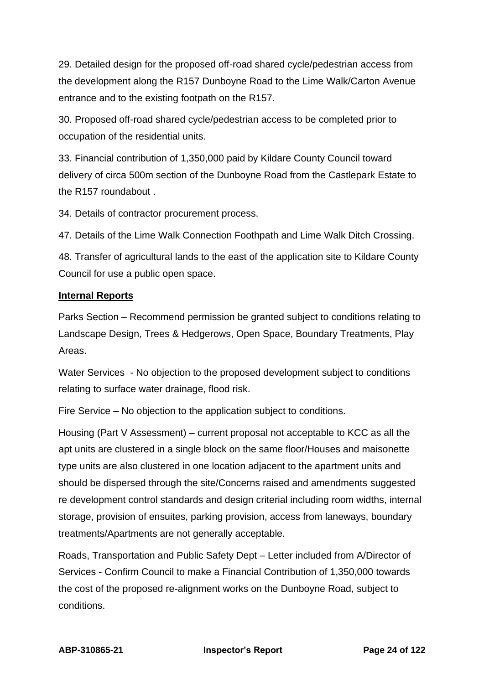29. Detailed design for the proposed off-road shared cycle/pedestrian access from the development along the R157 Dunboyne Road to the Lime Walk/Carton Avenue entrance and to the existing footpath on the R157.

30. Proposed off-road shared cycle/pedestrian access to be completed prior to occupation of the residential units.

33. Financial contribution of 1,350,000 paid by Kildare County Council toward delivery of circa 500m section of the Dunboyne Road from the Castlepark Estate to the R157 roundabout .

34. Details of contractor procurement process.

47. Details of the Lime Walk Connection Foothpath and Lime Walk Ditch Crossing.

48. Transfer of agricultural lands to the east of the application site to Kildare County Council for use a public open space.

#### **Internal Reports**

Parks Section – Recommend permission be granted subject to conditions relating to Landscape Design, Trees & Hedgerows, Open Space, Boundary Treatments, Play Areas.

Water Services - No objection to the proposed development subject to conditions relating to surface water drainage, flood risk.

Fire Service – No objection to the application subject to conditions.

Housing (Part V Assessment) – current proposal not acceptable to KCC as all the apt units are clustered in a single block on the same floor/Houses and maisonette type units are also clustered in one location adjacent to the apartment units and should be dispersed through the site/Concerns raised and amendments suggested re development control standards and design criterial including room widths, internal storage, provision of ensuites, parking provision, access from laneways, boundary treatments/Apartments are not generally acceptable.

Roads, Transportation and Public Safety Dept – Letter included from A/Director of Services - Confirm Council to make a Financial Contribution of 1,350,000 towards the cost of the proposed re-alignment works on the Dunboyne Road, subject to conditions.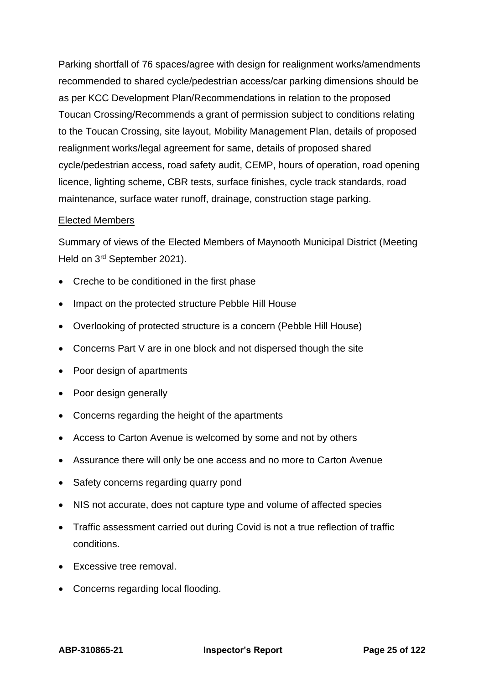Parking shortfall of 76 spaces/agree with design for realignment works/amendments recommended to shared cycle/pedestrian access/car parking dimensions should be as per KCC Development Plan/Recommendations in relation to the proposed Toucan Crossing/Recommends a grant of permission subject to conditions relating to the Toucan Crossing, site layout, Mobility Management Plan, details of proposed realignment works/legal agreement for same, details of proposed shared cycle/pedestrian access, road safety audit, CEMP, hours of operation, road opening licence, lighting scheme, CBR tests, surface finishes, cycle track standards, road maintenance, surface water runoff, drainage, construction stage parking.

#### Elected Members

Summary of views of the Elected Members of Maynooth Municipal District (Meeting Held on 3rd September 2021).

- Creche to be conditioned in the first phase
- Impact on the protected structure Pebble Hill House
- Overlooking of protected structure is a concern (Pebble Hill House)
- Concerns Part V are in one block and not dispersed though the site
- Poor design of apartments
- Poor design generally
- Concerns regarding the height of the apartments
- Access to Carton Avenue is welcomed by some and not by others
- Assurance there will only be one access and no more to Carton Avenue
- Safety concerns regarding quarry pond
- NIS not accurate, does not capture type and volume of affected species
- Traffic assessment carried out during Covid is not a true reflection of traffic conditions.
- Excessive tree removal.
- Concerns regarding local flooding.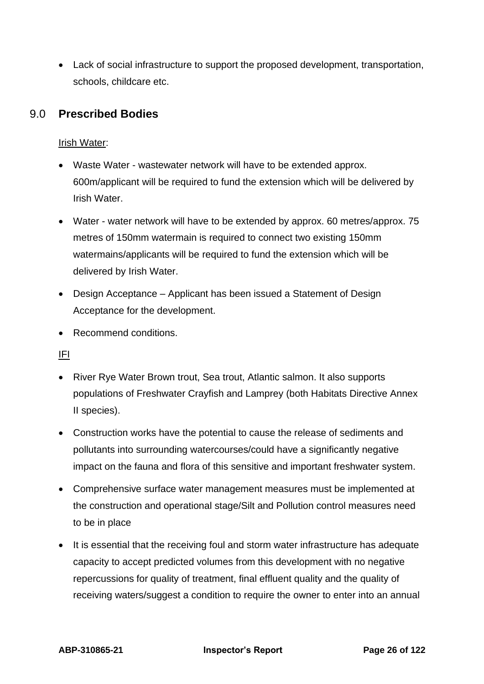• Lack of social infrastructure to support the proposed development, transportation, schools, childcare etc.

## <span id="page-25-0"></span>9.0 **Prescribed Bodies**

## Irish Water:

- Waste Water wastewater network will have to be extended approx. 600m/applicant will be required to fund the extension which will be delivered by Irish Water.
- Water water network will have to be extended by approx. 60 metres/approx. 75 metres of 150mm watermain is required to connect two existing 150mm watermains/applicants will be required to fund the extension which will be delivered by Irish Water.
- Design Acceptance Applicant has been issued a Statement of Design Acceptance for the development.
- Recommend conditions.

### IFI

- River Rye Water Brown trout, Sea trout, Atlantic salmon. It also supports populations of Freshwater Crayfish and Lamprey (both Habitats Directive Annex II species).
- Construction works have the potential to cause the release of sediments and pollutants into surrounding watercourses/could have a significantly negative impact on the fauna and flora of this sensitive and important freshwater system.
- Comprehensive surface water management measures must be implemented at the construction and operational stage/Silt and Pollution control measures need to be in place
- It is essential that the receiving foul and storm water infrastructure has adequate capacity to accept predicted volumes from this development with no negative repercussions for quality of treatment, final effluent quality and the quality of receiving waters/suggest a condition to require the owner to enter into an annual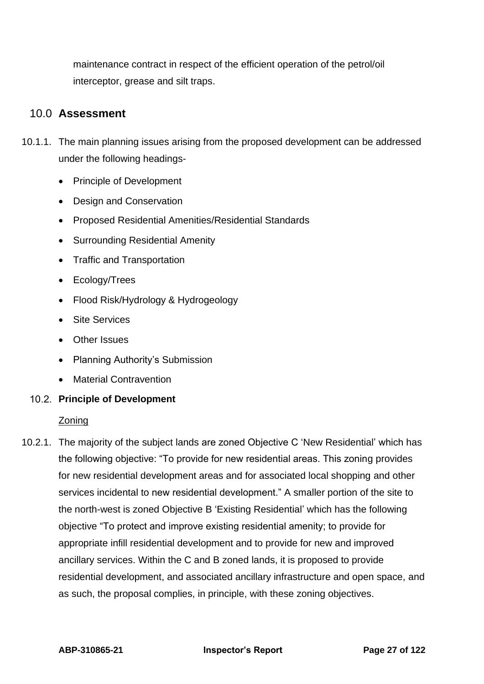maintenance contract in respect of the efficient operation of the petrol/oil interceptor, grease and silt traps.

## <span id="page-26-0"></span>10.0 **Assessment**

- 10.1.1. The main planning issues arising from the proposed development can be addressed under the following headings-
	- Principle of Development
	- Design and Conservation
	- Proposed Residential Amenities/Residential Standards
	- Surrounding Residential Amenity
	- Traffic and Transportation
	- Ecology/Trees
	- Flood Risk/Hydrology & Hydrogeology
	- Site Services
	- Other Issues
	- Planning Authority's Submission
	- Material Contravention

### **Principle of Development**

### Zoning

10.2.1. The majority of the subject lands are zoned Objective C 'New Residential' which has the following objective: "To provide for new residential areas. This zoning provides for new residential development areas and for associated local shopping and other services incidental to new residential development." A smaller portion of the site to the north-west is zoned Objective B 'Existing Residential' which has the following objective "To protect and improve existing residential amenity; to provide for appropriate infill residential development and to provide for new and improved ancillary services. Within the C and B zoned lands, it is proposed to provide residential development, and associated ancillary infrastructure and open space, and as such, the proposal complies, in principle, with these zoning objectives.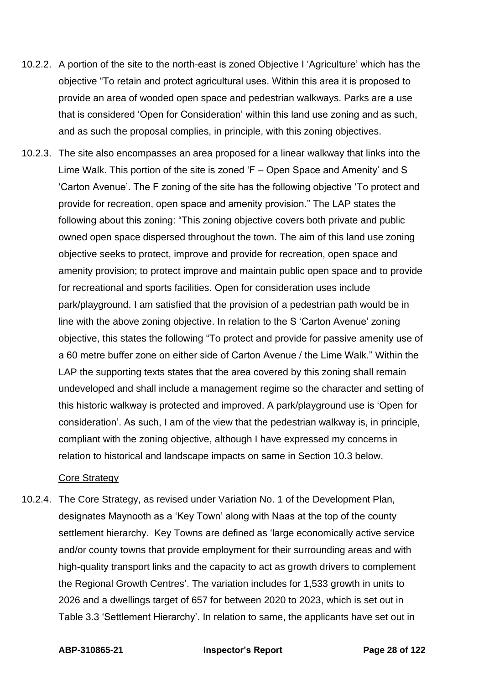- 10.2.2. A portion of the site to the north-east is zoned Objective I 'Agriculture' which has the objective "To retain and protect agricultural uses. Within this area it is proposed to provide an area of wooded open space and pedestrian walkways. Parks are a use that is considered 'Open for Consideration' within this land use zoning and as such, and as such the proposal complies, in principle, with this zoning objectives.
- 10.2.3. The site also encompasses an area proposed for a linear walkway that links into the Lime Walk. This portion of the site is zoned 'F – Open Space and Amenity' and S 'Carton Avenue'. The F zoning of the site has the following objective 'To protect and provide for recreation, open space and amenity provision." The LAP states the following about this zoning: "This zoning objective covers both private and public owned open space dispersed throughout the town. The aim of this land use zoning objective seeks to protect, improve and provide for recreation, open space and amenity provision; to protect improve and maintain public open space and to provide for recreational and sports facilities. Open for consideration uses include park/playground. I am satisfied that the provision of a pedestrian path would be in line with the above zoning objective. In relation to the S 'Carton Avenue' zoning objective, this states the following "To protect and provide for passive amenity use of a 60 metre buffer zone on either side of Carton Avenue / the Lime Walk." Within the LAP the supporting texts states that the area covered by this zoning shall remain undeveloped and shall include a management regime so the character and setting of this historic walkway is protected and improved. A park/playground use is 'Open for consideration'. As such, I am of the view that the pedestrian walkway is, in principle, compliant with the zoning objective, although I have expressed my concerns in relation to historical and landscape impacts on same in Section 10.3 below.

#### Core Strategy

10.2.4. The Core Strategy, as revised under Variation No. 1 of the Development Plan, designates Maynooth as a 'Key Town' along with Naas at the top of the county settlement hierarchy. Key Towns are defined as 'large economically active service and/or county towns that provide employment for their surrounding areas and with high-quality transport links and the capacity to act as growth drivers to complement the Regional Growth Centres'. The variation includes for 1,533 growth in units to 2026 and a dwellings target of 657 for between 2020 to 2023, which is set out in Table 3.3 'Settlement Hierarchy'. In relation to same, the applicants have set out in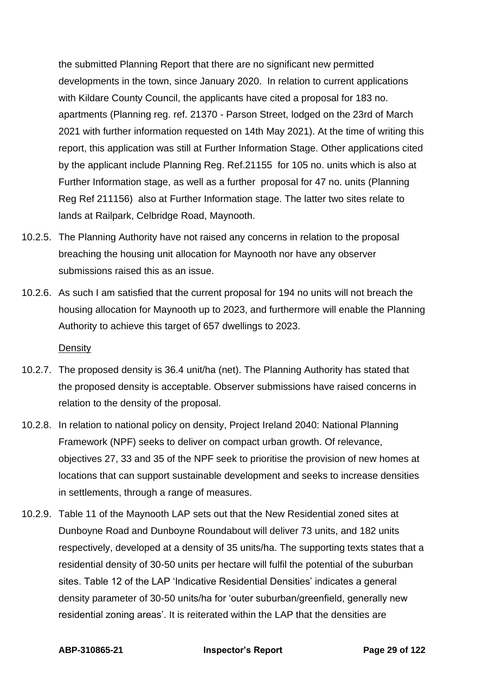the submitted Planning Report that there are no significant new permitted developments in the town, since January 2020. In relation to current applications with Kildare County Council, the applicants have cited a proposal for 183 no. apartments (Planning reg. ref. 21370 - Parson Street, lodged on the 23rd of March 2021 with further information requested on 14th May 2021). At the time of writing this report, this application was still at Further Information Stage. Other applications cited by the applicant include Planning Reg. Ref.21155 for 105 no. units which is also at Further Information stage, as well as a further proposal for 47 no. units (Planning Reg Ref 211156) also at Further Information stage. The latter two sites relate to lands at Railpark, Celbridge Road, Maynooth.

- 10.2.5. The Planning Authority have not raised any concerns in relation to the proposal breaching the housing unit allocation for Maynooth nor have any observer submissions raised this as an issue.
- 10.2.6. As such I am satisfied that the current proposal for 194 no units will not breach the housing allocation for Maynooth up to 2023, and furthermore will enable the Planning Authority to achieve this target of 657 dwellings to 2023.

**Density** 

- 10.2.7. The proposed density is 36.4 unit/ha (net). The Planning Authority has stated that the proposed density is acceptable. Observer submissions have raised concerns in relation to the density of the proposal.
- 10.2.8. In relation to national policy on density, Project Ireland 2040: National Planning Framework (NPF) seeks to deliver on compact urban growth. Of relevance, objectives 27, 33 and 35 of the NPF seek to prioritise the provision of new homes at locations that can support sustainable development and seeks to increase densities in settlements, through a range of measures.
- 10.2.9. Table 11 of the Maynooth LAP sets out that the New Residential zoned sites at Dunboyne Road and Dunboyne Roundabout will deliver 73 units, and 182 units respectively, developed at a density of 35 units/ha. The supporting texts states that a residential density of 30-50 units per hectare will fulfil the potential of the suburban sites. Table 12 of the LAP 'Indicative Residential Densities' indicates a general density parameter of 30-50 units/ha for 'outer suburban/greenfield, generally new residential zoning areas'. It is reiterated within the LAP that the densities are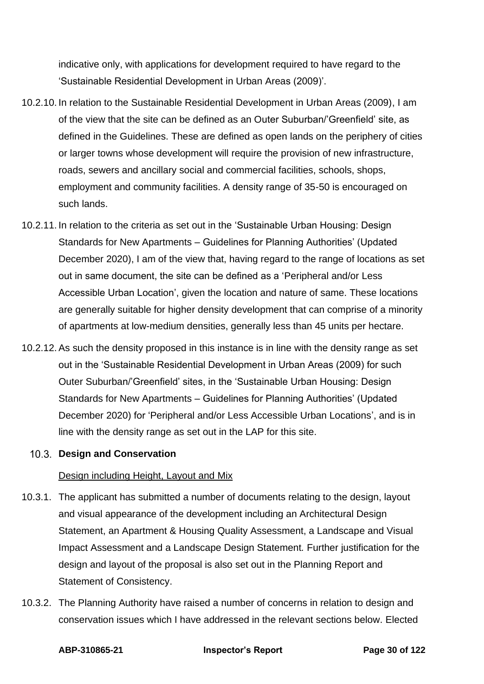indicative only, with applications for development required to have regard to the 'Sustainable Residential Development in Urban Areas (2009)'.

- 10.2.10. In relation to the Sustainable Residential Development in Urban Areas (2009), I am of the view that the site can be defined as an Outer Suburban/'Greenfield' site, as defined in the Guidelines. These are defined as open lands on the periphery of cities or larger towns whose development will require the provision of new infrastructure, roads, sewers and ancillary social and commercial facilities, schools, shops, employment and community facilities. A density range of 35-50 is encouraged on such lands.
- 10.2.11. In relation to the criteria as set out in the 'Sustainable Urban Housing: Design Standards for New Apartments – Guidelines for Planning Authorities' (Updated December 2020), I am of the view that, having regard to the range of locations as set out in same document, the site can be defined as a 'Peripheral and/or Less Accessible Urban Location', given the location and nature of same. These locations are generally suitable for higher density development that can comprise of a minority of apartments at low-medium densities, generally less than 45 units per hectare.
- 10.2.12. As such the density proposed in this instance is in line with the density range as set out in the 'Sustainable Residential Development in Urban Areas (2009) for such Outer Suburban/'Greenfield' sites, in the 'Sustainable Urban Housing: Design Standards for New Apartments – Guidelines for Planning Authorities' (Updated December 2020) for 'Peripheral and/or Less Accessible Urban Locations', and is in line with the density range as set out in the LAP for this site.

### **Design and Conservation**

#### Design including Height, Layout and Mix

- 10.3.1. The applicant has submitted a number of documents relating to the design, layout and visual appearance of the development including an Architectural Design Statement, an Apartment & Housing Quality Assessment, a Landscape and Visual Impact Assessment and a Landscape Design Statement*.* Further justification for the design and layout of the proposal is also set out in the Planning Report and Statement of Consistency.
- 10.3.2. The Planning Authority have raised a number of concerns in relation to design and conservation issues which I have addressed in the relevant sections below. Elected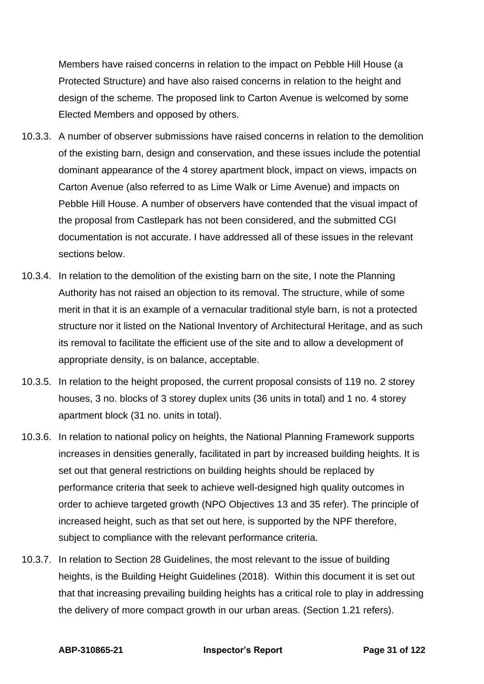Members have raised concerns in relation to the impact on Pebble Hill House (a Protected Structure) and have also raised concerns in relation to the height and design of the scheme. The proposed link to Carton Avenue is welcomed by some Elected Members and opposed by others.

- 10.3.3. A number of observer submissions have raised concerns in relation to the demolition of the existing barn, design and conservation, and these issues include the potential dominant appearance of the 4 storey apartment block, impact on views, impacts on Carton Avenue (also referred to as Lime Walk or Lime Avenue) and impacts on Pebble Hill House. A number of observers have contended that the visual impact of the proposal from Castlepark has not been considered, and the submitted CGI documentation is not accurate. I have addressed all of these issues in the relevant sections below.
- 10.3.4. In relation to the demolition of the existing barn on the site, I note the Planning Authority has not raised an objection to its removal. The structure, while of some merit in that it is an example of a vernacular traditional style barn, is not a protected structure nor it listed on the National Inventory of Architectural Heritage, and as such its removal to facilitate the efficient use of the site and to allow a development of appropriate density, is on balance, acceptable.
- 10.3.5. In relation to the height proposed, the current proposal consists of 119 no. 2 storey houses, 3 no. blocks of 3 storey duplex units (36 units in total) and 1 no. 4 storey apartment block (31 no. units in total).
- 10.3.6. In relation to national policy on heights, the National Planning Framework supports increases in densities generally, facilitated in part by increased building heights. It is set out that general restrictions on building heights should be replaced by performance criteria that seek to achieve well-designed high quality outcomes in order to achieve targeted growth (NPO Objectives 13 and 35 refer). The principle of increased height, such as that set out here, is supported by the NPF therefore, subject to compliance with the relevant performance criteria.
- 10.3.7. In relation to Section 28 Guidelines, the most relevant to the issue of building heights, is the Building Height Guidelines (2018). Within this document it is set out that that increasing prevailing building heights has a critical role to play in addressing the delivery of more compact growth in our urban areas. (Section 1.21 refers).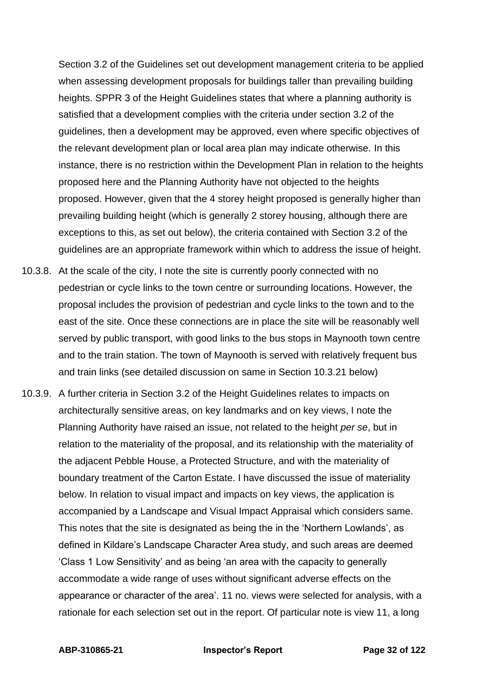Section 3.2 of the Guidelines set out development management criteria to be applied when assessing development proposals for buildings taller than prevailing building heights. SPPR 3 of the Height Guidelines states that where a planning authority is satisfied that a development complies with the criteria under section 3.2 of the guidelines, then a development may be approved, even where specific objectives of the relevant development plan or local area plan may indicate otherwise. In this instance, there is no restriction within the Development Plan in relation to the heights proposed here and the Planning Authority have not objected to the heights proposed. However, given that the 4 storey height proposed is generally higher than prevailing building height (which is generally 2 storey housing, although there are exceptions to this, as set out below), the criteria contained with Section 3.2 of the guidelines are an appropriate framework within which to address the issue of height.

- 10.3.8. At the scale of the city, I note the site is currently poorly connected with no pedestrian or cycle links to the town centre or surrounding locations. However, the proposal includes the provision of pedestrian and cycle links to the town and to the east of the site. Once these connections are in place the site will be reasonably well served by public transport, with good links to the bus stops in Maynooth town centre and to the train station. The town of Maynooth is served with relatively frequent bus and train links (see detailed discussion on same in Section 10.3.21 below)
- 10.3.9. A further criteria in Section 3.2 of the Height Guidelines relates to impacts on architecturally sensitive areas, on key landmarks and on key views, I note the Planning Authority have raised an issue, not related to the height *per se*, but in relation to the materiality of the proposal, and its relationship with the materiality of the adjacent Pebble House, a Protected Structure, and with the materiality of boundary treatment of the Carton Estate. I have discussed the issue of materiality below. In relation to visual impact and impacts on key views, the application is accompanied by a Landscape and Visual Impact Appraisal which considers same. This notes that the site is designated as being the in the 'Northern Lowlands', as defined in Kildare's Landscape Character Area study, and such areas are deemed 'Class 1 Low Sensitivity' and as being 'an area with the capacity to generally accommodate a wide range of uses without significant adverse effects on the appearance or character of the area'. 11 no. views were selected for analysis, with a rationale for each selection set out in the report. Of particular note is view 11, a long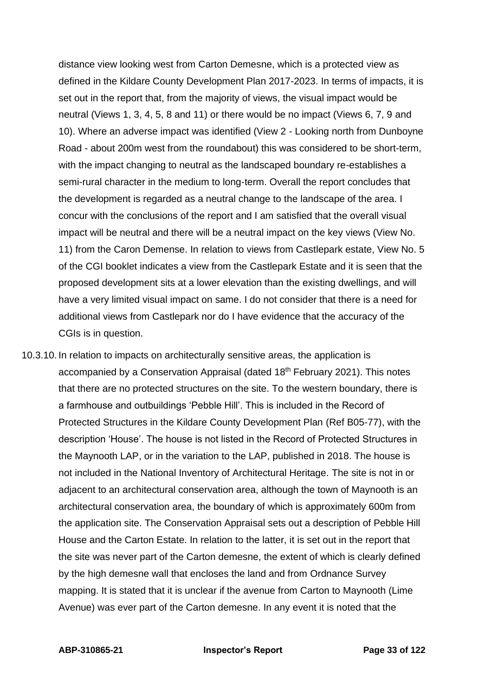distance view looking west from Carton Demesne, which is a protected view as defined in the Kildare County Development Plan 2017-2023. In terms of impacts, it is set out in the report that, from the majority of views, the visual impact would be neutral (Views 1, 3, 4, 5, 8 and 11) or there would be no impact (Views 6, 7, 9 and 10). Where an adverse impact was identified (View 2 - Looking north from Dunboyne Road - about 200m west from the roundabout) this was considered to be short-term, with the impact changing to neutral as the landscaped boundary re-establishes a semi-rural character in the medium to long-term. Overall the report concludes that the development is regarded as a neutral change to the landscape of the area. I concur with the conclusions of the report and I am satisfied that the overall visual impact will be neutral and there will be a neutral impact on the key views (View No. 11) from the Caron Demense. In relation to views from Castlepark estate, View No. 5 of the CGI booklet indicates a view from the Castlepark Estate and it is seen that the proposed development sits at a lower elevation than the existing dwellings, and will have a very limited visual impact on same. I do not consider that there is a need for additional views from Castlepark nor do I have evidence that the accuracy of the CGIs is in question.

10.3.10. In relation to impacts on architecturally sensitive areas, the application is accompanied by a Conservation Appraisal (dated 18<sup>th</sup> February 2021). This notes that there are no protected structures on the site. To the western boundary, there is a farmhouse and outbuildings 'Pebble Hill'. This is included in the Record of Protected Structures in the Kildare County Development Plan (Ref B05-77), with the description 'House'. The house is not listed in the Record of Protected Structures in the Maynooth LAP, or in the variation to the LAP, published in 2018. The house is not included in the National Inventory of Architectural Heritage. The site is not in or adjacent to an architectural conservation area, although the town of Maynooth is an architectural conservation area, the boundary of which is approximately 600m from the application site. The Conservation Appraisal sets out a description of Pebble Hill House and the Carton Estate. In relation to the latter, it is set out in the report that the site was never part of the Carton demesne, the extent of which is clearly defined by the high demesne wall that encloses the land and from Ordnance Survey mapping. It is stated that it is unclear if the avenue from Carton to Maynooth (Lime Avenue) was ever part of the Carton demesne. In any event it is noted that the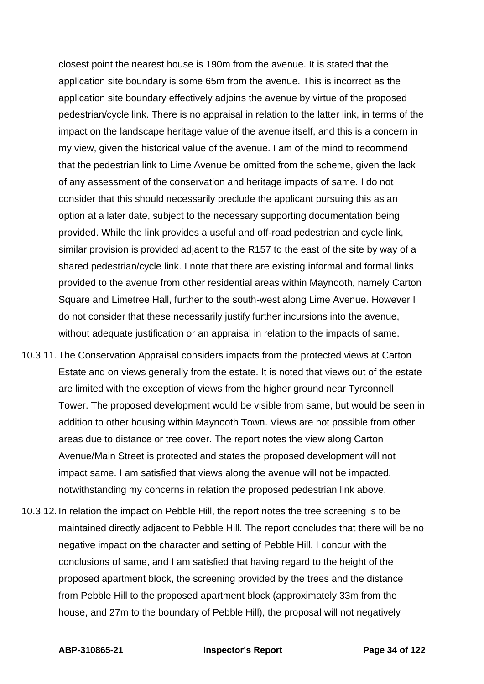closest point the nearest house is 190m from the avenue. It is stated that the application site boundary is some 65m from the avenue. This is incorrect as the application site boundary effectively adjoins the avenue by virtue of the proposed pedestrian/cycle link. There is no appraisal in relation to the latter link, in terms of the impact on the landscape heritage value of the avenue itself, and this is a concern in my view, given the historical value of the avenue. I am of the mind to recommend that the pedestrian link to Lime Avenue be omitted from the scheme, given the lack of any assessment of the conservation and heritage impacts of same. I do not consider that this should necessarily preclude the applicant pursuing this as an option at a later date, subject to the necessary supporting documentation being provided. While the link provides a useful and off-road pedestrian and cycle link, similar provision is provided adjacent to the R157 to the east of the site by way of a shared pedestrian/cycle link. I note that there are existing informal and formal links provided to the avenue from other residential areas within Maynooth, namely Carton Square and Limetree Hall, further to the south-west along Lime Avenue. However I do not consider that these necessarily justify further incursions into the avenue, without adequate justification or an appraisal in relation to the impacts of same.

- 10.3.11. The Conservation Appraisal considers impacts from the protected views at Carton Estate and on views generally from the estate. It is noted that views out of the estate are limited with the exception of views from the higher ground near Tyrconnell Tower. The proposed development would be visible from same, but would be seen in addition to other housing within Maynooth Town. Views are not possible from other areas due to distance or tree cover. The report notes the view along Carton Avenue/Main Street is protected and states the proposed development will not impact same. I am satisfied that views along the avenue will not be impacted, notwithstanding my concerns in relation the proposed pedestrian link above.
- 10.3.12. In relation the impact on Pebble Hill, the report notes the tree screening is to be maintained directly adjacent to Pebble Hill. The report concludes that there will be no negative impact on the character and setting of Pebble Hill. I concur with the conclusions of same, and I am satisfied that having regard to the height of the proposed apartment block, the screening provided by the trees and the distance from Pebble Hill to the proposed apartment block (approximately 33m from the house, and 27m to the boundary of Pebble Hill), the proposal will not negatively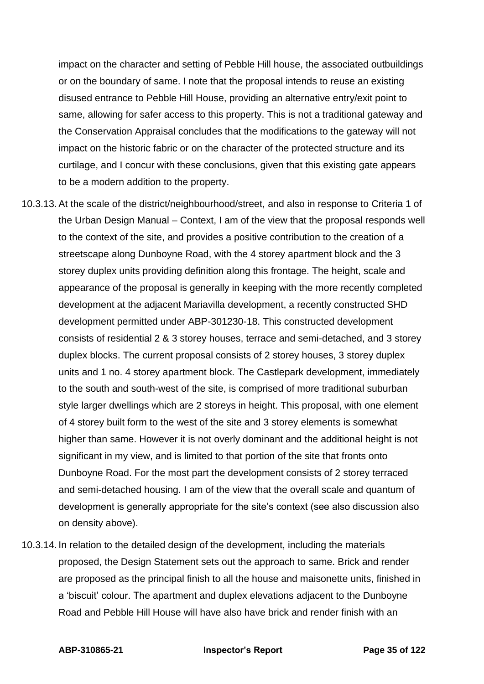impact on the character and setting of Pebble Hill house, the associated outbuildings or on the boundary of same. I note that the proposal intends to reuse an existing disused entrance to Pebble Hill House, providing an alternative entry/exit point to same, allowing for safer access to this property. This is not a traditional gateway and the Conservation Appraisal concludes that the modifications to the gateway will not impact on the historic fabric or on the character of the protected structure and its curtilage, and I concur with these conclusions, given that this existing gate appears to be a modern addition to the property.

- 10.3.13. At the scale of the district/neighbourhood/street, and also in response to Criteria 1 of the Urban Design Manual – Context, I am of the view that the proposal responds well to the context of the site, and provides a positive contribution to the creation of a streetscape along Dunboyne Road, with the 4 storey apartment block and the 3 storey duplex units providing definition along this frontage. The height, scale and appearance of the proposal is generally in keeping with the more recently completed development at the adjacent Mariavilla development, a recently constructed SHD development permitted under ABP-301230-18. This constructed development consists of residential 2 & 3 storey houses, terrace and semi-detached, and 3 storey duplex blocks. The current proposal consists of 2 storey houses, 3 storey duplex units and 1 no. 4 storey apartment block. The Castlepark development, immediately to the south and south-west of the site, is comprised of more traditional suburban style larger dwellings which are 2 storeys in height. This proposal, with one element of 4 storey built form to the west of the site and 3 storey elements is somewhat higher than same. However it is not overly dominant and the additional height is not significant in my view, and is limited to that portion of the site that fronts onto Dunboyne Road. For the most part the development consists of 2 storey terraced and semi-detached housing. I am of the view that the overall scale and quantum of development is generally appropriate for the site's context (see also discussion also on density above).
- 10.3.14. In relation to the detailed design of the development, including the materials proposed, the Design Statement sets out the approach to same. Brick and render are proposed as the principal finish to all the house and maisonette units, finished in a 'biscuit' colour. The apartment and duplex elevations adjacent to the Dunboyne Road and Pebble Hill House will have also have brick and render finish with an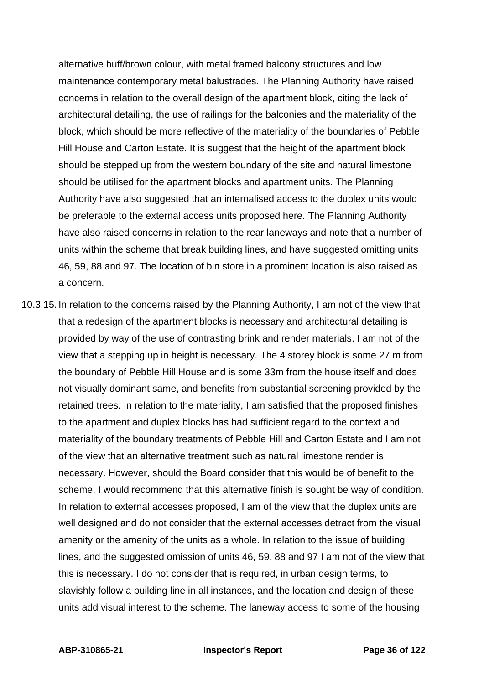alternative buff/brown colour, with metal framed balcony structures and low maintenance contemporary metal balustrades. The Planning Authority have raised concerns in relation to the overall design of the apartment block, citing the lack of architectural detailing, the use of railings for the balconies and the materiality of the block, which should be more reflective of the materiality of the boundaries of Pebble Hill House and Carton Estate. It is suggest that the height of the apartment block should be stepped up from the western boundary of the site and natural limestone should be utilised for the apartment blocks and apartment units. The Planning Authority have also suggested that an internalised access to the duplex units would be preferable to the external access units proposed here. The Planning Authority have also raised concerns in relation to the rear laneways and note that a number of units within the scheme that break building lines, and have suggested omitting units 46, 59, 88 and 97. The location of bin store in a prominent location is also raised as a concern.

10.3.15. In relation to the concerns raised by the Planning Authority, I am not of the view that that a redesign of the apartment blocks is necessary and architectural detailing is provided by way of the use of contrasting brink and render materials. I am not of the view that a stepping up in height is necessary. The 4 storey block is some 27 m from the boundary of Pebble Hill House and is some 33m from the house itself and does not visually dominant same, and benefits from substantial screening provided by the retained trees. In relation to the materiality, I am satisfied that the proposed finishes to the apartment and duplex blocks has had sufficient regard to the context and materiality of the boundary treatments of Pebble Hill and Carton Estate and I am not of the view that an alternative treatment such as natural limestone render is necessary. However, should the Board consider that this would be of benefit to the scheme, I would recommend that this alternative finish is sought be way of condition. In relation to external accesses proposed, I am of the view that the duplex units are well designed and do not consider that the external accesses detract from the visual amenity or the amenity of the units as a whole. In relation to the issue of building lines, and the suggested omission of units 46, 59, 88 and 97 I am not of the view that this is necessary. I do not consider that is required, in urban design terms, to slavishly follow a building line in all instances, and the location and design of these units add visual interest to the scheme. The laneway access to some of the housing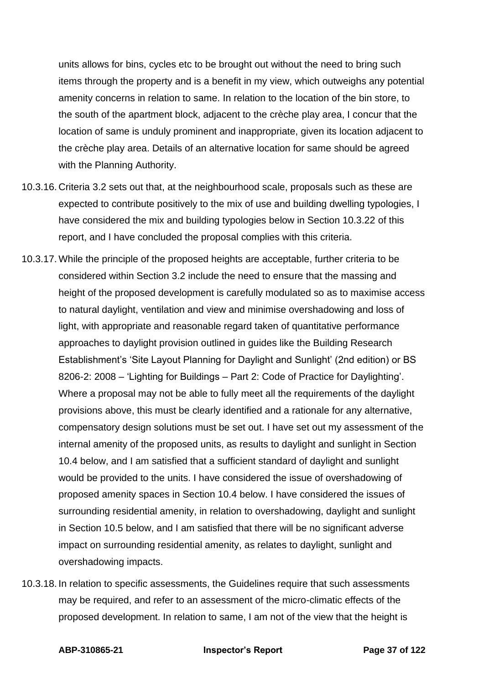units allows for bins, cycles etc to be brought out without the need to bring such items through the property and is a benefit in my view, which outweighs any potential amenity concerns in relation to same. In relation to the location of the bin store, to the south of the apartment block, adjacent to the crèche play area, I concur that the location of same is unduly prominent and inappropriate, given its location adjacent to the crèche play area. Details of an alternative location for same should be agreed with the Planning Authority.

- 10.3.16. Criteria 3.2 sets out that, at the neighbourhood scale, proposals such as these are expected to contribute positively to the mix of use and building dwelling typologies, I have considered the mix and building typologies below in Section 10.3.22 of this report, and I have concluded the proposal complies with this criteria.
- 10.3.17. While the principle of the proposed heights are acceptable, further criteria to be considered within Section 3.2 include the need to ensure that the massing and height of the proposed development is carefully modulated so as to maximise access to natural daylight, ventilation and view and minimise overshadowing and loss of light, with appropriate and reasonable regard taken of quantitative performance approaches to daylight provision outlined in guides like the Building Research Establishment's 'Site Layout Planning for Daylight and Sunlight' (2nd edition) or BS 8206-2: 2008 – 'Lighting for Buildings – Part 2: Code of Practice for Daylighting'. Where a proposal may not be able to fully meet all the requirements of the daylight provisions above, this must be clearly identified and a rationale for any alternative, compensatory design solutions must be set out. I have set out my assessment of the internal amenity of the proposed units, as results to daylight and sunlight in Section 10.4 below, and I am satisfied that a sufficient standard of daylight and sunlight would be provided to the units. I have considered the issue of overshadowing of proposed amenity spaces in Section 10.4 below. I have considered the issues of surrounding residential amenity, in relation to overshadowing, daylight and sunlight in Section 10.5 below, and I am satisfied that there will be no significant adverse impact on surrounding residential amenity, as relates to daylight, sunlight and overshadowing impacts.
- 10.3.18. In relation to specific assessments, the Guidelines require that such assessments may be required, and refer to an assessment of the micro-climatic effects of the proposed development. In relation to same, I am not of the view that the height is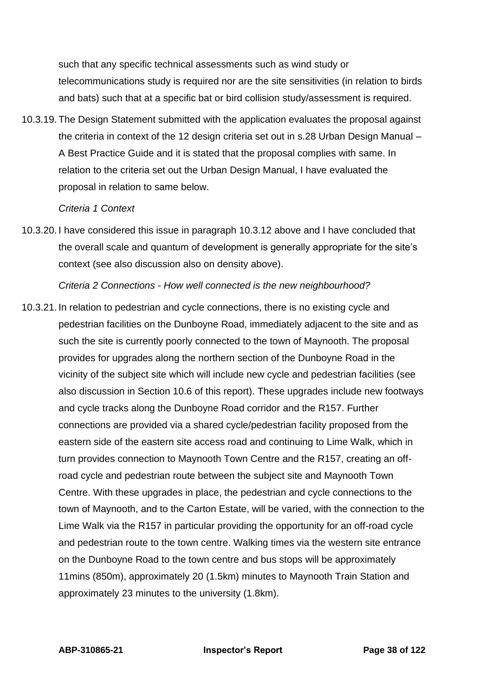such that any specific technical assessments such as wind study or telecommunications study is required nor are the site sensitivities (in relation to birds and bats) such that at a specific bat or bird collision study/assessment is required.

10.3.19. The Design Statement submitted with the application evaluates the proposal against the criteria in context of the 12 design criteria set out in s.28 Urban Design Manual – A Best Practice Guide and it is stated that the proposal complies with same. In relation to the criteria set out the Urban Design Manual, I have evaluated the proposal in relation to same below.

#### *Criteria 1 Context*

10.3.20. I have considered this issue in paragraph 10.3.12 above and I have concluded that the overall scale and quantum of development is generally appropriate for the site's context (see also discussion also on density above).

*Criteria 2 Connections - How well connected is the new neighbourhood?*

10.3.21. In relation to pedestrian and cycle connections, there is no existing cycle and pedestrian facilities on the Dunboyne Road, immediately adjacent to the site and as such the site is currently poorly connected to the town of Maynooth. The proposal provides for upgrades along the northern section of the Dunboyne Road in the vicinity of the subject site which will include new cycle and pedestrian facilities (see also discussion in Section 10.6 of this report). These upgrades include new footways and cycle tracks along the Dunboyne Road corridor and the R157. Further connections are provided via a shared cycle/pedestrian facility proposed from the eastern side of the eastern site access road and continuing to Lime Walk, which in turn provides connection to Maynooth Town Centre and the R157, creating an offroad cycle and pedestrian route between the subject site and Maynooth Town Centre. With these upgrades in place, the pedestrian and cycle connections to the town of Maynooth, and to the Carton Estate, will be varied, with the connection to the Lime Walk via the R157 in particular providing the opportunity for an off-road cycle and pedestrian route to the town centre. Walking times via the western site entrance on the Dunboyne Road to the town centre and bus stops will be approximately 11mins (850m), approximately 20 (1.5km) minutes to Maynooth Train Station and approximately 23 minutes to the university (1.8km).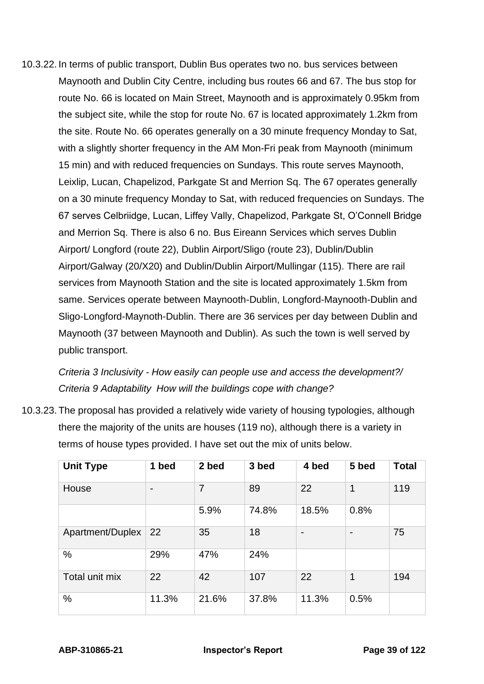10.3.22. In terms of public transport, Dublin Bus operates two no. bus services between Maynooth and Dublin City Centre, including bus routes 66 and 67. The bus stop for route No. 66 is located on Main Street, Maynooth and is approximately 0.95km from the subject site, while the stop for route No. 67 is located approximately 1.2km from the site. Route No. 66 operates generally on a 30 minute frequency Monday to Sat, with a slightly shorter frequency in the AM Mon-Fri peak from Maynooth (minimum 15 min) and with reduced frequencies on Sundays. This route serves Maynooth, Leixlip, Lucan, Chapelizod, Parkgate St and Merrion Sq. The 67 operates generally on a 30 minute frequency Monday to Sat, with reduced frequencies on Sundays. The 67 serves Celbriidge, Lucan, Liffey Vally, Chapelizod, Parkgate St, O'Connell Bridge and Merrion Sq. There is also 6 no. Bus Eireann Services which serves Dublin Airport/ Longford (route 22), Dublin Airport/Sligo (route 23), Dublin/Dublin Airport/Galway (20/X20) and Dublin/Dublin Airport/Mullingar (115). There are rail services from Maynooth Station and the site is located approximately 1.5km from same. Services operate between Maynooth-Dublin, Longford-Maynooth-Dublin and Sligo-Longford-Maynoth-Dublin. There are 36 services per day between Dublin and Maynooth (37 between Maynooth and Dublin). As such the town is well served by public transport.

*Criteria 3 Inclusivity - How easily can people use and access the development?/ Criteria 9 Adaptability How will the buildings cope with change?*

10.3.23. The proposal has provided a relatively wide variety of housing typologies, although there the majority of the units are houses (119 no), although there is a variety in terms of house types provided. I have set out the mix of units below.

| <b>Unit Type</b> | 1 bed | 2 bed | 3 bed | 4 bed          | 5 bed          | <b>Total</b> |
|------------------|-------|-------|-------|----------------|----------------|--------------|
| House            |       | 7     | 89    | 22             | $\mathbf{1}$   | 119          |
|                  |       | 5.9%  | 74.8% | 18.5%          | 0.8%           |              |
| Apartment/Duplex | 22    | 35    | 18    | $\blacksquare$ | $\blacksquare$ | 75           |
| %                | 29%   | 47%   | 24%   |                |                |              |
| Total unit mix   | 22    | 42    | 107   | 22             | $\mathbf 1$    | 194          |
| %                | 11.3% | 21.6% | 37.8% | 11.3%          | 0.5%           |              |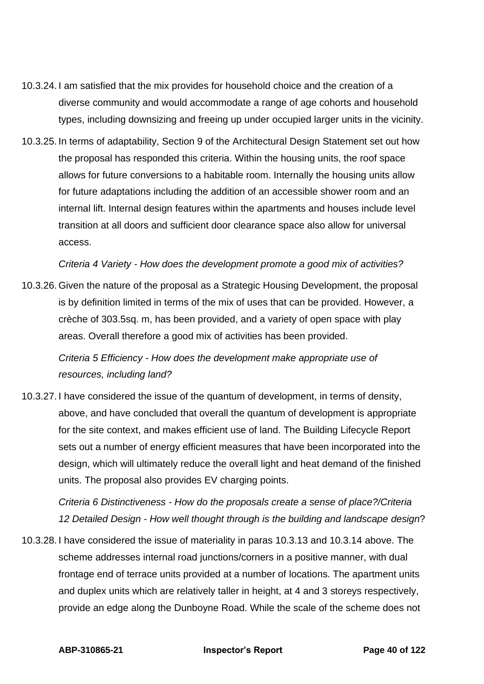- 10.3.24. I am satisfied that the mix provides for household choice and the creation of a diverse community and would accommodate a range of age cohorts and household types, including downsizing and freeing up under occupied larger units in the vicinity.
- 10.3.25. In terms of adaptability, Section 9 of the Architectural Design Statement set out how the proposal has responded this criteria. Within the housing units, the roof space allows for future conversions to a habitable room. Internally the housing units allow for future adaptations including the addition of an accessible shower room and an internal lift. Internal design features within the apartments and houses include level transition at all doors and sufficient door clearance space also allow for universal access.

*Criteria 4 Variety - How does the development promote a good mix of activities?*

10.3.26. Given the nature of the proposal as a Strategic Housing Development, the proposal is by definition limited in terms of the mix of uses that can be provided. However, a crèche of 303.5sq. m, has been provided, and a variety of open space with play areas. Overall therefore a good mix of activities has been provided.

*Criteria 5 Efficiency - How does the development make appropriate use of resources, including land?* 

10.3.27. I have considered the issue of the quantum of development, in terms of density, above, and have concluded that overall the quantum of development is appropriate for the site context, and makes efficient use of land. The Building Lifecycle Report sets out a number of energy efficient measures that have been incorporated into the design, which will ultimately reduce the overall light and heat demand of the finished units. The proposal also provides EV charging points.

*Criteria 6 Distinctiveness - How do the proposals create a sense of place?/Criteria 12 Detailed Design - How well thought through is the building and landscape design*?

10.3.28. I have considered the issue of materiality in paras 10.3.13 and 10.3.14 above. The scheme addresses internal road junctions/corners in a positive manner, with dual frontage end of terrace units provided at a number of locations. The apartment units and duplex units which are relatively taller in height, at 4 and 3 storeys respectively, provide an edge along the Dunboyne Road. While the scale of the scheme does not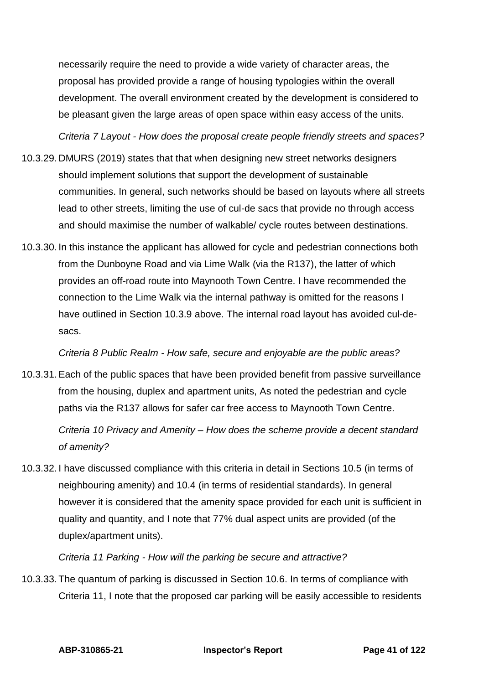necessarily require the need to provide a wide variety of character areas, the proposal has provided provide a range of housing typologies within the overall development. The overall environment created by the development is considered to be pleasant given the large areas of open space within easy access of the units.

*Criteria 7 Layout - How does the proposal create people friendly streets and spaces?* 

- 10.3.29. DMURS (2019) states that that when designing new street networks designers should implement solutions that support the development of sustainable communities. In general, such networks should be based on layouts where all streets lead to other streets, limiting the use of cul-de sacs that provide no through access and should maximise the number of walkable/ cycle routes between destinations.
- 10.3.30. In this instance the applicant has allowed for cycle and pedestrian connections both from the Dunboyne Road and via Lime Walk (via the R137), the latter of which provides an off-road route into Maynooth Town Centre. I have recommended the connection to the Lime Walk via the internal pathway is omitted for the reasons I have outlined in Section 10.3.9 above. The internal road layout has avoided cul-desacs.

*Criteria 8 Public Realm - How safe, secure and enjoyable are the public areas?* 

10.3.31. Each of the public spaces that have been provided benefit from passive surveillance from the housing, duplex and apartment units, As noted the pedestrian and cycle paths via the R137 allows for safer car free access to Maynooth Town Centre.

*Criteria 10 Privacy and Amenity – How does the scheme provide a decent standard of amenity?* 

10.3.32. I have discussed compliance with this criteria in detail in Sections 10.5 (in terms of neighbouring amenity) and 10.4 (in terms of residential standards). In general however it is considered that the amenity space provided for each unit is sufficient in quality and quantity, and I note that 77% dual aspect units are provided (of the duplex/apartment units).

*Criteria 11 Parking - How will the parking be secure and attractive?* 

10.3.33. The quantum of parking is discussed in Section 10.6. In terms of compliance with Criteria 11, I note that the proposed car parking will be easily accessible to residents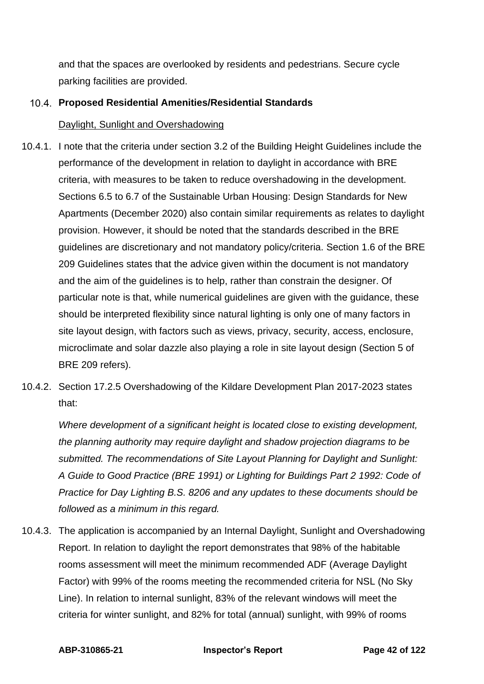and that the spaces are overlooked by residents and pedestrians. Secure cycle parking facilities are provided.

# **Proposed Residential Amenities/Residential Standards**

## Daylight, Sunlight and Overshadowing

- 10.4.1. I note that the criteria under section 3.2 of the Building Height Guidelines include the performance of the development in relation to daylight in accordance with BRE criteria, with measures to be taken to reduce overshadowing in the development. Sections 6.5 to 6.7 of the Sustainable Urban Housing: Design Standards for New Apartments (December 2020) also contain similar requirements as relates to daylight provision. However, it should be noted that the standards described in the BRE guidelines are discretionary and not mandatory policy/criteria. Section 1.6 of the BRE 209 Guidelines states that the advice given within the document is not mandatory and the aim of the guidelines is to help, rather than constrain the designer. Of particular note is that, while numerical guidelines are given with the guidance, these should be interpreted flexibility since natural lighting is only one of many factors in site layout design, with factors such as views, privacy, security, access, enclosure, microclimate and solar dazzle also playing a role in site layout design (Section 5 of BRE 209 refers).
- 10.4.2. Section 17.2.5 Overshadowing of the Kildare Development Plan 2017-2023 states that:

*Where development of a significant height is located close to existing development, the planning authority may require daylight and shadow projection diagrams to be submitted. The recommendations of Site Layout Planning for Daylight and Sunlight: A Guide to Good Practice (BRE 1991) or Lighting for Buildings Part 2 1992: Code of Practice for Day Lighting B.S. 8206 and any updates to these documents should be followed as a minimum in this regard.*

10.4.3. The application is accompanied by an Internal Daylight, Sunlight and Overshadowing Report. In relation to daylight the report demonstrates that 98% of the habitable rooms assessment will meet the minimum recommended ADF (Average Daylight Factor) with 99% of the rooms meeting the recommended criteria for NSL (No Sky Line). In relation to internal sunlight, 83% of the relevant windows will meet the criteria for winter sunlight, and 82% for total (annual) sunlight, with 99% of rooms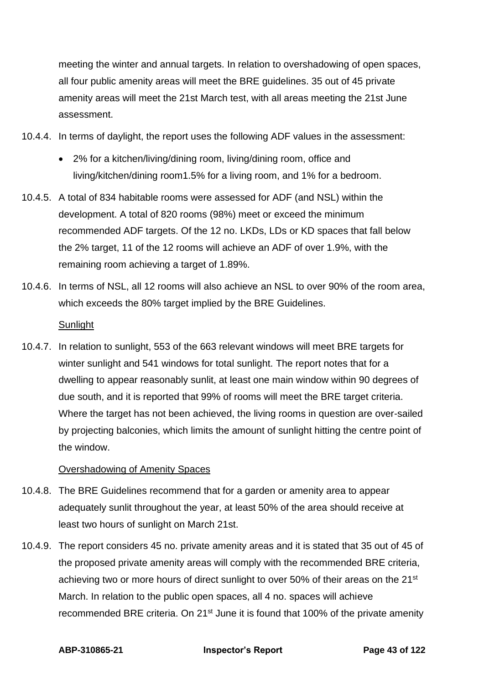meeting the winter and annual targets. In relation to overshadowing of open spaces, all four public amenity areas will meet the BRE guidelines. 35 out of 45 private amenity areas will meet the 21st March test, with all areas meeting the 21st June assessment.

- 10.4.4. In terms of daylight, the report uses the following ADF values in the assessment:
	- 2% for a kitchen/living/dining room, living/dining room, office and living/kitchen/dining room1.5% for a living room, and 1% for a bedroom.
- 10.4.5. A total of 834 habitable rooms were assessed for ADF (and NSL) within the development. A total of 820 rooms (98%) meet or exceed the minimum recommended ADF targets. Of the 12 no. LKDs, LDs or KD spaces that fall below the 2% target, 11 of the 12 rooms will achieve an ADF of over 1.9%, with the remaining room achieving a target of 1.89%.
- 10.4.6. In terms of NSL, all 12 rooms will also achieve an NSL to over 90% of the room area, which exceeds the 80% target implied by the BRE Guidelines.

# **Sunlight**

10.4.7. In relation to sunlight, 553 of the 663 relevant windows will meet BRE targets for winter sunlight and 541 windows for total sunlight. The report notes that for a dwelling to appear reasonably sunlit, at least one main window within 90 degrees of due south, and it is reported that 99% of rooms will meet the BRE target criteria. Where the target has not been achieved, the living rooms in question are over-sailed by projecting balconies, which limits the amount of sunlight hitting the centre point of the window.

# Overshadowing of Amenity Spaces

- 10.4.8. The BRE Guidelines recommend that for a garden or amenity area to appear adequately sunlit throughout the year, at least 50% of the area should receive at least two hours of sunlight on March 21st.
- 10.4.9. The report considers 45 no. private amenity areas and it is stated that 35 out of 45 of the proposed private amenity areas will comply with the recommended BRE criteria, achieving two or more hours of direct sunlight to over 50% of their areas on the 21<sup>st</sup> March. In relation to the public open spaces, all 4 no. spaces will achieve recommended BRE criteria. On 21<sup>st</sup> June it is found that 100% of the private amenity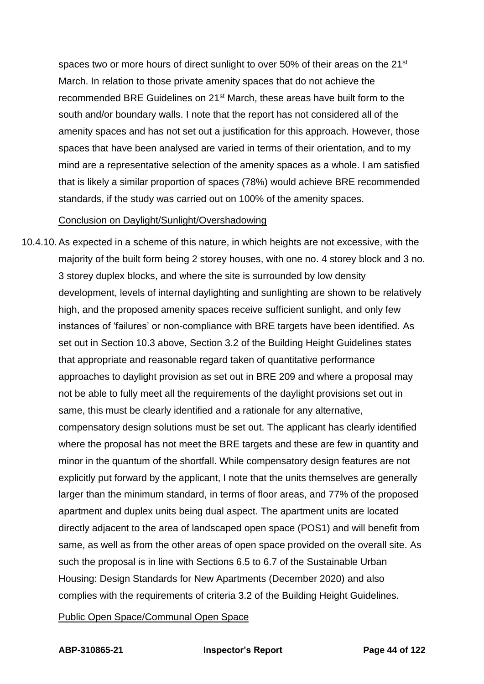spaces two or more hours of direct sunlight to over 50% of their areas on the 21<sup>st</sup> March. In relation to those private amenity spaces that do not achieve the recommended BRE Guidelines on 21st March, these areas have built form to the south and/or boundary walls. I note that the report has not considered all of the amenity spaces and has not set out a justification for this approach. However, those spaces that have been analysed are varied in terms of their orientation, and to my mind are a representative selection of the amenity spaces as a whole. I am satisfied that is likely a similar proportion of spaces (78%) would achieve BRE recommended standards, if the study was carried out on 100% of the amenity spaces.

#### Conclusion on Daylight/Sunlight/Overshadowing

10.4.10. As expected in a scheme of this nature, in which heights are not excessive, with the majority of the built form being 2 storey houses, with one no. 4 storey block and 3 no. 3 storey duplex blocks, and where the site is surrounded by low density development, levels of internal daylighting and sunlighting are shown to be relatively high, and the proposed amenity spaces receive sufficient sunlight, and only few instances of 'failures' or non-compliance with BRE targets have been identified. As set out in Section 10.3 above, Section 3.2 of the Building Height Guidelines states that appropriate and reasonable regard taken of quantitative performance approaches to daylight provision as set out in BRE 209 and where a proposal may not be able to fully meet all the requirements of the daylight provisions set out in same, this must be clearly identified and a rationale for any alternative, compensatory design solutions must be set out. The applicant has clearly identified where the proposal has not meet the BRE targets and these are few in quantity and minor in the quantum of the shortfall. While compensatory design features are not explicitly put forward by the applicant, I note that the units themselves are generally larger than the minimum standard, in terms of floor areas, and 77% of the proposed apartment and duplex units being dual aspect. The apartment units are located directly adjacent to the area of landscaped open space (POS1) and will benefit from same, as well as from the other areas of open space provided on the overall site. As such the proposal is in line with Sections 6.5 to 6.7 of the Sustainable Urban Housing: Design Standards for New Apartments (December 2020) and also complies with the requirements of criteria 3.2 of the Building Height Guidelines.

#### Public Open Space/Communal Open Space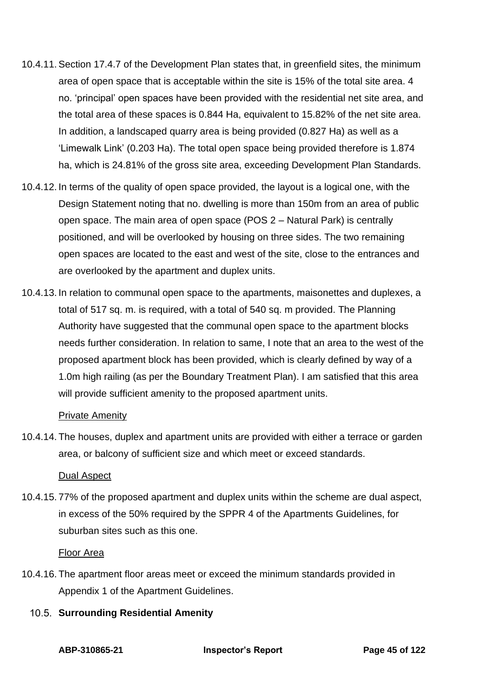- 10.4.11. Section 17.4.7 of the Development Plan states that, in greenfield sites, the minimum area of open space that is acceptable within the site is 15% of the total site area. 4 no. 'principal' open spaces have been provided with the residential net site area, and the total area of these spaces is 0.844 Ha, equivalent to 15.82% of the net site area. In addition, a landscaped quarry area is being provided (0.827 Ha) as well as a 'Limewalk Link' (0.203 Ha). The total open space being provided therefore is 1.874 ha, which is 24.81% of the gross site area, exceeding Development Plan Standards.
- 10.4.12. In terms of the quality of open space provided, the layout is a logical one, with the Design Statement noting that no. dwelling is more than 150m from an area of public open space. The main area of open space (POS 2 – Natural Park) is centrally positioned, and will be overlooked by housing on three sides. The two remaining open spaces are located to the east and west of the site, close to the entrances and are overlooked by the apartment and duplex units.
- 10.4.13. In relation to communal open space to the apartments, maisonettes and duplexes, a total of 517 sq. m. is required, with a total of 540 sq. m provided. The Planning Authority have suggested that the communal open space to the apartment blocks needs further consideration. In relation to same, I note that an area to the west of the proposed apartment block has been provided, which is clearly defined by way of a 1.0m high railing (as per the Boundary Treatment Plan). I am satisfied that this area will provide sufficient amenity to the proposed apartment units.

## Private Amenity

10.4.14. The houses, duplex and apartment units are provided with either a terrace or garden area, or balcony of sufficient size and which meet or exceed standards.

## Dual Aspect

10.4.15. 77% of the proposed apartment and duplex units within the scheme are dual aspect, in excess of the 50% required by the SPPR 4 of the Apartments Guidelines, for suburban sites such as this one.

## Floor Area

- 10.4.16. The apartment floor areas meet or exceed the minimum standards provided in Appendix 1 of the Apartment Guidelines.
	- **10.5. Surrounding Residential Amenity**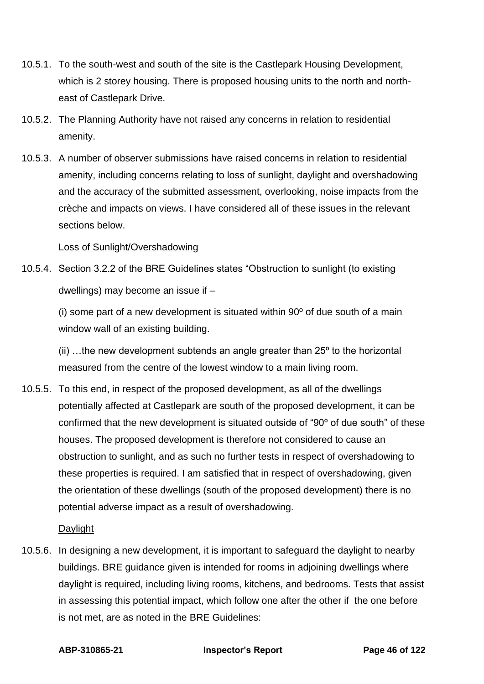- 10.5.1. To the south-west and south of the site is the Castlepark Housing Development, which is 2 storey housing. There is proposed housing units to the north and northeast of Castlepark Drive.
- 10.5.2. The Planning Authority have not raised any concerns in relation to residential amenity.
- 10.5.3. A number of observer submissions have raised concerns in relation to residential amenity, including concerns relating to loss of sunlight, daylight and overshadowing and the accuracy of the submitted assessment, overlooking, noise impacts from the crèche and impacts on views. I have considered all of these issues in the relevant sections below.

## Loss of Sunlight/Overshadowing

10.5.4. Section 3.2.2 of the BRE Guidelines states "Obstruction to sunlight (to existing dwellings) may become an issue if –

(i) some part of a new development is situated within 90º of due south of a main window wall of an existing building.

(ii) …the new development subtends an angle greater than 25º to the horizontal measured from the centre of the lowest window to a main living room.

10.5.5. To this end, in respect of the proposed development, as all of the dwellings potentially affected at Castlepark are south of the proposed development, it can be confirmed that the new development is situated outside of "90º of due south" of these houses. The proposed development is therefore not considered to cause an obstruction to sunlight, and as such no further tests in respect of overshadowing to these properties is required. I am satisfied that in respect of overshadowing, given the orientation of these dwellings (south of the proposed development) there is no potential adverse impact as a result of overshadowing.

# Daylight

10.5.6. In designing a new development, it is important to safeguard the daylight to nearby buildings. BRE guidance given is intended for rooms in adjoining dwellings where daylight is required, including living rooms, kitchens, and bedrooms. Tests that assist in assessing this potential impact, which follow one after the other if the one before is not met, are as noted in the BRE Guidelines: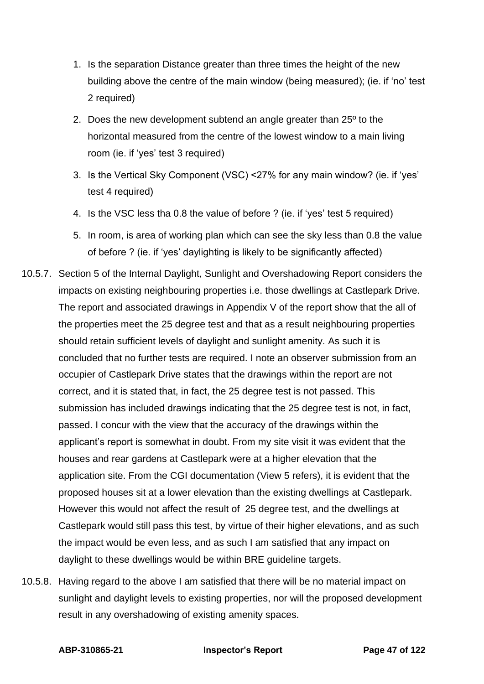- 1. Is the separation Distance greater than three times the height of the new building above the centre of the main window (being measured); (ie. if 'no' test 2 required)
- 2. Does the new development subtend an angle greater than 25º to the horizontal measured from the centre of the lowest window to a main living room (ie. if 'yes' test 3 required)
- 3. Is the Vertical Sky Component (VSC) <27% for any main window? (ie. if 'yes' test 4 required)
- 4. Is the VSC less tha 0.8 the value of before ? (ie. if 'yes' test 5 required)
- 5. In room, is area of working plan which can see the sky less than 0.8 the value of before ? (ie. if 'yes' daylighting is likely to be significantly affected)
- 10.5.7. Section 5 of the Internal Daylight, Sunlight and Overshadowing Report considers the impacts on existing neighbouring properties i.e. those dwellings at Castlepark Drive. The report and associated drawings in Appendix V of the report show that the all of the properties meet the 25 degree test and that as a result neighbouring properties should retain sufficient levels of daylight and sunlight amenity. As such it is concluded that no further tests are required. I note an observer submission from an occupier of Castlepark Drive states that the drawings within the report are not correct, and it is stated that, in fact, the 25 degree test is not passed. This submission has included drawings indicating that the 25 degree test is not, in fact, passed. I concur with the view that the accuracy of the drawings within the applicant's report is somewhat in doubt. From my site visit it was evident that the houses and rear gardens at Castlepark were at a higher elevation that the application site. From the CGI documentation (View 5 refers), it is evident that the proposed houses sit at a lower elevation than the existing dwellings at Castlepark. However this would not affect the result of 25 degree test, and the dwellings at Castlepark would still pass this test, by virtue of their higher elevations, and as such the impact would be even less, and as such I am satisfied that any impact on daylight to these dwellings would be within BRE guideline targets.
- 10.5.8. Having regard to the above I am satisfied that there will be no material impact on sunlight and daylight levels to existing properties, nor will the proposed development result in any overshadowing of existing amenity spaces.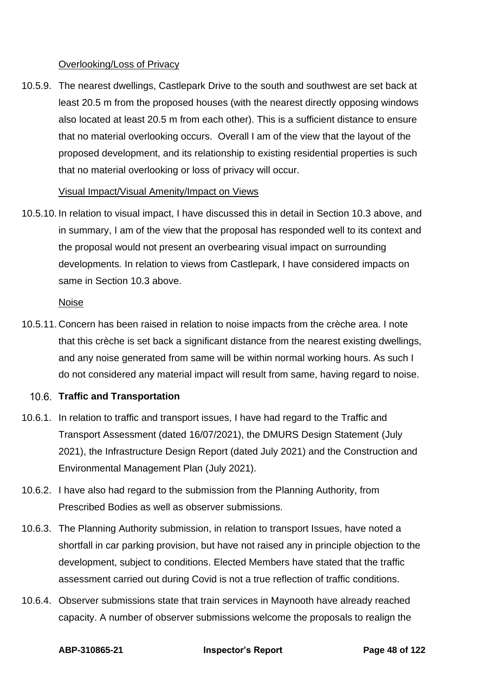# Overlooking/Loss of Privacy

10.5.9. The nearest dwellings, Castlepark Drive to the south and southwest are set back at least 20.5 m from the proposed houses (with the nearest directly opposing windows also located at least 20.5 m from each other). This is a sufficient distance to ensure that no material overlooking occurs. Overall I am of the view that the layout of the proposed development, and its relationship to existing residential properties is such that no material overlooking or loss of privacy will occur.

## Visual Impact/Visual Amenity/Impact on Views

10.5.10. In relation to visual impact, I have discussed this in detail in Section 10.3 above, and in summary, I am of the view that the proposal has responded well to its context and the proposal would not present an overbearing visual impact on surrounding developments*.* In relation to views from Castlepark, I have considered impacts on same in Section 10.3 above.

## Noise

10.5.11. Concern has been raised in relation to noise impacts from the crèche area. I note that this crèche is set back a significant distance from the nearest existing dwellings, and any noise generated from same will be within normal working hours. As such I do not considered any material impact will result from same, having regard to noise.

# **Traffic and Transportation**

- 10.6.1. In relation to traffic and transport issues, I have had regard to the Traffic and Transport Assessment (dated 16/07/2021), the DMURS Design Statement (July 2021), the Infrastructure Design Report (dated July 2021) and the Construction and Environmental Management Plan (July 2021).
- 10.6.2. I have also had regard to the submission from the Planning Authority, from Prescribed Bodies as well as observer submissions.
- 10.6.3. The Planning Authority submission, in relation to transport Issues, have noted a shortfall in car parking provision, but have not raised any in principle objection to the development, subject to conditions. Elected Members have stated that the traffic assessment carried out during Covid is not a true reflection of traffic conditions.
- 10.6.4. Observer submissions state that train services in Maynooth have already reached capacity. A number of observer submissions welcome the proposals to realign the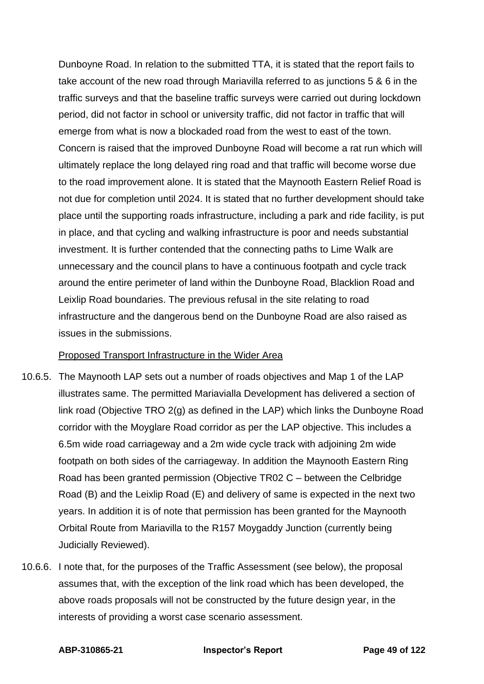Dunboyne Road. In relation to the submitted TTA, it is stated that the report fails to take account of the new road through Mariavilla referred to as junctions 5 & 6 in the traffic surveys and that the baseline traffic surveys were carried out during lockdown period, did not factor in school or university traffic, did not factor in traffic that will emerge from what is now a blockaded road from the west to east of the town. Concern is raised that the improved Dunboyne Road will become a rat run which will ultimately replace the long delayed ring road and that traffic will become worse due to the road improvement alone. It is stated that the Maynooth Eastern Relief Road is not due for completion until 2024. It is stated that no further development should take place until the supporting roads infrastructure, including a park and ride facility, is put in place, and that cycling and walking infrastructure is poor and needs substantial investment. It is further contended that the connecting paths to Lime Walk are unnecessary and the council plans to have a continuous footpath and cycle track around the entire perimeter of land within the Dunboyne Road, Blacklion Road and Leixlip Road boundaries. The previous refusal in the site relating to road infrastructure and the dangerous bend on the Dunboyne Road are also raised as issues in the submissions.

## Proposed Transport Infrastructure in the Wider Area

- 10.6.5. The Maynooth LAP sets out a number of roads objectives and Map 1 of the LAP illustrates same. The permitted Mariavialla Development has delivered a section of link road (Objective TRO 2(g) as defined in the LAP) which links the Dunboyne Road corridor with the Moyglare Road corridor as per the LAP objective. This includes a 6.5m wide road carriageway and a 2m wide cycle track with adjoining 2m wide footpath on both sides of the carriageway. In addition the Maynooth Eastern Ring Road has been granted permission (Objective TR02 C – between the Celbridge Road (B) and the Leixlip Road (E) and delivery of same is expected in the next two years. In addition it is of note that permission has been granted for the Maynooth Orbital Route from Mariavilla to the R157 Moygaddy Junction (currently being Judicially Reviewed).
- 10.6.6. I note that, for the purposes of the Traffic Assessment (see below), the proposal assumes that, with the exception of the link road which has been developed, the above roads proposals will not be constructed by the future design year, in the interests of providing a worst case scenario assessment.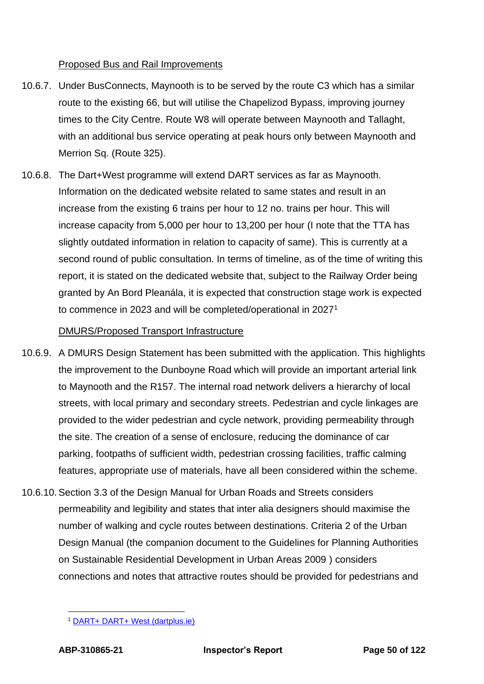# Proposed Bus and Rail Improvements

- 10.6.7. Under BusConnects, Maynooth is to be served by the route C3 which has a similar route to the existing 66, but will utilise the Chapelizod Bypass, improving journey times to the City Centre. Route W8 will operate between Maynooth and Tallaght, with an additional bus service operating at peak hours only between Maynooth and Merrion Sq. (Route 325).
- 10.6.8. The Dart+West programme will extend DART services as far as Maynooth. Information on the dedicated website related to same states and result in an increase from the existing 6 trains per hour to 12 no. trains per hour. This will increase capacity from 5,000 per hour to 13,200 per hour (I note that the TTA has slightly outdated information in relation to capacity of same). This is currently at a second round of public consultation. In terms of timeline, as of the time of writing this report, it is stated on the dedicated website that, subject to the Railway Order being granted by An Bord Pleanála, it is expected that construction stage work is expected to commence in 2023 and will be completed/operational in 2027<sup>1</sup>

# DMURS/Proposed Transport Infrastructure

- 10.6.9. A DMURS Design Statement has been submitted with the application. This highlights the improvement to the Dunboyne Road which will provide an important arterial link to Maynooth and the R157. The internal road network delivers a hierarchy of local streets, with local primary and secondary streets. Pedestrian and cycle linkages are provided to the wider pedestrian and cycle network, providing permeability through the site. The creation of a sense of enclosure, reducing the dominance of car parking, footpaths of sufficient width, pedestrian crossing facilities, traffic calming features, appropriate use of materials, have all been considered within the scheme.
- 10.6.10. Section 3.3 of the Design Manual for Urban Roads and Streets considers permeability and legibility and states that inter alia designers should maximise the number of walking and cycle routes between destinations. Criteria 2 of the Urban Design Manual (the companion document to the Guidelines for Planning Authorities on Sustainable Residential Development in Urban Areas 2009 ) considers connections and notes that attractive routes should be provided for pedestrians and

<sup>1</sup> [DART+ DART+ West \(dartplus.ie\)](https://www.dartplus.ie/en-ie/projects/dart-west)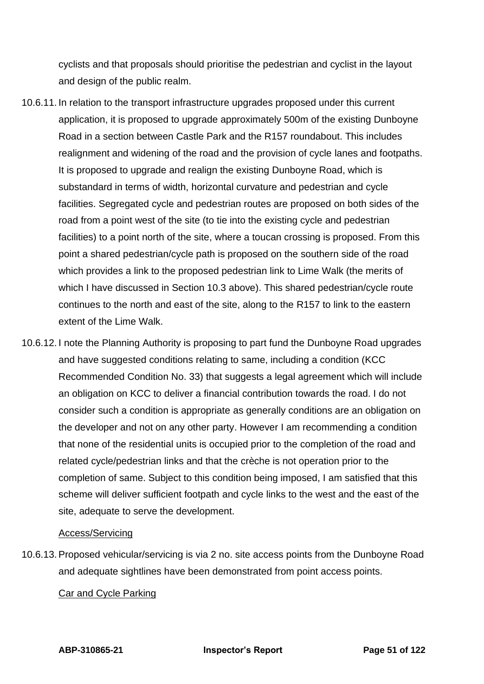cyclists and that proposals should prioritise the pedestrian and cyclist in the layout and design of the public realm.

- 10.6.11. In relation to the transport infrastructure upgrades proposed under this current application, it is proposed to upgrade approximately 500m of the existing Dunboyne Road in a section between Castle Park and the R157 roundabout. This includes realignment and widening of the road and the provision of cycle lanes and footpaths. It is proposed to upgrade and realign the existing Dunboyne Road, which is substandard in terms of width, horizontal curvature and pedestrian and cycle facilities. Segregated cycle and pedestrian routes are proposed on both sides of the road from a point west of the site (to tie into the existing cycle and pedestrian facilities) to a point north of the site, where a toucan crossing is proposed. From this point a shared pedestrian/cycle path is proposed on the southern side of the road which provides a link to the proposed pedestrian link to Lime Walk (the merits of which I have discussed in Section 10.3 above). This shared pedestrian/cycle route continues to the north and east of the site, along to the R157 to link to the eastern extent of the Lime Walk.
- 10.6.12. I note the Planning Authority is proposing to part fund the Dunboyne Road upgrades and have suggested conditions relating to same, including a condition (KCC Recommended Condition No. 33) that suggests a legal agreement which will include an obligation on KCC to deliver a financial contribution towards the road. I do not consider such a condition is appropriate as generally conditions are an obligation on the developer and not on any other party. However I am recommending a condition that none of the residential units is occupied prior to the completion of the road and related cycle/pedestrian links and that the crèche is not operation prior to the completion of same. Subject to this condition being imposed, I am satisfied that this scheme will deliver sufficient footpath and cycle links to the west and the east of the site, adequate to serve the development.

## Access/Servicing

10.6.13. Proposed vehicular/servicing is via 2 no. site access points from the Dunboyne Road and adequate sightlines have been demonstrated from point access points.

## Car and Cycle Parking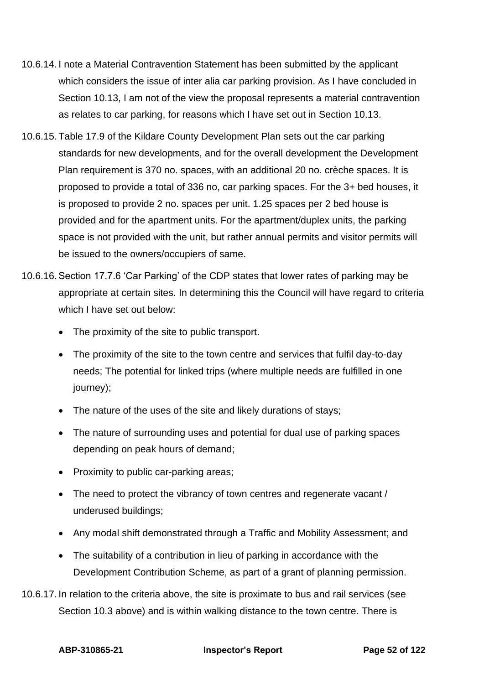- 10.6.14. I note a Material Contravention Statement has been submitted by the applicant which considers the issue of inter alia car parking provision. As I have concluded in Section 10.13, I am not of the view the proposal represents a material contravention as relates to car parking, for reasons which I have set out in Section 10.13.
- 10.6.15. Table 17.9 of the Kildare County Development Plan sets out the car parking standards for new developments, and for the overall development the Development Plan requirement is 370 no. spaces, with an additional 20 no. crèche spaces. It is proposed to provide a total of 336 no, car parking spaces. For the 3+ bed houses, it is proposed to provide 2 no. spaces per unit. 1.25 spaces per 2 bed house is provided and for the apartment units. For the apartment/duplex units, the parking space is not provided with the unit, but rather annual permits and visitor permits will be issued to the owners/occupiers of same.
- 10.6.16. Section 17.7.6 'Car Parking' of the CDP states that lower rates of parking may be appropriate at certain sites. In determining this the Council will have regard to criteria which I have set out below:
	- The proximity of the site to public transport.
	- The proximity of the site to the town centre and services that fulfil day-to-day needs; The potential for linked trips (where multiple needs are fulfilled in one journey);
	- The nature of the uses of the site and likely durations of stays;
	- The nature of surrounding uses and potential for dual use of parking spaces depending on peak hours of demand;
	- Proximity to public car-parking areas;
	- The need to protect the vibrancy of town centres and regenerate vacant / underused buildings;
	- Any modal shift demonstrated through a Traffic and Mobility Assessment; and
	- The suitability of a contribution in lieu of parking in accordance with the Development Contribution Scheme, as part of a grant of planning permission.
- 10.6.17. In relation to the criteria above, the site is proximate to bus and rail services (see Section 10.3 above) and is within walking distance to the town centre. There is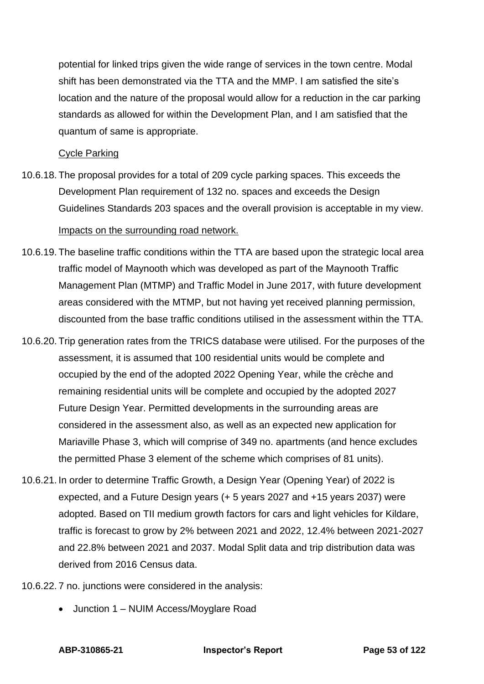potential for linked trips given the wide range of services in the town centre. Modal shift has been demonstrated via the TTA and the MMP. I am satisfied the site's location and the nature of the proposal would allow for a reduction in the car parking standards as allowed for within the Development Plan, and I am satisfied that the quantum of same is appropriate.

# Cycle Parking

10.6.18. The proposal provides for a total of 209 cycle parking spaces. This exceeds the Development Plan requirement of 132 no. spaces and exceeds the Design Guidelines Standards 203 spaces and the overall provision is acceptable in my view.

# Impacts on the surrounding road network.

- 10.6.19. The baseline traffic conditions within the TTA are based upon the strategic local area traffic model of Maynooth which was developed as part of the Maynooth Traffic Management Plan (MTMP) and Traffic Model in June 2017, with future development areas considered with the MTMP, but not having yet received planning permission, discounted from the base traffic conditions utilised in the assessment within the TTA.
- 10.6.20. Trip generation rates from the TRICS database were utilised. For the purposes of the assessment, it is assumed that 100 residential units would be complete and occupied by the end of the adopted 2022 Opening Year, while the crèche and remaining residential units will be complete and occupied by the adopted 2027 Future Design Year. Permitted developments in the surrounding areas are considered in the assessment also, as well as an expected new application for Mariaville Phase 3, which will comprise of 349 no. apartments (and hence excludes the permitted Phase 3 element of the scheme which comprises of 81 units).
- 10.6.21. In order to determine Traffic Growth, a Design Year (Opening Year) of 2022 is expected, and a Future Design years (+ 5 years 2027 and +15 years 2037) were adopted. Based on TII medium growth factors for cars and light vehicles for Kildare, traffic is forecast to grow by 2% between 2021 and 2022, 12.4% between 2021-2027 and 22.8% between 2021 and 2037. Modal Split data and trip distribution data was derived from 2016 Census data.
- 10.6.22. 7 no. junctions were considered in the analysis:
	- Junction 1 NUIM Access/Moyglare Road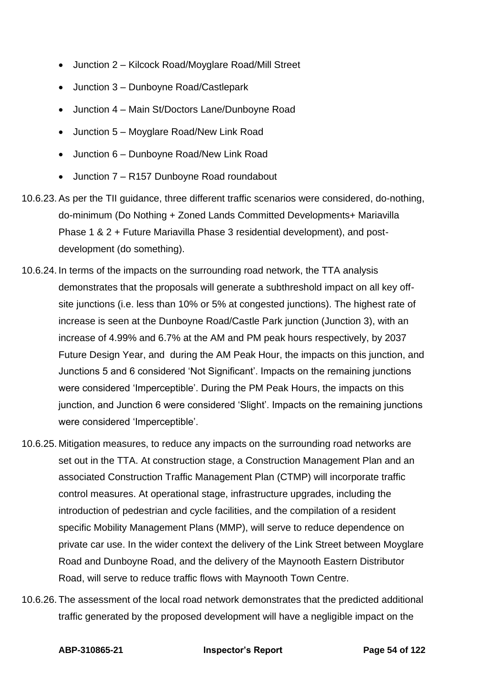- Junction 2 Kilcock Road/Moyglare Road/Mill Street
- Junction 3 Dunboyne Road/Castlepark
- Junction 4 Main St/Doctors Lane/Dunboyne Road
- Junction 5 Moyglare Road/New Link Road
- Junction 6 Dunboyne Road/New Link Road
- Junction 7 R157 Dunboyne Road roundabout
- 10.6.23. As per the TII guidance, three different traffic scenarios were considered, do-nothing, do-minimum (Do Nothing + Zoned Lands Committed Developments+ Mariavilla Phase 1 & 2 + Future Mariavilla Phase 3 residential development), and postdevelopment (do something).
- 10.6.24. In terms of the impacts on the surrounding road network, the TTA analysis demonstrates that the proposals will generate a subthreshold impact on all key offsite junctions (i.e. less than 10% or 5% at congested junctions). The highest rate of increase is seen at the Dunboyne Road/Castle Park junction (Junction 3), with an increase of 4.99% and 6.7% at the AM and PM peak hours respectively, by 2037 Future Design Year, and during the AM Peak Hour, the impacts on this junction, and Junctions 5 and 6 considered 'Not Significant'. Impacts on the remaining junctions were considered 'Imperceptible'. During the PM Peak Hours, the impacts on this junction, and Junction 6 were considered 'Slight'. Impacts on the remaining junctions were considered 'Imperceptible'.
- 10.6.25. Mitigation measures, to reduce any impacts on the surrounding road networks are set out in the TTA. At construction stage, a Construction Management Plan and an associated Construction Traffic Management Plan (CTMP) will incorporate traffic control measures. At operational stage, infrastructure upgrades, including the introduction of pedestrian and cycle facilities, and the compilation of a resident specific Mobility Management Plans (MMP), will serve to reduce dependence on private car use. In the wider context the delivery of the Link Street between Moyglare Road and Dunboyne Road, and the delivery of the Maynooth Eastern Distributor Road, will serve to reduce traffic flows with Maynooth Town Centre.
- 10.6.26. The assessment of the local road network demonstrates that the predicted additional traffic generated by the proposed development will have a negligible impact on the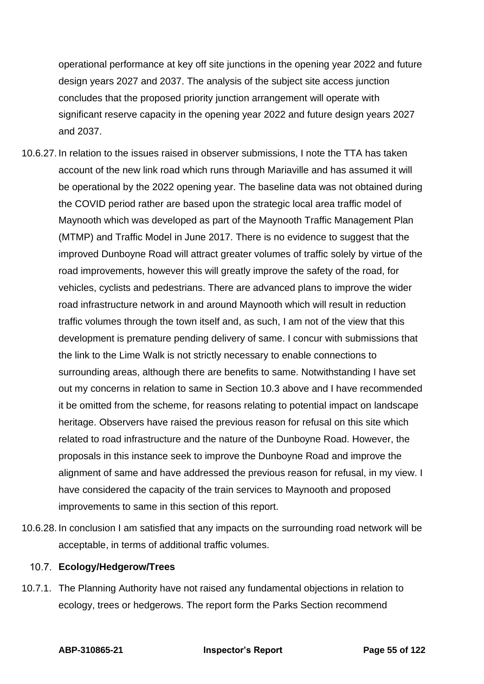operational performance at key off site junctions in the opening year 2022 and future design years 2027 and 2037. The analysis of the subject site access junction concludes that the proposed priority junction arrangement will operate with significant reserve capacity in the opening year 2022 and future design years 2027 and 2037.

- 10.6.27. In relation to the issues raised in observer submissions, I note the TTA has taken account of the new link road which runs through Mariaville and has assumed it will be operational by the 2022 opening year. The baseline data was not obtained during the COVID period rather are based upon the strategic local area traffic model of Maynooth which was developed as part of the Maynooth Traffic Management Plan (MTMP) and Traffic Model in June 2017. There is no evidence to suggest that the improved Dunboyne Road will attract greater volumes of traffic solely by virtue of the road improvements, however this will greatly improve the safety of the road, for vehicles, cyclists and pedestrians. There are advanced plans to improve the wider road infrastructure network in and around Maynooth which will result in reduction traffic volumes through the town itself and, as such, I am not of the view that this development is premature pending delivery of same. I concur with submissions that the link to the Lime Walk is not strictly necessary to enable connections to surrounding areas, although there are benefits to same. Notwithstanding I have set out my concerns in relation to same in Section 10.3 above and I have recommended it be omitted from the scheme, for reasons relating to potential impact on landscape heritage. Observers have raised the previous reason for refusal on this site which related to road infrastructure and the nature of the Dunboyne Road. However, the proposals in this instance seek to improve the Dunboyne Road and improve the alignment of same and have addressed the previous reason for refusal, in my view. I have considered the capacity of the train services to Maynooth and proposed improvements to same in this section of this report.
- 10.6.28. In conclusion I am satisfied that any impacts on the surrounding road network will be acceptable, in terms of additional traffic volumes.

## **Ecology/Hedgerow/Trees**

10.7.1. The Planning Authority have not raised any fundamental objections in relation to ecology, trees or hedgerows. The report form the Parks Section recommend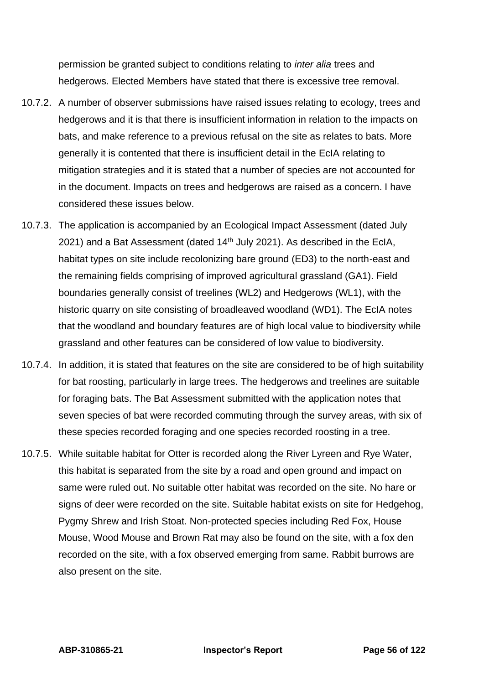permission be granted subject to conditions relating to *inter alia* trees and hedgerows. Elected Members have stated that there is excessive tree removal.

- 10.7.2. A number of observer submissions have raised issues relating to ecology, trees and hedgerows and it is that there is insufficient information in relation to the impacts on bats, and make reference to a previous refusal on the site as relates to bats. More generally it is contented that there is insufficient detail in the EcIA relating to mitigation strategies and it is stated that a number of species are not accounted for in the document. Impacts on trees and hedgerows are raised as a concern. I have considered these issues below.
- 10.7.3. The application is accompanied by an Ecological Impact Assessment (dated July 2021) and a Bat Assessment (dated 14<sup>th</sup> July 2021). As described in the EcIA, habitat types on site include recolonizing bare ground (ED3) to the north-east and the remaining fields comprising of improved agricultural grassland (GA1). Field boundaries generally consist of treelines (WL2) and Hedgerows (WL1), with the historic quarry on site consisting of broadleaved woodland (WD1). The EcIA notes that the woodland and boundary features are of high local value to biodiversity while grassland and other features can be considered of low value to biodiversity.
- 10.7.4. In addition, it is stated that features on the site are considered to be of high suitability for bat roosting, particularly in large trees. The hedgerows and treelines are suitable for foraging bats. The Bat Assessment submitted with the application notes that seven species of bat were recorded commuting through the survey areas, with six of these species recorded foraging and one species recorded roosting in a tree.
- 10.7.5. While suitable habitat for Otter is recorded along the River Lyreen and Rye Water, this habitat is separated from the site by a road and open ground and impact on same were ruled out. No suitable otter habitat was recorded on the site. No hare or signs of deer were recorded on the site. Suitable habitat exists on site for Hedgehog, Pygmy Shrew and Irish Stoat. Non-protected species including Red Fox, House Mouse, Wood Mouse and Brown Rat may also be found on the site, with a fox den recorded on the site, with a fox observed emerging from same. Rabbit burrows are also present on the site.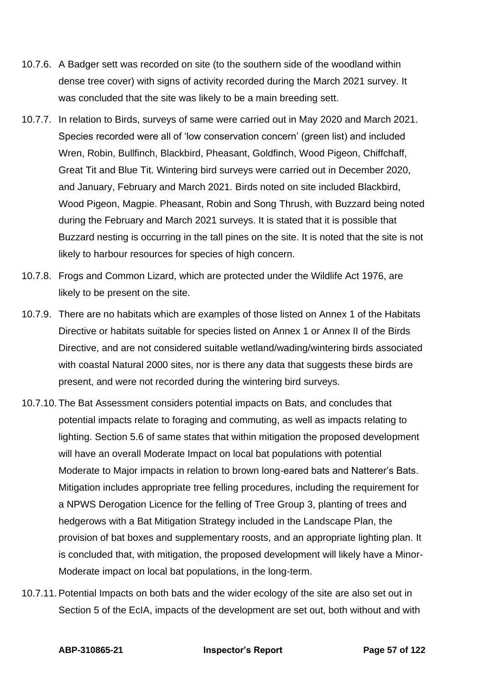- 10.7.6. A Badger sett was recorded on site (to the southern side of the woodland within dense tree cover) with signs of activity recorded during the March 2021 survey. It was concluded that the site was likely to be a main breeding sett.
- 10.7.7. In relation to Birds, surveys of same were carried out in May 2020 and March 2021. Species recorded were all of 'low conservation concern' (green list) and included Wren, Robin, Bullfinch, Blackbird, Pheasant, Goldfinch, Wood Pigeon, Chiffchaff, Great Tit and Blue Tit. Wintering bird surveys were carried out in December 2020, and January, February and March 2021. Birds noted on site included Blackbird, Wood Pigeon, Magpie. Pheasant, Robin and Song Thrush, with Buzzard being noted during the February and March 2021 surveys. It is stated that it is possible that Buzzard nesting is occurring in the tall pines on the site. It is noted that the site is not likely to harbour resources for species of high concern.
- 10.7.8. Frogs and Common Lizard, which are protected under the Wildlife Act 1976, are likely to be present on the site.
- 10.7.9. There are no habitats which are examples of those listed on Annex 1 of the Habitats Directive or habitats suitable for species listed on Annex 1 or Annex II of the Birds Directive, and are not considered suitable wetland/wading/wintering birds associated with coastal Natural 2000 sites, nor is there any data that suggests these birds are present, and were not recorded during the wintering bird surveys.
- 10.7.10. The Bat Assessment considers potential impacts on Bats, and concludes that potential impacts relate to foraging and commuting, as well as impacts relating to lighting. Section 5.6 of same states that within mitigation the proposed development will have an overall Moderate Impact on local bat populations with potential Moderate to Major impacts in relation to brown long-eared bats and Natterer's Bats. Mitigation includes appropriate tree felling procedures, including the requirement for a NPWS Derogation Licence for the felling of Tree Group 3, planting of trees and hedgerows with a Bat Mitigation Strategy included in the Landscape Plan, the provision of bat boxes and supplementary roosts, and an appropriate lighting plan. It is concluded that, with mitigation, the proposed development will likely have a Minor-Moderate impact on local bat populations, in the long-term.
- 10.7.11. Potential Impacts on both bats and the wider ecology of the site are also set out in Section 5 of the EcIA, impacts of the development are set out, both without and with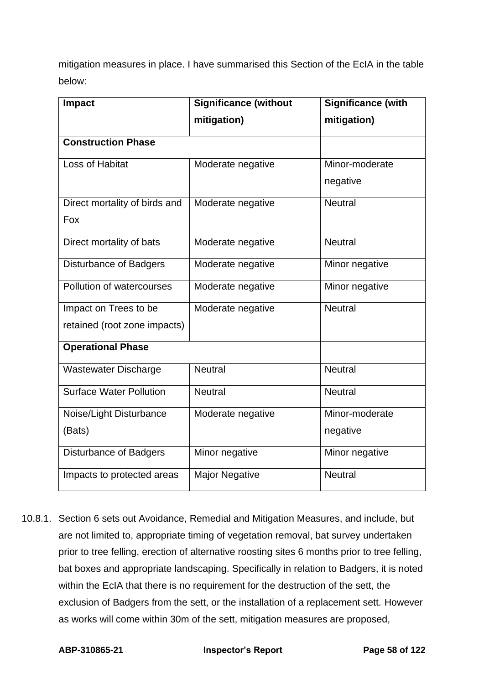mitigation measures in place. I have summarised this Section of the EcIA in the table below:

| <b>Impact</b>                  | <b>Significance (without</b> | Significance (with |  |
|--------------------------------|------------------------------|--------------------|--|
|                                | mitigation)                  | mitigation)        |  |
| <b>Construction Phase</b>      |                              |                    |  |
| Loss of Habitat                | Moderate negative            | Minor-moderate     |  |
|                                |                              | negative           |  |
| Direct mortality of birds and  | Moderate negative            | <b>Neutral</b>     |  |
| Fox                            |                              |                    |  |
| Direct mortality of bats       | Moderate negative            | <b>Neutral</b>     |  |
| <b>Disturbance of Badgers</b>  | Moderate negative            | Minor negative     |  |
| Pollution of watercourses      | Moderate negative            | Minor negative     |  |
| Impact on Trees to be          | Moderate negative            | <b>Neutral</b>     |  |
| retained (root zone impacts)   |                              |                    |  |
| <b>Operational Phase</b>       |                              |                    |  |
| <b>Wastewater Discharge</b>    | <b>Neutral</b>               | <b>Neutral</b>     |  |
| <b>Surface Water Pollution</b> | <b>Neutral</b>               | <b>Neutral</b>     |  |
| Noise/Light Disturbance        | Moderate negative            | Minor-moderate     |  |
| (Bats)                         |                              | negative           |  |
| <b>Disturbance of Badgers</b>  | Minor negative               | Minor negative     |  |
| Impacts to protected areas     | <b>Major Negative</b>        | <b>Neutral</b>     |  |

10.8.1. Section 6 sets out Avoidance, Remedial and Mitigation Measures, and include, but are not limited to, appropriate timing of vegetation removal, bat survey undertaken prior to tree felling, erection of alternative roosting sites 6 months prior to tree felling, bat boxes and appropriate landscaping. Specifically in relation to Badgers, it is noted within the EcIA that there is no requirement for the destruction of the sett, the exclusion of Badgers from the sett, or the installation of a replacement sett. However as works will come within 30m of the sett, mitigation measures are proposed,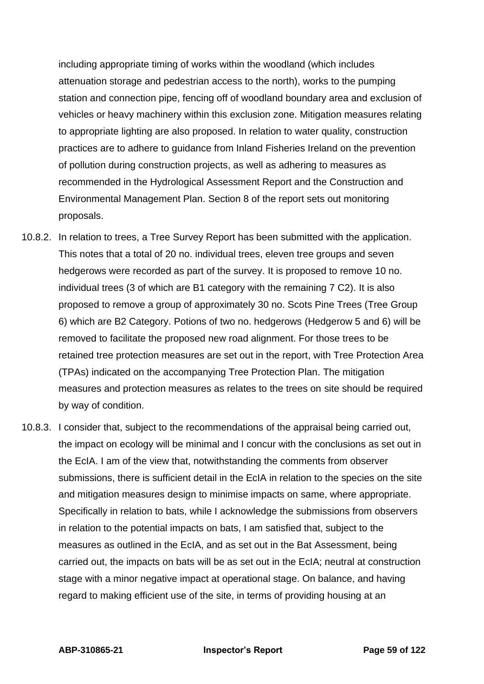including appropriate timing of works within the woodland (which includes attenuation storage and pedestrian access to the north), works to the pumping station and connection pipe, fencing off of woodland boundary area and exclusion of vehicles or heavy machinery within this exclusion zone. Mitigation measures relating to appropriate lighting are also proposed. In relation to water quality, construction practices are to adhere to guidance from Inland Fisheries Ireland on the prevention of pollution during construction projects, as well as adhering to measures as recommended in the Hydrological Assessment Report and the Construction and Environmental Management Plan. Section 8 of the report sets out monitoring proposals.

- 10.8.2. In relation to trees, a Tree Survey Report has been submitted with the application. This notes that a total of 20 no. individual trees, eleven tree groups and seven hedgerows were recorded as part of the survey. It is proposed to remove 10 no. individual trees (3 of which are B1 category with the remaining 7 C2). It is also proposed to remove a group of approximately 30 no. Scots Pine Trees (Tree Group 6) which are B2 Category. Potions of two no. hedgerows (Hedgerow 5 and 6) will be removed to facilitate the proposed new road alignment. For those trees to be retained tree protection measures are set out in the report, with Tree Protection Area (TPAs) indicated on the accompanying Tree Protection Plan. The mitigation measures and protection measures as relates to the trees on site should be required by way of condition.
- 10.8.3. I consider that, subject to the recommendations of the appraisal being carried out, the impact on ecology will be minimal and I concur with the conclusions as set out in the EcIA. I am of the view that, notwithstanding the comments from observer submissions, there is sufficient detail in the EcIA in relation to the species on the site and mitigation measures design to minimise impacts on same, where appropriate. Specifically in relation to bats, while I acknowledge the submissions from observers in relation to the potential impacts on bats, I am satisfied that, subject to the measures as outlined in the EcIA, and as set out in the Bat Assessment, being carried out, the impacts on bats will be as set out in the EcIA; neutral at construction stage with a minor negative impact at operational stage. On balance, and having regard to making efficient use of the site, in terms of providing housing at an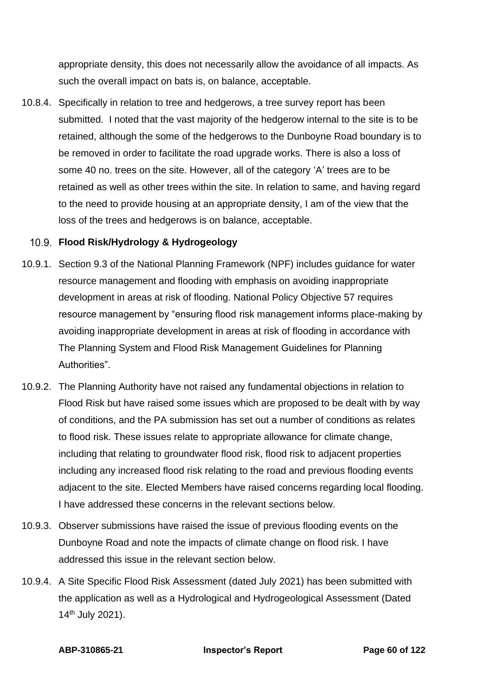appropriate density, this does not necessarily allow the avoidance of all impacts. As such the overall impact on bats is, on balance, acceptable.

10.8.4. Specifically in relation to tree and hedgerows, a tree survey report has been submitted. I noted that the vast majority of the hedgerow internal to the site is to be retained, although the some of the hedgerows to the Dunboyne Road boundary is to be removed in order to facilitate the road upgrade works. There is also a loss of some 40 no. trees on the site. However, all of the category 'A' trees are to be retained as well as other trees within the site. In relation to same, and having regard to the need to provide housing at an appropriate density, I am of the view that the loss of the trees and hedgerows is on balance, acceptable.

# **Flood Risk/Hydrology & Hydrogeology**

- 10.9.1. Section 9.3 of the National Planning Framework (NPF) includes guidance for water resource management and flooding with emphasis on avoiding inappropriate development in areas at risk of flooding. National Policy Objective 57 requires resource management by "ensuring flood risk management informs place-making by avoiding inappropriate development in areas at risk of flooding in accordance with The Planning System and Flood Risk Management Guidelines for Planning Authorities".
- 10.9.2. The Planning Authority have not raised any fundamental objections in relation to Flood Risk but have raised some issues which are proposed to be dealt with by way of conditions, and the PA submission has set out a number of conditions as relates to flood risk. These issues relate to appropriate allowance for climate change, including that relating to groundwater flood risk, flood risk to adjacent properties including any increased flood risk relating to the road and previous flooding events adjacent to the site. Elected Members have raised concerns regarding local flooding. I have addressed these concerns in the relevant sections below.
- 10.9.3. Observer submissions have raised the issue of previous flooding events on the Dunboyne Road and note the impacts of climate change on flood risk. I have addressed this issue in the relevant section below.
- 10.9.4. A Site Specific Flood Risk Assessment (dated July 2021) has been submitted with the application as well as a Hydrological and Hydrogeological Assessment (Dated 14th July 2021).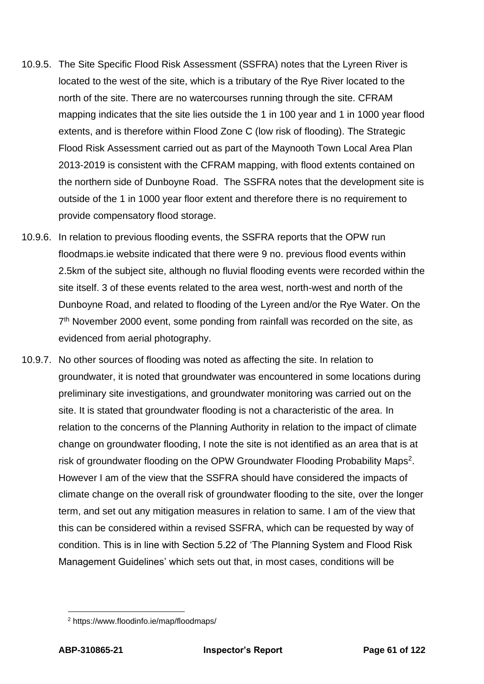- 10.9.5. The Site Specific Flood Risk Assessment (SSFRA) notes that the Lyreen River is located to the west of the site, which is a tributary of the Rye River located to the north of the site. There are no watercourses running through the site. CFRAM mapping indicates that the site lies outside the 1 in 100 year and 1 in 1000 year flood extents, and is therefore within Flood Zone C (low risk of flooding). The Strategic Flood Risk Assessment carried out as part of the Maynooth Town Local Area Plan 2013-2019 is consistent with the CFRAM mapping, with flood extents contained on the northern side of Dunboyne Road. The SSFRA notes that the development site is outside of the 1 in 1000 year floor extent and therefore there is no requirement to provide compensatory flood storage.
- 10.9.6. In relation to previous flooding events, the SSFRA reports that the OPW run floodmaps.ie website indicated that there were 9 no. previous flood events within 2.5km of the subject site, although no fluvial flooding events were recorded within the site itself. 3 of these events related to the area west, north-west and north of the Dunboyne Road, and related to flooding of the Lyreen and/or the Rye Water. On the 7<sup>th</sup> November 2000 event, some ponding from rainfall was recorded on the site, as evidenced from aerial photography.
- 10.9.7. No other sources of flooding was noted as affecting the site. In relation to groundwater, it is noted that groundwater was encountered in some locations during preliminary site investigations, and groundwater monitoring was carried out on the site. It is stated that groundwater flooding is not a characteristic of the area. In relation to the concerns of the Planning Authority in relation to the impact of climate change on groundwater flooding, I note the site is not identified as an area that is at risk of groundwater flooding on the OPW Groundwater Flooding Probability Maps<sup>2</sup>. However I am of the view that the SSFRA should have considered the impacts of climate change on the overall risk of groundwater flooding to the site, over the longer term, and set out any mitigation measures in relation to same. I am of the view that this can be considered within a revised SSFRA, which can be requested by way of condition. This is in line with Section 5.22 of 'The Planning System and Flood Risk Management Guidelines' which sets out that, in most cases, conditions will be

<sup>2</sup> https://www.floodinfo.ie/map/floodmaps/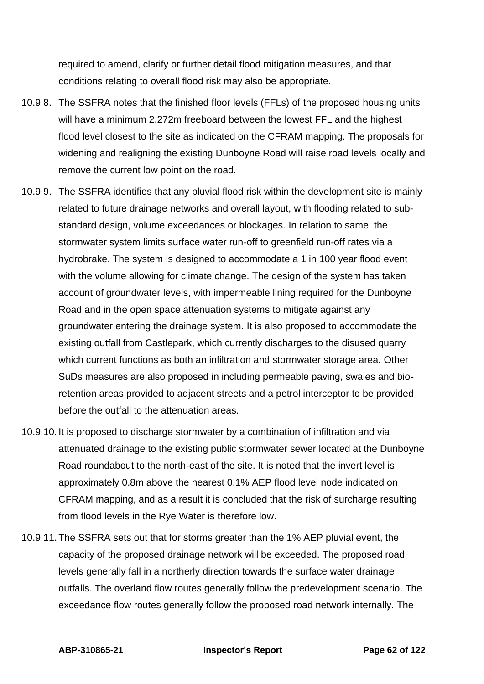required to amend, clarify or further detail flood mitigation measures, and that conditions relating to overall flood risk may also be appropriate.

- 10.9.8. The SSFRA notes that the finished floor levels (FFLs) of the proposed housing units will have a minimum 2.272m freeboard between the lowest FFL and the highest flood level closest to the site as indicated on the CFRAM mapping. The proposals for widening and realigning the existing Dunboyne Road will raise road levels locally and remove the current low point on the road.
- 10.9.9. The SSFRA identifies that any pluvial flood risk within the development site is mainly related to future drainage networks and overall layout, with flooding related to substandard design, volume exceedances or blockages. In relation to same, the stormwater system limits surface water run-off to greenfield run-off rates via a hydrobrake. The system is designed to accommodate a 1 in 100 year flood event with the volume allowing for climate change. The design of the system has taken account of groundwater levels, with impermeable lining required for the Dunboyne Road and in the open space attenuation systems to mitigate against any groundwater entering the drainage system. It is also proposed to accommodate the existing outfall from Castlepark, which currently discharges to the disused quarry which current functions as both an infiltration and stormwater storage area. Other SuDs measures are also proposed in including permeable paving, swales and bioretention areas provided to adjacent streets and a petrol interceptor to be provided before the outfall to the attenuation areas.
- 10.9.10. It is proposed to discharge stormwater by a combination of infiltration and via attenuated drainage to the existing public stormwater sewer located at the Dunboyne Road roundabout to the north-east of the site. It is noted that the invert level is approximately 0.8m above the nearest 0.1% AEP flood level node indicated on CFRAM mapping, and as a result it is concluded that the risk of surcharge resulting from flood levels in the Rye Water is therefore low.
- 10.9.11. The SSFRA sets out that for storms greater than the 1% AEP pluvial event, the capacity of the proposed drainage network will be exceeded. The proposed road levels generally fall in a northerly direction towards the surface water drainage outfalls. The overland flow routes generally follow the predevelopment scenario. The exceedance flow routes generally follow the proposed road network internally. The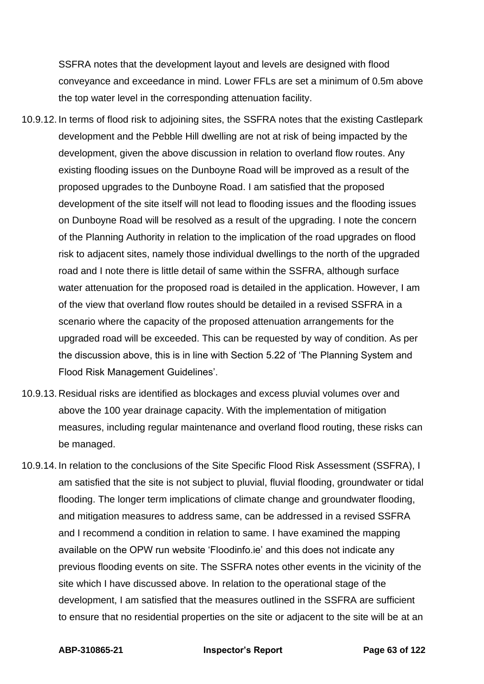SSFRA notes that the development layout and levels are designed with flood conveyance and exceedance in mind. Lower FFLs are set a minimum of 0.5m above the top water level in the corresponding attenuation facility.

- 10.9.12. In terms of flood risk to adjoining sites, the SSFRA notes that the existing Castlepark development and the Pebble Hill dwelling are not at risk of being impacted by the development, given the above discussion in relation to overland flow routes. Any existing flooding issues on the Dunboyne Road will be improved as a result of the proposed upgrades to the Dunboyne Road. I am satisfied that the proposed development of the site itself will not lead to flooding issues and the flooding issues on Dunboyne Road will be resolved as a result of the upgrading. I note the concern of the Planning Authority in relation to the implication of the road upgrades on flood risk to adjacent sites, namely those individual dwellings to the north of the upgraded road and I note there is little detail of same within the SSFRA, although surface water attenuation for the proposed road is detailed in the application. However, I am of the view that overland flow routes should be detailed in a revised SSFRA in a scenario where the capacity of the proposed attenuation arrangements for the upgraded road will be exceeded. This can be requested by way of condition. As per the discussion above, this is in line with Section 5.22 of 'The Planning System and Flood Risk Management Guidelines'.
- 10.9.13. Residual risks are identified as blockages and excess pluvial volumes over and above the 100 year drainage capacity. With the implementation of mitigation measures, including regular maintenance and overland flood routing, these risks can be managed.
- 10.9.14. In relation to the conclusions of the Site Specific Flood Risk Assessment (SSFRA), I am satisfied that the site is not subject to pluvial, fluvial flooding, groundwater or tidal flooding. The longer term implications of climate change and groundwater flooding, and mitigation measures to address same, can be addressed in a revised SSFRA and I recommend a condition in relation to same. I have examined the mapping available on the OPW run website 'Floodinfo.ie' and this does not indicate any previous flooding events on site. The SSFRA notes other events in the vicinity of the site which I have discussed above. In relation to the operational stage of the development, I am satisfied that the measures outlined in the SSFRA are sufficient to ensure that no residential properties on the site or adjacent to the site will be at an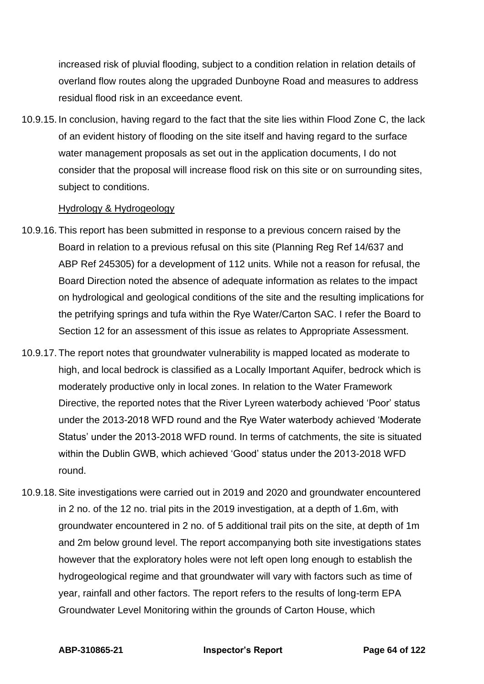increased risk of pluvial flooding, subject to a condition relation in relation details of overland flow routes along the upgraded Dunboyne Road and measures to address residual flood risk in an exceedance event.

10.9.15. In conclusion, having regard to the fact that the site lies within Flood Zone C, the lack of an evident history of flooding on the site itself and having regard to the surface water management proposals as set out in the application documents, I do not consider that the proposal will increase flood risk on this site or on surrounding sites, subject to conditions.

### Hydrology & Hydrogeology

- 10.9.16. This report has been submitted in response to a previous concern raised by the Board in relation to a previous refusal on this site (Planning Reg Ref 14/637 and ABP Ref 245305) for a development of 112 units. While not a reason for refusal, the Board Direction noted the absence of adequate information as relates to the impact on hydrological and geological conditions of the site and the resulting implications for the petrifying springs and tufa within the Rye Water/Carton SAC. I refer the Board to Section 12 for an assessment of this issue as relates to Appropriate Assessment.
- 10.9.17. The report notes that groundwater vulnerability is mapped located as moderate to high, and local bedrock is classified as a Locally Important Aquifer, bedrock which is moderately productive only in local zones. In relation to the Water Framework Directive, the reported notes that the River Lyreen waterbody achieved 'Poor' status under the 2013-2018 WFD round and the Rye Water waterbody achieved 'Moderate Status' under the 2013-2018 WFD round. In terms of catchments, the site is situated within the Dublin GWB, which achieved 'Good' status under the 2013-2018 WFD round.
- 10.9.18. Site investigations were carried out in 2019 and 2020 and groundwater encountered in 2 no. of the 12 no. trial pits in the 2019 investigation, at a depth of 1.6m, with groundwater encountered in 2 no. of 5 additional trail pits on the site, at depth of 1m and 2m below ground level. The report accompanying both site investigations states however that the exploratory holes were not left open long enough to establish the hydrogeological regime and that groundwater will vary with factors such as time of year, rainfall and other factors. The report refers to the results of long-term EPA Groundwater Level Monitoring within the grounds of Carton House, which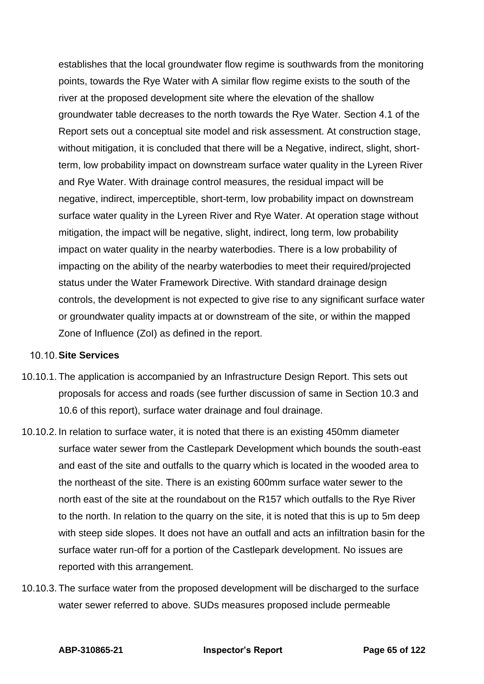establishes that the local groundwater flow regime is southwards from the monitoring points, towards the Rye Water with A similar flow regime exists to the south of the river at the proposed development site where the elevation of the shallow groundwater table decreases to the north towards the Rye Water. Section 4.1 of the Report sets out a conceptual site model and risk assessment. At construction stage, without mitigation, it is concluded that there will be a Negative, indirect, slight, shortterm, low probability impact on downstream surface water quality in the Lyreen River and Rye Water. With drainage control measures, the residual impact will be negative, indirect, imperceptible, short-term, low probability impact on downstream surface water quality in the Lyreen River and Rye Water. At operation stage without mitigation, the impact will be negative, slight, indirect, long term, low probability impact on water quality in the nearby waterbodies. There is a low probability of impacting on the ability of the nearby waterbodies to meet their required/projected status under the Water Framework Directive. With standard drainage design controls, the development is not expected to give rise to any significant surface water or groundwater quality impacts at or downstream of the site, or within the mapped Zone of Influence (ZoI) as defined in the report.

### 10.10 Site Services

- 10.10.1. The application is accompanied by an Infrastructure Design Report. This sets out proposals for access and roads (see further discussion of same in Section 10.3 and 10.6 of this report), surface water drainage and foul drainage.
- 10.10.2. In relation to surface water, it is noted that there is an existing 450mm diameter surface water sewer from the Castlepark Development which bounds the south-east and east of the site and outfalls to the quarry which is located in the wooded area to the northeast of the site. There is an existing 600mm surface water sewer to the north east of the site at the roundabout on the R157 which outfalls to the Rye River to the north. In relation to the quarry on the site, it is noted that this is up to 5m deep with steep side slopes. It does not have an outfall and acts an infiltration basin for the surface water run-off for a portion of the Castlepark development. No issues are reported with this arrangement.
- 10.10.3. The surface water from the proposed development will be discharged to the surface water sewer referred to above. SUDs measures proposed include permeable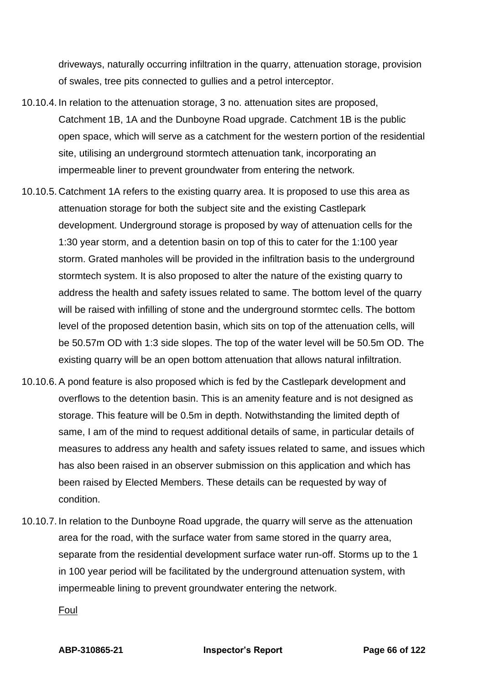driveways, naturally occurring infiltration in the quarry, attenuation storage, provision of swales, tree pits connected to gullies and a petrol interceptor.

- 10.10.4. In relation to the attenuation storage, 3 no. attenuation sites are proposed, Catchment 1B, 1A and the Dunboyne Road upgrade. Catchment 1B is the public open space, which will serve as a catchment for the western portion of the residential site, utilising an underground stormtech attenuation tank, incorporating an impermeable liner to prevent groundwater from entering the network.
- 10.10.5. Catchment 1A refers to the existing quarry area. It is proposed to use this area as attenuation storage for both the subject site and the existing Castlepark development. Underground storage is proposed by way of attenuation cells for the 1:30 year storm, and a detention basin on top of this to cater for the 1:100 year storm. Grated manholes will be provided in the infiltration basis to the underground stormtech system. It is also proposed to alter the nature of the existing quarry to address the health and safety issues related to same. The bottom level of the quarry will be raised with infilling of stone and the underground stormtec cells. The bottom level of the proposed detention basin, which sits on top of the attenuation cells, will be 50.57m OD with 1:3 side slopes. The top of the water level will be 50.5m OD. The existing quarry will be an open bottom attenuation that allows natural infiltration.
- 10.10.6. A pond feature is also proposed which is fed by the Castlepark development and overflows to the detention basin. This is an amenity feature and is not designed as storage. This feature will be 0.5m in depth. Notwithstanding the limited depth of same, I am of the mind to request additional details of same, in particular details of measures to address any health and safety issues related to same, and issues which has also been raised in an observer submission on this application and which has been raised by Elected Members. These details can be requested by way of condition.
- 10.10.7. In relation to the Dunboyne Road upgrade, the quarry will serve as the attenuation area for the road, with the surface water from same stored in the quarry area, separate from the residential development surface water run-off. Storms up to the 1 in 100 year period will be facilitated by the underground attenuation system, with impermeable lining to prevent groundwater entering the network.

Foul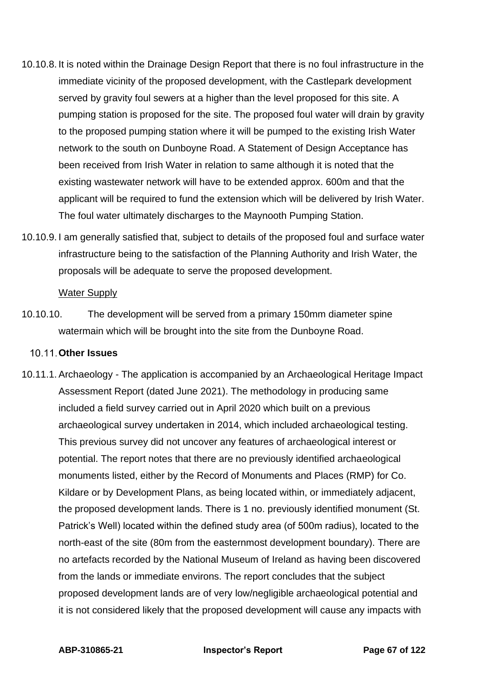- 10.10.8. It is noted within the Drainage Design Report that there is no foul infrastructure in the immediate vicinity of the proposed development, with the Castlepark development served by gravity foul sewers at a higher than the level proposed for this site. A pumping station is proposed for the site. The proposed foul water will drain by gravity to the proposed pumping station where it will be pumped to the existing Irish Water network to the south on Dunboyne Road. A Statement of Design Acceptance has been received from Irish Water in relation to same although it is noted that the existing wastewater network will have to be extended approx. 600m and that the applicant will be required to fund the extension which will be delivered by Irish Water. The foul water ultimately discharges to the Maynooth Pumping Station.
- 10.10.9. I am generally satisfied that, subject to details of the proposed foul and surface water infrastructure being to the satisfaction of the Planning Authority and Irish Water, the proposals will be adequate to serve the proposed development.

#### Water Supply

10.10.10. The development will be served from a primary 150mm diameter spine watermain which will be brought into the site from the Dunboyne Road.

## **Other Issues**

10.11.1. Archaeology - The application is accompanied by an Archaeological Heritage Impact Assessment Report (dated June 2021). The methodology in producing same included a field survey carried out in April 2020 which built on a previous archaeological survey undertaken in 2014, which included archaeological testing. This previous survey did not uncover any features of archaeological interest or potential. The report notes that there are no previously identified archaeological monuments listed, either by the Record of Monuments and Places (RMP) for Co. Kildare or by Development Plans, as being located within, or immediately adjacent, the proposed development lands. There is 1 no. previously identified monument (St. Patrick's Well) located within the defined study area (of 500m radius), located to the north-east of the site (80m from the easternmost development boundary). There are no artefacts recorded by the National Museum of Ireland as having been discovered from the lands or immediate environs. The report concludes that the subject proposed development lands are of very low/negligible archaeological potential and it is not considered likely that the proposed development will cause any impacts with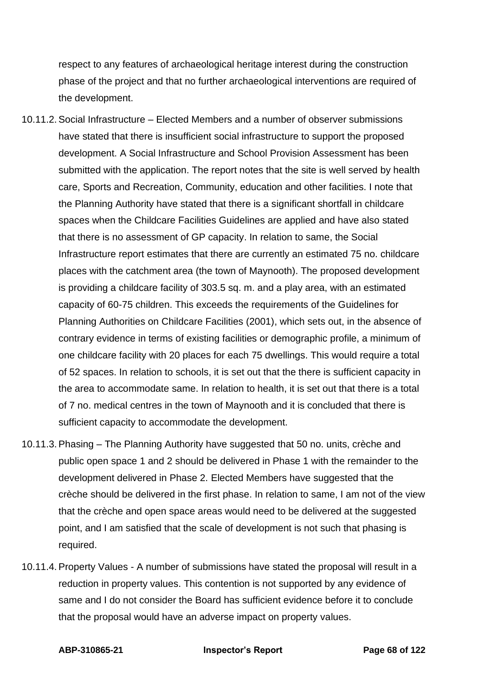respect to any features of archaeological heritage interest during the construction phase of the project and that no further archaeological interventions are required of the development.

- 10.11.2. Social Infrastructure Elected Members and a number of observer submissions have stated that there is insufficient social infrastructure to support the proposed development. A Social Infrastructure and School Provision Assessment has been submitted with the application. The report notes that the site is well served by health care, Sports and Recreation, Community, education and other facilities. I note that the Planning Authority have stated that there is a significant shortfall in childcare spaces when the Childcare Facilities Guidelines are applied and have also stated that there is no assessment of GP capacity. In relation to same, the Social Infrastructure report estimates that there are currently an estimated 75 no. childcare places with the catchment area (the town of Maynooth). The proposed development is providing a childcare facility of 303.5 sq. m. and a play area, with an estimated capacity of 60-75 children. This exceeds the requirements of the Guidelines for Planning Authorities on Childcare Facilities (2001), which sets out, in the absence of contrary evidence in terms of existing facilities or demographic profile, a minimum of one childcare facility with 20 places for each 75 dwellings. This would require a total of 52 spaces. In relation to schools, it is set out that the there is sufficient capacity in the area to accommodate same. In relation to health, it is set out that there is a total of 7 no. medical centres in the town of Maynooth and it is concluded that there is sufficient capacity to accommodate the development.
- 10.11.3. Phasing The Planning Authority have suggested that 50 no. units, crèche and public open space 1 and 2 should be delivered in Phase 1 with the remainder to the development delivered in Phase 2. Elected Members have suggested that the crèche should be delivered in the first phase. In relation to same, I am not of the view that the crèche and open space areas would need to be delivered at the suggested point, and I am satisfied that the scale of development is not such that phasing is required.
- 10.11.4. Property Values A number of submissions have stated the proposal will result in a reduction in property values. This contention is not supported by any evidence of same and I do not consider the Board has sufficient evidence before it to conclude that the proposal would have an adverse impact on property values.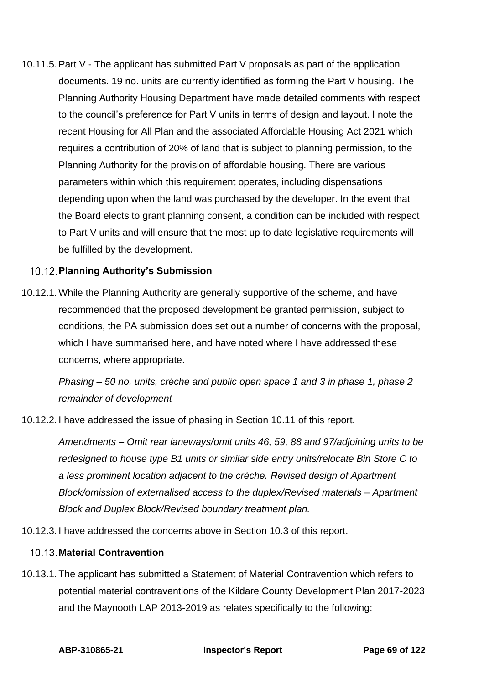10.11.5. Part V - The applicant has submitted Part V proposals as part of the application documents. 19 no. units are currently identified as forming the Part V housing. The Planning Authority Housing Department have made detailed comments with respect to the council's preference for Part V units in terms of design and layout. I note the recent Housing for All Plan and the associated Affordable Housing Act 2021 which requires a contribution of 20% of land that is subject to planning permission, to the Planning Authority for the provision of affordable housing. There are various parameters within which this requirement operates, including dispensations depending upon when the land was purchased by the developer. In the event that the Board elects to grant planning consent, a condition can be included with respect to Part V units and will ensure that the most up to date legislative requirements will be fulfilled by the development.

# **Planning Authority's Submission**

10.12.1. While the Planning Authority are generally supportive of the scheme, and have recommended that the proposed development be granted permission, subject to conditions, the PA submission does set out a number of concerns with the proposal, which I have summarised here, and have noted where I have addressed these concerns, where appropriate.

*Phasing – 50 no. units, crèche and public open space 1 and 3 in phase 1, phase 2 remainder of development* 

10.12.2. I have addressed the issue of phasing in Section 10.11 of this report.

*Amendments – Omit rear laneways/omit units 46, 59, 88 and 97/adjoining units to be redesigned to house type B1 units or similar side entry units/relocate Bin Store C to a less prominent location adjacent to the crèche. Revised design of Apartment Block/omission of externalised access to the duplex/Revised materials – Apartment Block and Duplex Block/Revised boundary treatment plan.*

10.12.3. I have addressed the concerns above in Section 10.3 of this report.

## **Material Contravention**

10.13.1. The applicant has submitted a Statement of Material Contravention which refers to potential material contraventions of the Kildare County Development Plan 2017-2023 and the Maynooth LAP 2013-2019 as relates specifically to the following: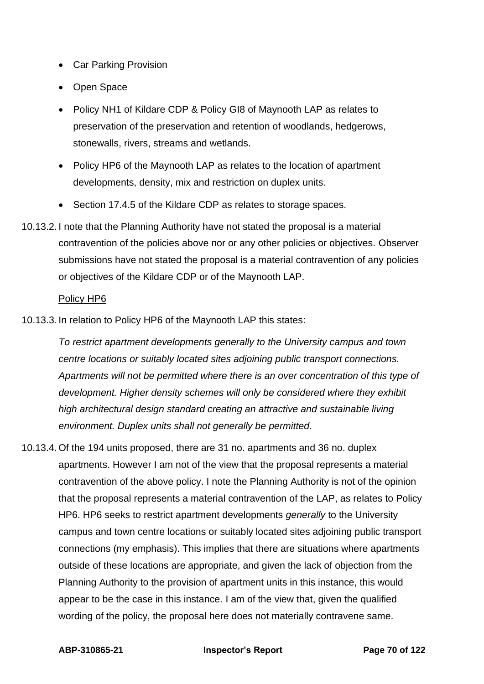- Car Parking Provision
- Open Space
- Policy NH1 of Kildare CDP & Policy GI8 of Maynooth LAP as relates to preservation of the preservation and retention of woodlands, hedgerows, stonewalls, rivers, streams and wetlands.
- Policy HP6 of the Maynooth LAP as relates to the location of apartment developments, density, mix and restriction on duplex units.
- Section 17.4.5 of the Kildare CDP as relates to storage spaces.
- 10.13.2. I note that the Planning Authority have not stated the proposal is a material contravention of the policies above nor or any other policies or objectives. Observer submissions have not stated the proposal is a material contravention of any policies or objectives of the Kildare CDP or of the Maynooth LAP.

### Policy HP6

10.13.3. In relation to Policy HP6 of the Maynooth LAP this states:

*To restrict apartment developments generally to the University campus and town centre locations or suitably located sites adjoining public transport connections. Apartments will not be permitted where there is an over concentration of this type of development. Higher density schemes will only be considered where they exhibit high architectural design standard creating an attractive and sustainable living environment. Duplex units shall not generally be permitted.*

10.13.4. Of the 194 units proposed, there are 31 no. apartments and 36 no. duplex apartments. However I am not of the view that the proposal represents a material contravention of the above policy. I note the Planning Authority is not of the opinion that the proposal represents a material contravention of the LAP, as relates to Policy HP6. HP6 seeks to restrict apartment developments *generally* to the University campus and town centre locations or suitably located sites adjoining public transport connections (my emphasis). This implies that there are situations where apartments outside of these locations are appropriate, and given the lack of objection from the Planning Authority to the provision of apartment units in this instance, this would appear to be the case in this instance. I am of the view that, given the qualified wording of the policy, the proposal here does not materially contravene same.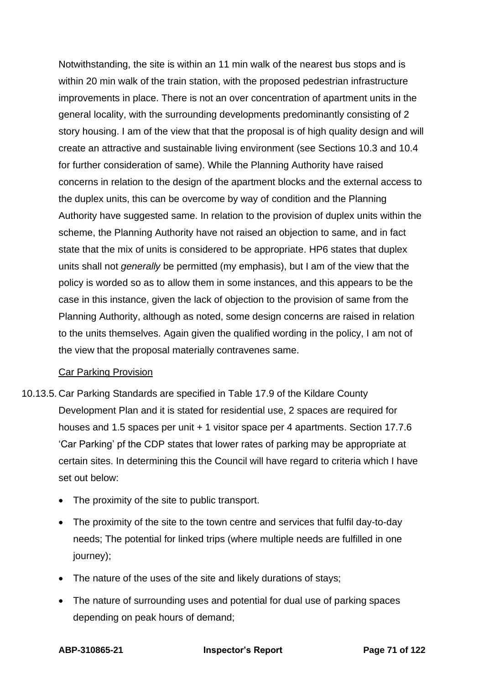Notwithstanding, the site is within an 11 min walk of the nearest bus stops and is within 20 min walk of the train station, with the proposed pedestrian infrastructure improvements in place. There is not an over concentration of apartment units in the general locality, with the surrounding developments predominantly consisting of 2 story housing. I am of the view that that the proposal is of high quality design and will create an attractive and sustainable living environment (see Sections 10.3 and 10.4 for further consideration of same). While the Planning Authority have raised concerns in relation to the design of the apartment blocks and the external access to the duplex units, this can be overcome by way of condition and the Planning Authority have suggested same. In relation to the provision of duplex units within the scheme, the Planning Authority have not raised an objection to same, and in fact state that the mix of units is considered to be appropriate. HP6 states that duplex units shall not *generally* be permitted (my emphasis), but I am of the view that the policy is worded so as to allow them in some instances, and this appears to be the case in this instance, given the lack of objection to the provision of same from the Planning Authority, although as noted, some design concerns are raised in relation to the units themselves. Again given the qualified wording in the policy, I am not of the view that the proposal materially contravenes same.

## Car Parking Provision

- 10.13.5. Car Parking Standards are specified in Table 17.9 of the Kildare County Development Plan and it is stated for residential use, 2 spaces are required for houses and 1.5 spaces per unit + 1 visitor space per 4 apartments. Section 17.7.6 'Car Parking' pf the CDP states that lower rates of parking may be appropriate at certain sites. In determining this the Council will have regard to criteria which I have set out below:
	- The proximity of the site to public transport.
	- The proximity of the site to the town centre and services that fulfil day-to-day needs; The potential for linked trips (where multiple needs are fulfilled in one iourney):
	- The nature of the uses of the site and likely durations of stays;
	- The nature of surrounding uses and potential for dual use of parking spaces depending on peak hours of demand;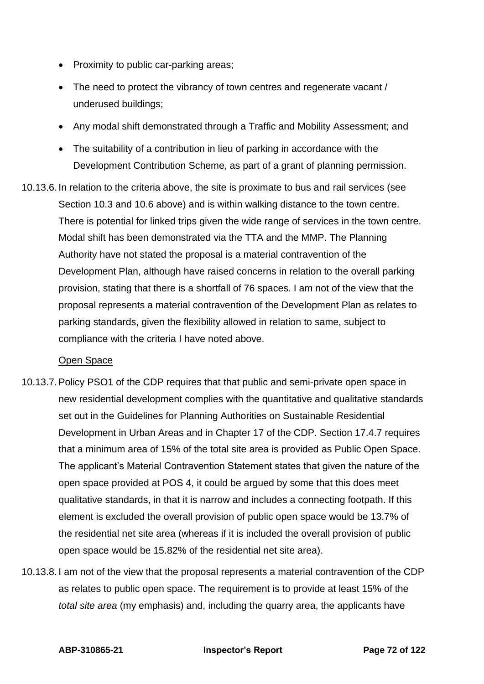- Proximity to public car-parking areas;
- The need to protect the vibrancy of town centres and regenerate vacant / underused buildings;
- Any modal shift demonstrated through a Traffic and Mobility Assessment; and
- The suitability of a contribution in lieu of parking in accordance with the Development Contribution Scheme, as part of a grant of planning permission.
- 10.13.6. In relation to the criteria above, the site is proximate to bus and rail services (see Section 10.3 and 10.6 above) and is within walking distance to the town centre. There is potential for linked trips given the wide range of services in the town centre. Modal shift has been demonstrated via the TTA and the MMP. The Planning Authority have not stated the proposal is a material contravention of the Development Plan, although have raised concerns in relation to the overall parking provision, stating that there is a shortfall of 76 spaces. I am not of the view that the proposal represents a material contravention of the Development Plan as relates to parking standards, given the flexibility allowed in relation to same, subject to compliance with the criteria I have noted above.

#### Open Space

- 10.13.7. Policy PSO1 of the CDP requires that that public and semi-private open space in new residential development complies with the quantitative and qualitative standards set out in the Guidelines for Planning Authorities on Sustainable Residential Development in Urban Areas and in Chapter 17 of the CDP. Section 17.4.7 requires that a minimum area of 15% of the total site area is provided as Public Open Space. The applicant's Material Contravention Statement states that given the nature of the open space provided at POS 4, it could be argued by some that this does meet qualitative standards, in that it is narrow and includes a connecting footpath. If this element is excluded the overall provision of public open space would be 13.7% of the residential net site area (whereas if it is included the overall provision of public open space would be 15.82% of the residential net site area).
- 10.13.8. I am not of the view that the proposal represents a material contravention of the CDP as relates to public open space. The requirement is to provide at least 15% of the *total site area* (my emphasis) and, including the quarry area, the applicants have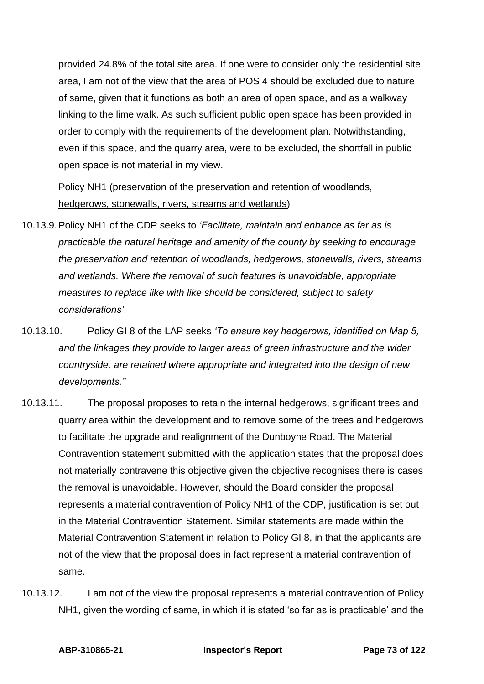provided 24.8% of the total site area. If one were to consider only the residential site area, I am not of the view that the area of POS 4 should be excluded due to nature of same, given that it functions as both an area of open space, and as a walkway linking to the lime walk. As such sufficient public open space has been provided in order to comply with the requirements of the development plan. Notwithstanding, even if this space, and the quarry area, were to be excluded, the shortfall in public open space is not material in my view.

# Policy NH1 (preservation of the preservation and retention of woodlands, hedgerows, stonewalls, rivers, streams and wetlands)

- 10.13.9. Policy NH1 of the CDP seeks to *'Facilitate, maintain and enhance as far as is practicable the natural heritage and amenity of the county by seeking to encourage the preservation and retention of woodlands, hedgerows, stonewalls, rivers, streams and wetlands. Where the removal of such features is unavoidable, appropriate measures to replace like with like should be considered, subject to safety considerations'*.
- 10.13.10. Policy GI 8 of the LAP seeks *'To ensure key hedgerows, identified on Map 5, and the linkages they provide to larger areas of green infrastructure and the wider countryside, are retained where appropriate and integrated into the design of new developments."*
- 10.13.11. The proposal proposes to retain the internal hedgerows, significant trees and quarry area within the development and to remove some of the trees and hedgerows to facilitate the upgrade and realignment of the Dunboyne Road. The Material Contravention statement submitted with the application states that the proposal does not materially contravene this objective given the objective recognises there is cases the removal is unavoidable. However, should the Board consider the proposal represents a material contravention of Policy NH1 of the CDP, justification is set out in the Material Contravention Statement. Similar statements are made within the Material Contravention Statement in relation to Policy GI 8, in that the applicants are not of the view that the proposal does in fact represent a material contravention of same.
- 10.13.12. I am not of the view the proposal represents a material contravention of Policy NH1, given the wording of same, in which it is stated 'so far as is practicable' and the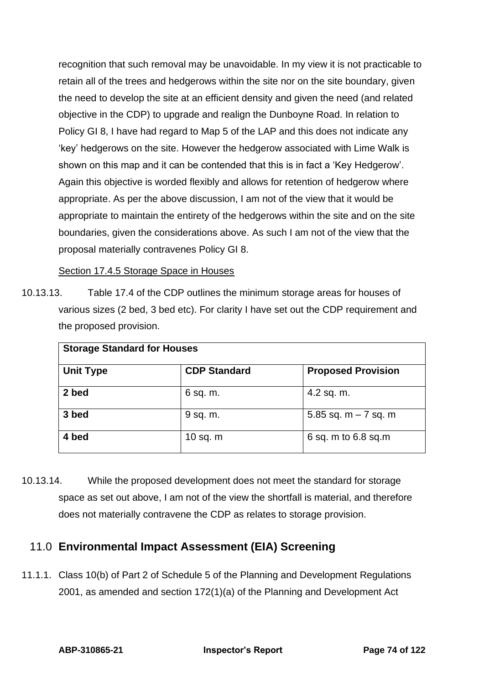recognition that such removal may be unavoidable. In my view it is not practicable to retain all of the trees and hedgerows within the site nor on the site boundary, given the need to develop the site at an efficient density and given the need (and related objective in the CDP) to upgrade and realign the Dunboyne Road. In relation to Policy GI 8, I have had regard to Map 5 of the LAP and this does not indicate any 'key' hedgerows on the site. However the hedgerow associated with Lime Walk is shown on this map and it can be contended that this is in fact a 'Key Hedgerow'. Again this objective is worded flexibly and allows for retention of hedgerow where appropriate. As per the above discussion, I am not of the view that it would be appropriate to maintain the entirety of the hedgerows within the site and on the site boundaries, given the considerations above. As such I am not of the view that the proposal materially contravenes Policy GI 8.

Section 17.4.5 Storage Space in Houses

10.13.13. Table 17.4 of the CDP outlines the minimum storage areas for houses of various sizes (2 bed, 3 bed etc). For clarity I have set out the CDP requirement and the proposed provision.

| <b>Storage Standard for Houses</b> |                     |                           |  |  |
|------------------------------------|---------------------|---------------------------|--|--|
| <b>Unit Type</b>                   | <b>CDP Standard</b> | <b>Proposed Provision</b> |  |  |
| 2 bed                              | 6 sq. m.            | 4.2 sq. m.                |  |  |
| 3 bed                              | 9 sq. m.            | 5.85 sq. $m - 7$ sq. m    |  |  |
| 4 bed                              | 10 sq. $m$          | 6 sq. m to 6.8 sq.m       |  |  |

10.13.14. While the proposed development does not meet the standard for storage space as set out above, I am not of the view the shortfall is material, and therefore does not materially contravene the CDP as relates to storage provision.

# 11.0 **Environmental Impact Assessment (EIA) Screening**

11.1.1. Class 10(b) of Part 2 of Schedule 5 of the Planning and Development Regulations 2001, as amended and section 172(1)(a) of the Planning and Development Act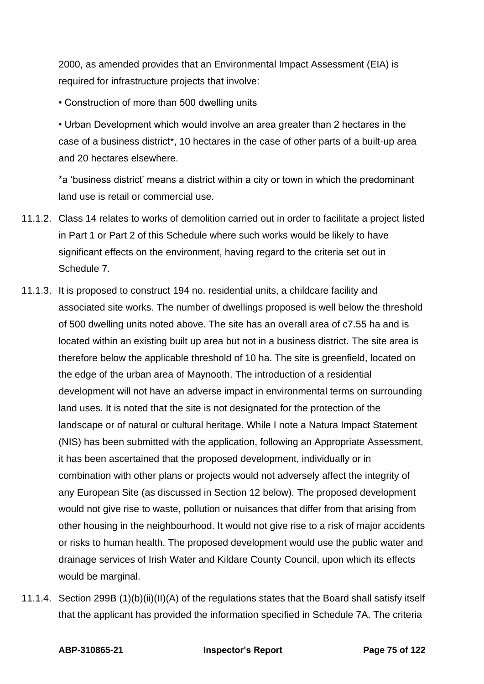2000, as amended provides that an Environmental Impact Assessment (EIA) is required for infrastructure projects that involve:

• Construction of more than 500 dwelling units

• Urban Development which would involve an area greater than 2 hectares in the case of a business district\*, 10 hectares in the case of other parts of a built-up area and 20 hectares elsewhere.

\*a 'business district' means a district within a city or town in which the predominant land use is retail or commercial use.

- 11.1.2. Class 14 relates to works of demolition carried out in order to facilitate a project listed in Part 1 or Part 2 of this Schedule where such works would be likely to have significant effects on the environment, having regard to the criteria set out in Schedule 7.
- 11.1.3. It is proposed to construct 194 no. residential units, a childcare facility and associated site works. The number of dwellings proposed is well below the threshold of 500 dwelling units noted above. The site has an overall area of c7.55 ha and is located within an existing built up area but not in a business district. The site area is therefore below the applicable threshold of 10 ha. The site is greenfield, located on the edge of the urban area of Maynooth. The introduction of a residential development will not have an adverse impact in environmental terms on surrounding land uses. It is noted that the site is not designated for the protection of the landscape or of natural or cultural heritage. While I note a Natura Impact Statement (NIS) has been submitted with the application, following an Appropriate Assessment, it has been ascertained that the proposed development, individually or in combination with other plans or projects would not adversely affect the integrity of any European Site (as discussed in Section 12 below). The proposed development would not give rise to waste, pollution or nuisances that differ from that arising from other housing in the neighbourhood. It would not give rise to a risk of major accidents or risks to human health. The proposed development would use the public water and drainage services of Irish Water and Kildare County Council, upon which its effects would be marginal.
- 11.1.4. Section 299B (1)(b)(ii)(II)(A) of the regulations states that the Board shall satisfy itself that the applicant has provided the information specified in Schedule 7A. The criteria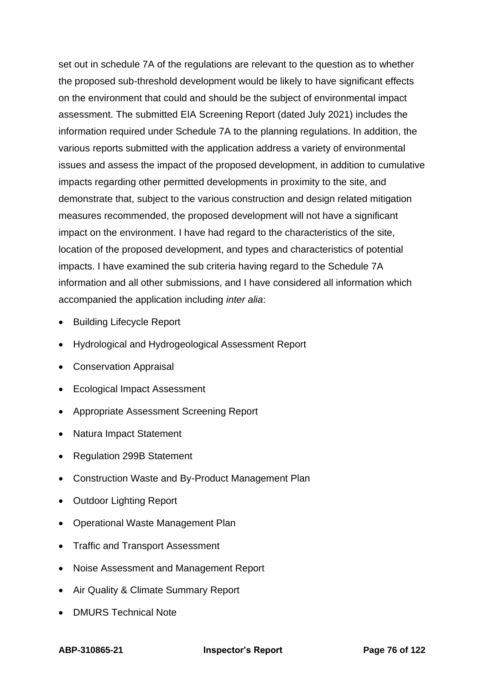set out in schedule 7A of the regulations are relevant to the question as to whether the proposed sub-threshold development would be likely to have significant effects on the environment that could and should be the subject of environmental impact assessment. The submitted EIA Screening Report (dated July 2021) includes the information required under Schedule 7A to the planning regulations. In addition, the various reports submitted with the application address a variety of environmental issues and assess the impact of the proposed development, in addition to cumulative impacts regarding other permitted developments in proximity to the site, and demonstrate that, subject to the various construction and design related mitigation measures recommended, the proposed development will not have a significant impact on the environment. I have had regard to the characteristics of the site, location of the proposed development, and types and characteristics of potential impacts. I have examined the sub criteria having regard to the Schedule 7A information and all other submissions, and I have considered all information which accompanied the application including *inter alia*:

- Building Lifecycle Report
- Hydrological and Hydrogeological Assessment Report
- Conservation Appraisal
- Ecological Impact Assessment
- Appropriate Assessment Screening Report
- Natura Impact Statement
- Regulation 299B Statement
- Construction Waste and By-Product Management Plan
- Outdoor Lighting Report
- Operational Waste Management Plan
- Traffic and Transport Assessment
- Noise Assessment and Management Report
- Air Quality & Climate Summary Report
- DMURS Technical Note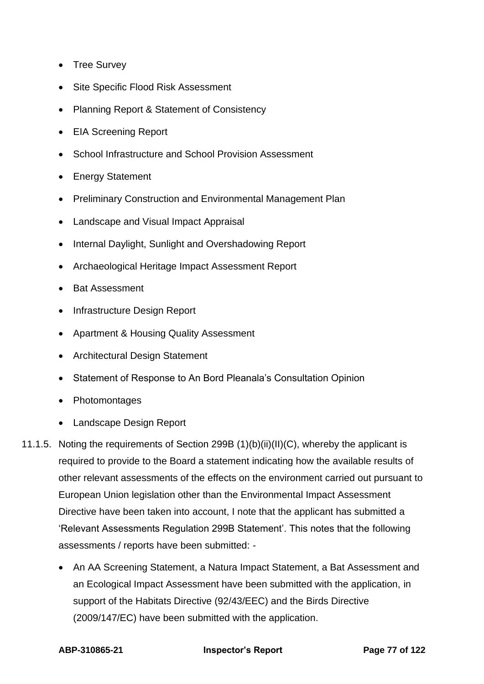- Tree Survey
- Site Specific Flood Risk Assessment
- Planning Report & Statement of Consistency
- EIA Screening Report
- School Infrastructure and School Provision Assessment
- Energy Statement
- Preliminary Construction and Environmental Management Plan
- Landscape and Visual Impact Appraisal
- Internal Daylight, Sunlight and Overshadowing Report
- Archaeological Heritage Impact Assessment Report
- Bat Assessment
- Infrastructure Design Report
- Apartment & Housing Quality Assessment
- Architectural Design Statement
- Statement of Response to An Bord Pleanala's Consultation Opinion
- Photomontages
- Landscape Design Report
- 11.1.5. Noting the requirements of Section 299B (1)(b)(ii)(II)(C), whereby the applicant is required to provide to the Board a statement indicating how the available results of other relevant assessments of the effects on the environment carried out pursuant to European Union legislation other than the Environmental Impact Assessment Directive have been taken into account, I note that the applicant has submitted a 'Relevant Assessments Regulation 299B Statement'. This notes that the following assessments / reports have been submitted: -
	- An AA Screening Statement, a Natura Impact Statement, a Bat Assessment and an Ecological Impact Assessment have been submitted with the application, in support of the Habitats Directive (92/43/EEC) and the Birds Directive (2009/147/EC) have been submitted with the application.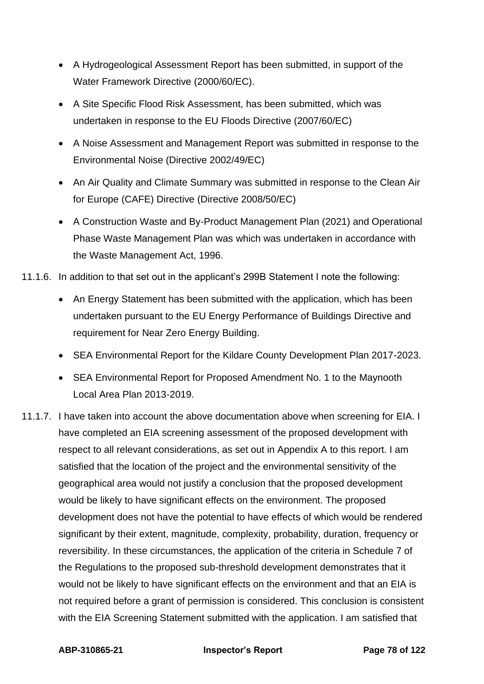- A Hydrogeological Assessment Report has been submitted, in support of the Water Framework Directive (2000/60/EC).
- A Site Specific Flood Risk Assessment, has been submitted, which was undertaken in response to the EU Floods Directive (2007/60/EC)
- A Noise Assessment and Management Report was submitted in response to the Environmental Noise (Directive 2002/49/EC)
- An Air Quality and Climate Summary was submitted in response to the Clean Air for Europe (CAFE) Directive (Directive 2008/50/EC)
- A Construction Waste and By-Product Management Plan (2021) and Operational Phase Waste Management Plan was which was undertaken in accordance with the Waste Management Act, 1996.
- 11.1.6. In addition to that set out in the applicant's 299B Statement I note the following:
	- An Energy Statement has been submitted with the application, which has been undertaken pursuant to the EU Energy Performance of Buildings Directive and requirement for Near Zero Energy Building.
	- SEA Environmental Report for the Kildare County Development Plan 2017-2023.
	- SEA Environmental Report for Proposed Amendment No. 1 to the Maynooth Local Area Plan 2013-2019.
- 11.1.7. I have taken into account the above documentation above when screening for EIA. I have completed an EIA screening assessment of the proposed development with respect to all relevant considerations, as set out in Appendix A to this report. I am satisfied that the location of the project and the environmental sensitivity of the geographical area would not justify a conclusion that the proposed development would be likely to have significant effects on the environment. The proposed development does not have the potential to have effects of which would be rendered significant by their extent, magnitude, complexity, probability, duration, frequency or reversibility. In these circumstances, the application of the criteria in Schedule 7 of the Regulations to the proposed sub-threshold development demonstrates that it would not be likely to have significant effects on the environment and that an EIA is not required before a grant of permission is considered. This conclusion is consistent with the EIA Screening Statement submitted with the application. I am satisfied that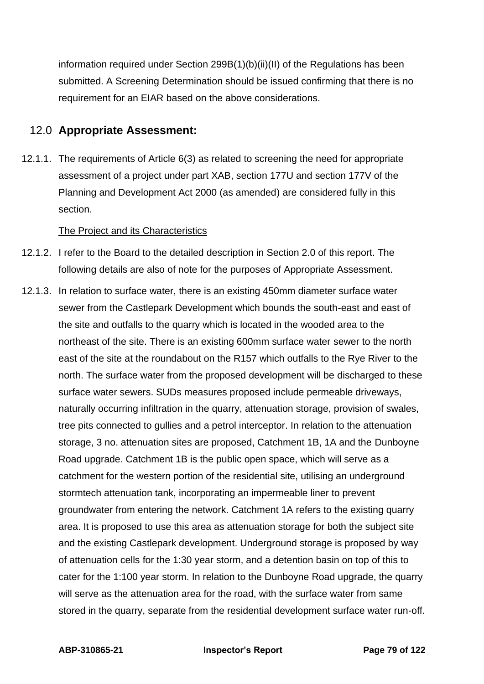information required under Section 299B(1)(b)(ii)(II) of the Regulations has been submitted. A Screening Determination should be issued confirming that there is no requirement for an EIAR based on the above considerations.

## 12.0 **Appropriate Assessment:**

12.1.1. The requirements of Article 6(3) as related to screening the need for appropriate assessment of a project under part XAB, section 177U and section 177V of the Planning and Development Act 2000 (as amended) are considered fully in this section.

### The Project and its Characteristics

- 12.1.2. I refer to the Board to the detailed description in Section 2.0 of this report. The following details are also of note for the purposes of Appropriate Assessment.
- 12.1.3. In relation to surface water, there is an existing 450mm diameter surface water sewer from the Castlepark Development which bounds the south-east and east of the site and outfalls to the quarry which is located in the wooded area to the northeast of the site. There is an existing 600mm surface water sewer to the north east of the site at the roundabout on the R157 which outfalls to the Rye River to the north. The surface water from the proposed development will be discharged to these surface water sewers. SUDs measures proposed include permeable driveways, naturally occurring infiltration in the quarry, attenuation storage, provision of swales, tree pits connected to gullies and a petrol interceptor. In relation to the attenuation storage, 3 no. attenuation sites are proposed, Catchment 1B, 1A and the Dunboyne Road upgrade. Catchment 1B is the public open space, which will serve as a catchment for the western portion of the residential site, utilising an underground stormtech attenuation tank, incorporating an impermeable liner to prevent groundwater from entering the network. Catchment 1A refers to the existing quarry area. It is proposed to use this area as attenuation storage for both the subject site and the existing Castlepark development. Underground storage is proposed by way of attenuation cells for the 1:30 year storm, and a detention basin on top of this to cater for the 1:100 year storm. In relation to the Dunboyne Road upgrade, the quarry will serve as the attenuation area for the road, with the surface water from same stored in the quarry, separate from the residential development surface water run-off.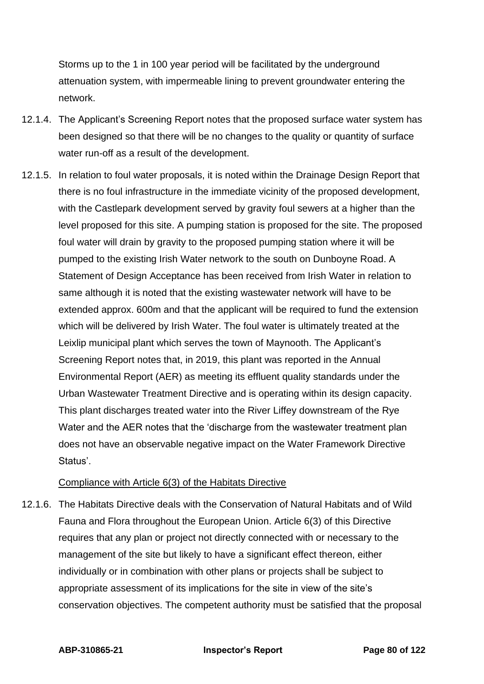Storms up to the 1 in 100 year period will be facilitated by the underground attenuation system, with impermeable lining to prevent groundwater entering the network.

- 12.1.4. The Applicant's Screening Report notes that the proposed surface water system has been designed so that there will be no changes to the quality or quantity of surface water run-off as a result of the development.
- 12.1.5. In relation to foul water proposals, it is noted within the Drainage Design Report that there is no foul infrastructure in the immediate vicinity of the proposed development, with the Castlepark development served by gravity foul sewers at a higher than the level proposed for this site. A pumping station is proposed for the site. The proposed foul water will drain by gravity to the proposed pumping station where it will be pumped to the existing Irish Water network to the south on Dunboyne Road. A Statement of Design Acceptance has been received from Irish Water in relation to same although it is noted that the existing wastewater network will have to be extended approx. 600m and that the applicant will be required to fund the extension which will be delivered by Irish Water. The foul water is ultimately treated at the Leixlip municipal plant which serves the town of Maynooth. The Applicant's Screening Report notes that, in 2019, this plant was reported in the Annual Environmental Report (AER) as meeting its effluent quality standards under the Urban Wastewater Treatment Directive and is operating within its design capacity. This plant discharges treated water into the River Liffey downstream of the Rye Water and the AER notes that the 'discharge from the wastewater treatment plan does not have an observable negative impact on the Water Framework Directive Status'.

### Compliance with Article 6(3) of the Habitats Directive

12.1.6. The Habitats Directive deals with the Conservation of Natural Habitats and of Wild Fauna and Flora throughout the European Union. Article 6(3) of this Directive requires that any plan or project not directly connected with or necessary to the management of the site but likely to have a significant effect thereon, either individually or in combination with other plans or projects shall be subject to appropriate assessment of its implications for the site in view of the site's conservation objectives. The competent authority must be satisfied that the proposal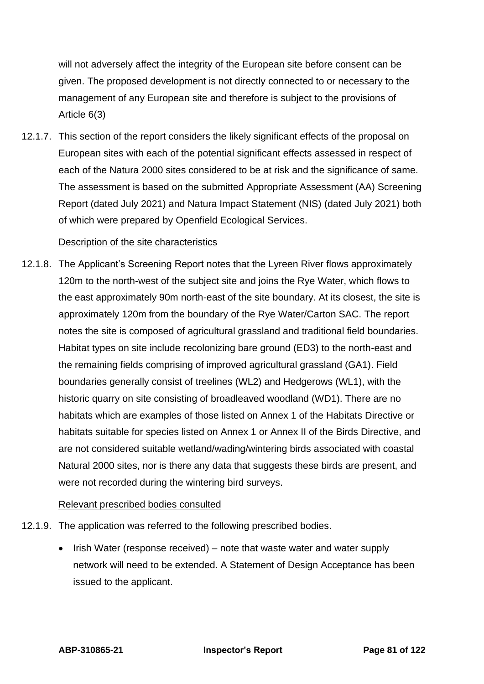will not adversely affect the integrity of the European site before consent can be given. The proposed development is not directly connected to or necessary to the management of any European site and therefore is subject to the provisions of Article 6(3)

12.1.7. This section of the report considers the likely significant effects of the proposal on European sites with each of the potential significant effects assessed in respect of each of the Natura 2000 sites considered to be at risk and the significance of same. The assessment is based on the submitted Appropriate Assessment (AA) Screening Report (dated July 2021) and Natura Impact Statement (NIS) (dated July 2021) both of which were prepared by Openfield Ecological Services.

#### Description of the site characteristics

12.1.8. The Applicant's Screening Report notes that the Lyreen River flows approximately 120m to the north-west of the subject site and joins the Rye Water, which flows to the east approximately 90m north-east of the site boundary. At its closest, the site is approximately 120m from the boundary of the Rye Water/Carton SAC. The report notes the site is composed of agricultural grassland and traditional field boundaries. Habitat types on site include recolonizing bare ground (ED3) to the north-east and the remaining fields comprising of improved agricultural grassland (GA1). Field boundaries generally consist of treelines (WL2) and Hedgerows (WL1), with the historic quarry on site consisting of broadleaved woodland (WD1). There are no habitats which are examples of those listed on Annex 1 of the Habitats Directive or habitats suitable for species listed on Annex 1 or Annex II of the Birds Directive, and are not considered suitable wetland/wading/wintering birds associated with coastal Natural 2000 sites, nor is there any data that suggests these birds are present, and were not recorded during the wintering bird surveys.

### Relevant prescribed bodies consulted

- 12.1.9. The application was referred to the following prescribed bodies.
	- Irish Water (response received) note that waste water and water supply network will need to be extended. A Statement of Design Acceptance has been issued to the applicant.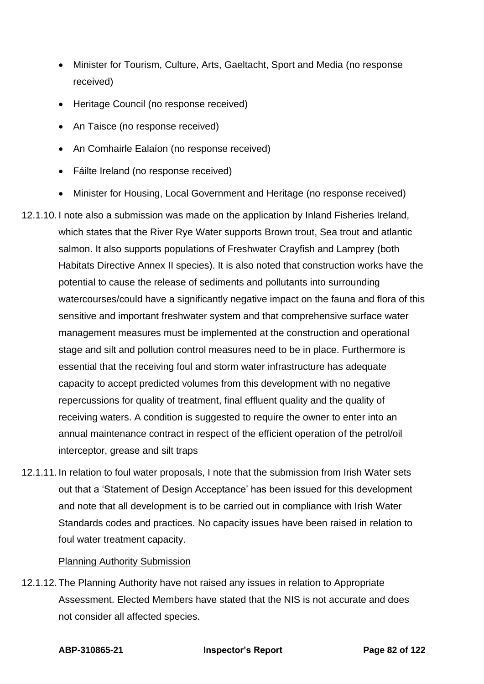- Minister for Tourism, Culture, Arts, Gaeltacht, Sport and Media (no response received)
- Heritage Council (no response received)
- An Taisce (no response received)
- An Comhairle Ealaíon (no response received)
- Fáilte Ireland (no response received)
- Minister for Housing, Local Government and Heritage (no response received)
- 12.1.10. I note also a submission was made on the application by Inland Fisheries Ireland, which states that the River Rye Water supports Brown trout, Sea trout and atlantic salmon. It also supports populations of Freshwater Crayfish and Lamprey (both Habitats Directive Annex II species). It is also noted that construction works have the potential to cause the release of sediments and pollutants into surrounding watercourses/could have a significantly negative impact on the fauna and flora of this sensitive and important freshwater system and that comprehensive surface water management measures must be implemented at the construction and operational stage and silt and pollution control measures need to be in place. Furthermore is essential that the receiving foul and storm water infrastructure has adequate capacity to accept predicted volumes from this development with no negative repercussions for quality of treatment, final effluent quality and the quality of receiving waters. A condition is suggested to require the owner to enter into an annual maintenance contract in respect of the efficient operation of the petrol/oil interceptor, grease and silt traps
- 12.1.11. In relation to foul water proposals, I note that the submission from Irish Water sets out that a 'Statement of Design Acceptance' has been issued for this development and note that all development is to be carried out in compliance with Irish Water Standards codes and practices. No capacity issues have been raised in relation to foul water treatment capacity.

### Planning Authority Submission

12.1.12. The Planning Authority have not raised any issues in relation to Appropriate Assessment. Elected Members have stated that the NIS is not accurate and does not consider all affected species.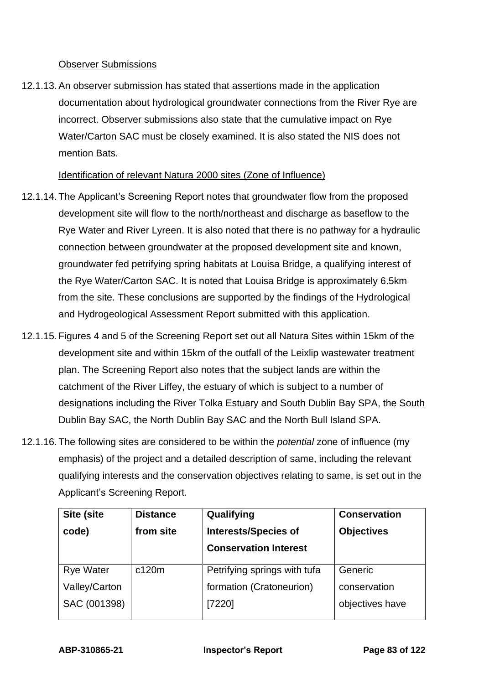### Observer Submissions

12.1.13. An observer submission has stated that assertions made in the application documentation about hydrological groundwater connections from the River Rye are incorrect. Observer submissions also state that the cumulative impact on Rye Water/Carton SAC must be closely examined. It is also stated the NIS does not mention Bats.

### Identification of relevant Natura 2000 sites (Zone of Influence)

- 12.1.14. The Applicant's Screening Report notes that groundwater flow from the proposed development site will flow to the north/northeast and discharge as baseflow to the Rye Water and River Lyreen. It is also noted that there is no pathway for a hydraulic connection between groundwater at the proposed development site and known, groundwater fed petrifying spring habitats at Louisa Bridge, a qualifying interest of the Rye Water/Carton SAC. It is noted that Louisa Bridge is approximately 6.5km from the site. These conclusions are supported by the findings of the Hydrological and Hydrogeological Assessment Report submitted with this application.
- 12.1.15. Figures 4 and 5 of the Screening Report set out all Natura Sites within 15km of the development site and within 15km of the outfall of the Leixlip wastewater treatment plan. The Screening Report also notes that the subject lands are within the catchment of the River Liffey, the estuary of which is subject to a number of designations including the River Tolka Estuary and South Dublin Bay SPA, the South Dublin Bay SAC, the North Dublin Bay SAC and the North Bull Island SPA.
- 12.1.16. The following sites are considered to be within the *potential* zone of influence (my emphasis) of the project and a detailed description of same, including the relevant qualifying interests and the conservation objectives relating to same, is set out in the Applicant's Screening Report.

| Site (site       | <b>Distance</b> | Qualifying                   | <b>Conservation</b> |
|------------------|-----------------|------------------------------|---------------------|
| code)            | from site       | <b>Interests/Species of</b>  | <b>Objectives</b>   |
|                  |                 | <b>Conservation Interest</b> |                     |
| <b>Rye Water</b> | c120m           | Petrifying springs with tufa | Generic             |
|                  |                 |                              |                     |
| Valley/Carton    |                 | formation (Cratoneurion)     | conservation        |
| SAC (001398)     |                 | [7220]                       | objectives have     |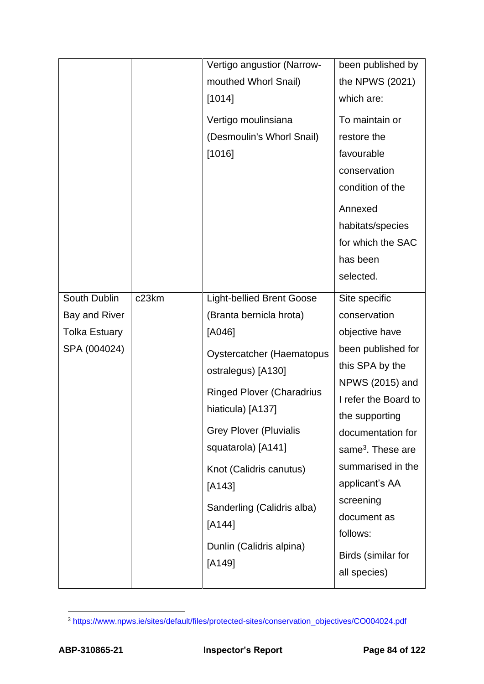|                      |                    | Vertigo angustior (Narrow-       | been published by             |
|----------------------|--------------------|----------------------------------|-------------------------------|
|                      |                    | mouthed Whorl Snail)             | the NPWS (2021)               |
|                      |                    | [1014]                           | which are:                    |
|                      |                    | Vertigo moulinsiana              | To maintain or                |
|                      |                    | (Desmoulin's Whorl Snail)        | restore the                   |
|                      |                    | [1016]                           | favourable                    |
|                      |                    |                                  | conservation                  |
|                      |                    |                                  | condition of the              |
|                      |                    |                                  | Annexed                       |
|                      |                    |                                  | habitats/species              |
|                      |                    |                                  | for which the SAC             |
|                      |                    |                                  | has been                      |
|                      |                    |                                  | selected.                     |
| South Dublin         | c <sub>23</sub> km | <b>Light-bellied Brent Goose</b> | Site specific                 |
| Bay and River        |                    | (Branta bernicla hrota)          | conservation                  |
| <b>Tolka Estuary</b> |                    | [A046]                           | objective have                |
| SPA (004024)         |                    | <b>Oystercatcher (Haematopus</b> | been published for            |
|                      |                    | ostralegus) [A130]               | this SPA by the               |
|                      |                    |                                  | NPWS (2015) and               |
|                      |                    | <b>Ringed Plover (Charadrius</b> | I refer the Board to          |
|                      |                    | hiaticula) [A137]                | the supporting                |
|                      |                    | <b>Grey Plover (Pluvialis</b>    | documentation for             |
|                      |                    | squatarola) [A141]               | same <sup>3</sup> . These are |
|                      |                    | Knot (Calidris canutus)          | summarised in the             |
|                      |                    | $[A143]$                         | applicant's AA                |
|                      |                    | Sanderling (Calidris alba)       | screening                     |
|                      |                    | [A144]                           | document as                   |
|                      |                    |                                  | follows:                      |
|                      |                    | Dunlin (Calidris alpina)         | Birds (similar for            |
|                      |                    | $[A149]$                         | all species)                  |
|                      |                    |                                  |                               |

<sup>3</sup> [https://www.npws.ie/sites/default/files/protected-sites/conservation\\_objectives/CO004024.pdf](https://www.npws.ie/sites/default/files/protected-sites/conservation_objectives/CO004024.pdf)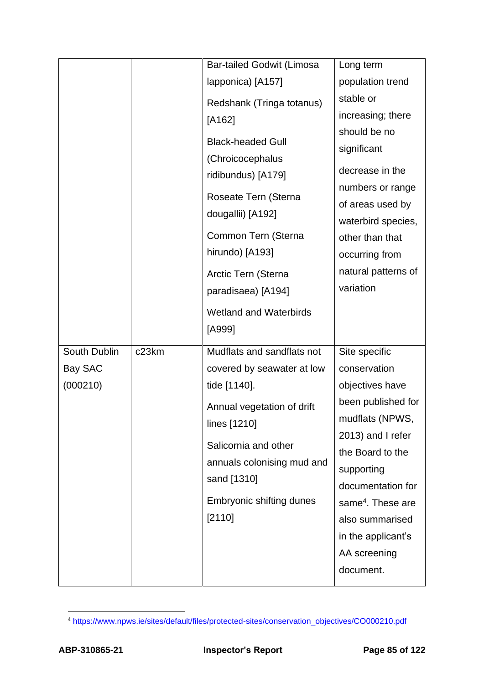|              |                    | <b>Bar-tailed Godwit (Limosa</b> | Long term                     |
|--------------|--------------------|----------------------------------|-------------------------------|
|              |                    | lapponica) [A157]                | population trend              |
|              |                    | Redshank (Tringa totanus)        | stable or                     |
|              |                    | $[A162]$                         | increasing; there             |
|              |                    |                                  | should be no                  |
|              |                    | <b>Black-headed Gull</b>         | significant                   |
|              |                    | (Chroicocephalus                 | decrease in the               |
|              |                    | ridibundus) [A179]               | numbers or range              |
|              |                    | Roseate Tern (Sterna             | of areas used by              |
|              |                    | dougallii) [A192]                | waterbird species,            |
|              |                    | Common Tern (Sterna              | other than that               |
|              |                    | hirundo) [A193]                  | occurring from                |
|              |                    |                                  | natural patterns of           |
|              |                    | Arctic Tern (Sterna              | variation                     |
|              |                    | paradisaea) [A194]               |                               |
|              |                    | <b>Wetland and Waterbirds</b>    |                               |
|              |                    | [A999]                           |                               |
|              |                    |                                  |                               |
| South Dublin | c <sub>23</sub> km | Mudflats and sandflats not       | Site specific                 |
| Bay SAC      |                    | covered by seawater at low       | conservation                  |
| (000210)     |                    | tide [1140].                     | objectives have               |
|              |                    |                                  | been published for            |
|              |                    | Annual vegetation of drift       | mudflats (NPWS,               |
|              |                    | lines [1210]                     | 2013) and I refer             |
|              |                    | Salicornia and other             | the Board to the              |
|              |                    | annuals colonising mud and       | supporting                    |
|              |                    | sand [1310]                      | documentation for             |
|              |                    | Embryonic shifting dunes         | same <sup>4</sup> . These are |
|              |                    | [2110]                           | also summarised               |
|              |                    |                                  | in the applicant's            |
|              |                    |                                  | AA screening                  |
|              |                    |                                  | document.                     |

<sup>4</sup> [https://www.npws.ie/sites/default/files/protected-sites/conservation\\_objectives/CO000210.pdf](https://www.npws.ie/sites/default/files/protected-sites/conservation_objectives/CO000210.pdf)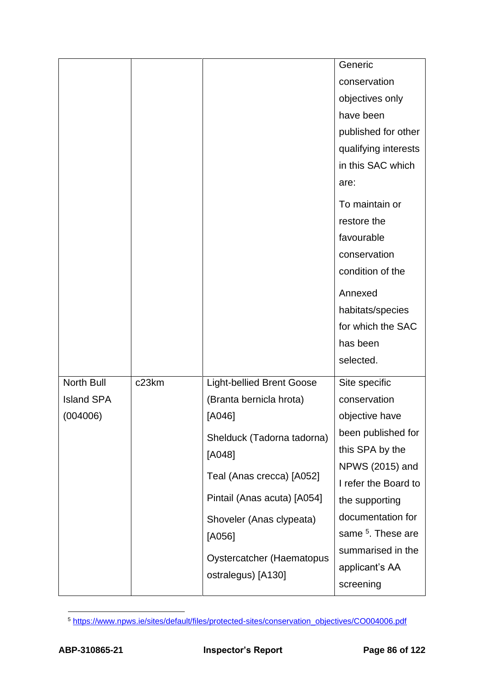|                   |                    |                                  | Generic                       |
|-------------------|--------------------|----------------------------------|-------------------------------|
|                   |                    |                                  | conservation                  |
|                   |                    |                                  |                               |
|                   |                    |                                  | objectives only               |
|                   |                    |                                  | have been                     |
|                   |                    |                                  | published for other           |
|                   |                    |                                  | qualifying interests          |
|                   |                    |                                  | in this SAC which             |
|                   |                    |                                  | are:                          |
|                   |                    |                                  | To maintain or                |
|                   |                    |                                  | restore the                   |
|                   |                    |                                  | favourable                    |
|                   |                    |                                  | conservation                  |
|                   |                    |                                  | condition of the              |
|                   |                    |                                  |                               |
|                   |                    |                                  | Annexed                       |
|                   |                    |                                  | habitats/species              |
|                   |                    |                                  | for which the SAC             |
|                   |                    |                                  | has been                      |
|                   |                    |                                  | selected.                     |
| North Bull        | c <sub>23</sub> km | <b>Light-bellied Brent Goose</b> | Site specific                 |
| <b>Island SPA</b> |                    | (Branta bernicla hrota)          | conservation                  |
| (004006)          |                    | $[A046]$                         | objective have                |
|                   |                    | Shelduck (Tadorna tadorna)       | been published for            |
|                   |                    | $[A048]$                         | this SPA by the               |
|                   |                    |                                  | NPWS (2015) and               |
|                   |                    | Teal (Anas crecca) [A052]        | I refer the Board to          |
|                   |                    | Pintail (Anas acuta) [A054]      | the supporting                |
|                   |                    | Shoveler (Anas clypeata)         | documentation for             |
|                   |                    | [A056]                           | same <sup>5</sup> . These are |
|                   |                    |                                  | summarised in the             |
|                   |                    | <b>Oystercatcher (Haematopus</b> | applicant's AA                |
|                   |                    | ostralegus) [A130]               | screening                     |
|                   |                    |                                  |                               |

<sup>5</sup> [https://www.npws.ie/sites/default/files/protected-sites/conservation\\_objectives/CO004006.pdf](https://www.npws.ie/sites/default/files/protected-sites/conservation_objectives/CO004006.pdf)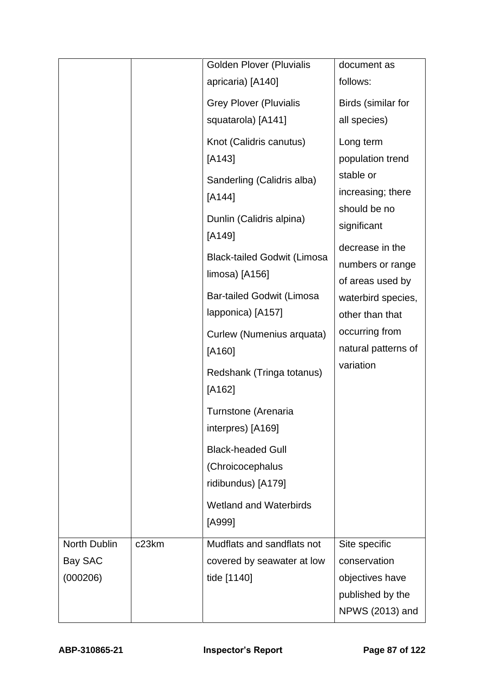|              |       | <b>Golden Plover (Pluvialis</b>    | document as         |
|--------------|-------|------------------------------------|---------------------|
|              |       | apricaria) [A140]                  | follows:            |
|              |       | <b>Grey Plover (Pluvialis</b>      | Birds (similar for  |
|              |       | squatarola) [A141]                 | all species)        |
|              |       | Knot (Calidris canutus)            | Long term           |
|              |       | $[A143]$                           | population trend    |
|              |       | Sanderling (Calidris alba)         | stable or           |
|              |       | $[A144]$                           | increasing; there   |
|              |       | Dunlin (Calidris alpina)           | should be no        |
|              |       | [A149]                             | significant         |
|              |       | <b>Black-tailed Godwit (Limosa</b> | decrease in the     |
|              |       | $limosa)$ [A156]                   | numbers or range    |
|              |       |                                    | of areas used by    |
|              |       | <b>Bar-tailed Godwit (Limosa</b>   | waterbird species,  |
|              |       | lapponica) [A157]                  | other than that     |
|              |       | Curlew (Numenius arquata)          | occurring from      |
|              |       | [A160]                             | natural patterns of |
|              |       | Redshank (Tringa totanus)          | variation           |
|              |       | [A162]                             |                     |
|              |       | Turnstone (Arenaria                |                     |
|              |       | interpres) [A169]                  |                     |
|              |       | <b>Black-headed Gull</b>           |                     |
|              |       | (Chroicocephalus                   |                     |
|              |       | ridibundus) [A179]                 |                     |
|              |       | <b>Wetland and Waterbirds</b>      |                     |
|              |       | [A999]                             |                     |
| North Dublin | c23km | Mudflats and sandflats not         | Site specific       |
| Bay SAC      |       | covered by seawater at low         | conservation        |
| (000206)     |       | tide [1140]                        | objectives have     |
|              |       |                                    | published by the    |
|              |       |                                    | NPWS (2013) and     |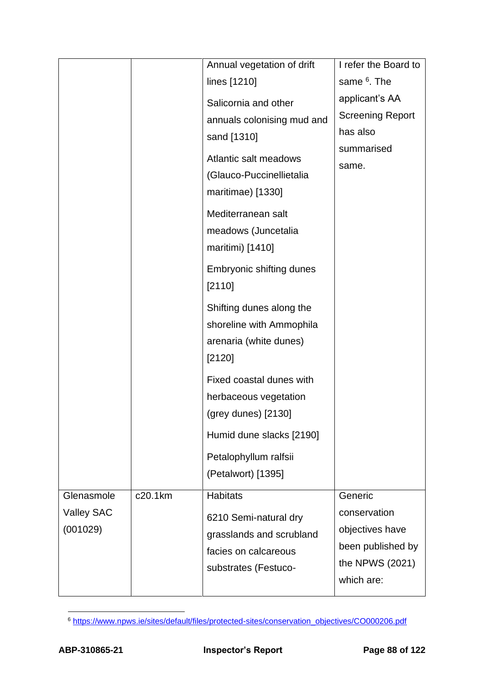|                                             |         | Annual vegetation of drift<br>lines [1210]                                                                                                                        | I refer the Board to<br>same <sup>6</sup> . The                                                  |
|---------------------------------------------|---------|-------------------------------------------------------------------------------------------------------------------------------------------------------------------|--------------------------------------------------------------------------------------------------|
|                                             |         | Salicornia and other<br>annuals colonising mud and<br>sand [1310]<br>Atlantic salt meadows<br>(Glauco-Puccinellietalia<br>maritimae) [1330]<br>Mediterranean salt | applicant's AA<br><b>Screening Report</b><br>has also<br>summarised<br>same.                     |
|                                             |         | meadows (Juncetalia<br>maritimi) [1410]<br>Embryonic shifting dunes<br>[2110]                                                                                     |                                                                                                  |
|                                             |         | Shifting dunes along the<br>shoreline with Ammophila<br>arenaria (white dunes)<br>[2120]                                                                          |                                                                                                  |
|                                             |         | Fixed coastal dunes with<br>herbaceous vegetation<br>$(grey$ dunes $)$ [2130]<br>Humid dune slacks [2190]                                                         |                                                                                                  |
|                                             |         | Petalophyllum ralfsii<br>(Petalwort) [1395]                                                                                                                       |                                                                                                  |
| Glenasmole<br><b>Valley SAC</b><br>(001029) | c20.1km | <b>Habitats</b><br>6210 Semi-natural dry<br>grasslands and scrubland<br>facies on calcareous<br>substrates (Festuco-                                              | Generic<br>conservation<br>objectives have<br>been published by<br>the NPWS (2021)<br>which are: |

<sup>6</sup> [https://www.npws.ie/sites/default/files/protected-sites/conservation\\_objectives/CO000206.pdf](https://www.npws.ie/sites/default/files/protected-sites/conservation_objectives/CO000206.pdf)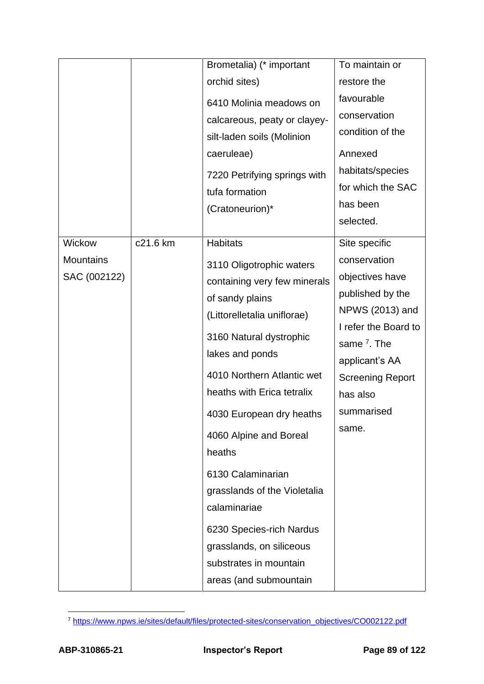| condition of the        |
|-------------------------|
|                         |
| habitats/species        |
| for which the SAC       |
|                         |
|                         |
|                         |
|                         |
| objectives have         |
| published by the        |
| NPWS (2013) and         |
| I refer the Board to    |
|                         |
|                         |
| <b>Screening Report</b> |
|                         |
|                         |
|                         |
|                         |
|                         |
|                         |
|                         |
|                         |
|                         |
|                         |
|                         |
| applicant's AA          |

<sup>7</sup> [https://www.npws.ie/sites/default/files/protected-sites/conservation\\_objectives/CO002122.pdf](https://www.npws.ie/sites/default/files/protected-sites/conservation_objectives/CO002122.pdf)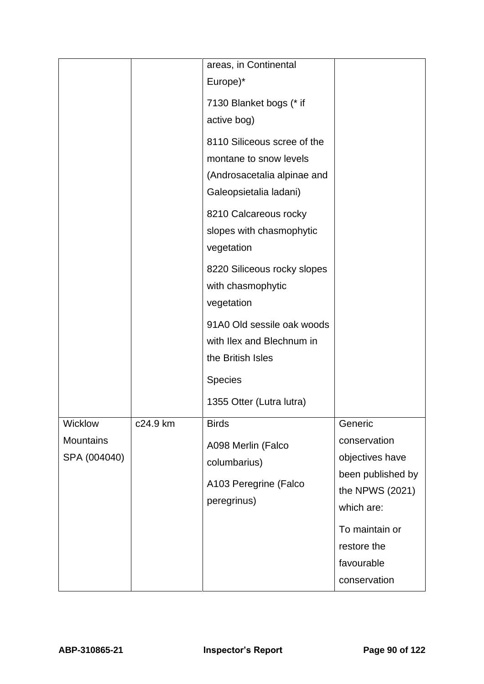|                                             |          | areas, in Continental<br>Europe)*<br>7130 Blanket bogs (* if<br>active bog)<br>8110 Siliceous scree of the<br>montane to snow levels<br>(Androsacetalia alpinae and<br>Galeopsietalia ladani)<br>8210 Calcareous rocky<br>slopes with chasmophytic |                                                                                                                                                                 |
|---------------------------------------------|----------|----------------------------------------------------------------------------------------------------------------------------------------------------------------------------------------------------------------------------------------------------|-----------------------------------------------------------------------------------------------------------------------------------------------------------------|
|                                             |          | vegetation<br>8220 Siliceous rocky slopes<br>with chasmophytic<br>vegetation<br>91A0 Old sessile oak woods<br>with Ilex and Blechnum in<br>the British Isles<br><b>Species</b><br>1355 Otter (Lutra lutra)                                         |                                                                                                                                                                 |
| Wicklow<br><b>Mountains</b><br>SPA (004040) | c24.9 km | <b>Birds</b><br>A098 Merlin (Falco<br>columbarius)<br>A103 Peregrine (Falco<br>peregrinus)                                                                                                                                                         | Generic<br>conservation<br>objectives have<br>been published by<br>the NPWS (2021)<br>which are:<br>To maintain or<br>restore the<br>favourable<br>conservation |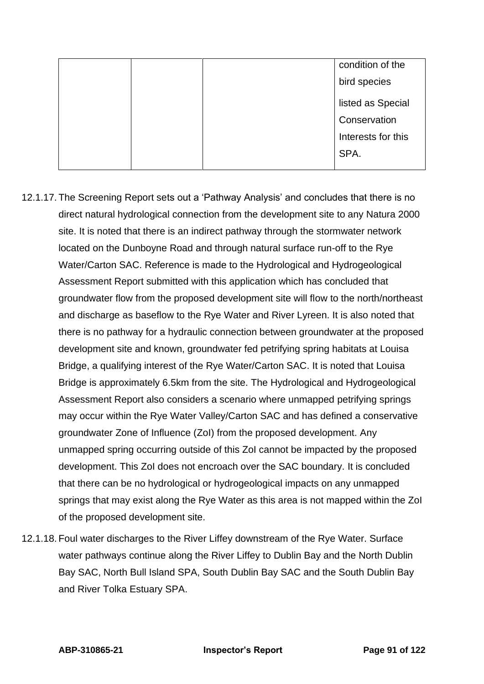|  |  | condition of the   |
|--|--|--------------------|
|  |  | bird species       |
|  |  | listed as Special  |
|  |  | Conservation       |
|  |  | Interests for this |
|  |  | SPA.               |
|  |  |                    |

- 12.1.17. The Screening Report sets out a 'Pathway Analysis' and concludes that there is no direct natural hydrological connection from the development site to any Natura 2000 site. It is noted that there is an indirect pathway through the stormwater network located on the Dunboyne Road and through natural surface run-off to the Rye Water/Carton SAC. Reference is made to the Hydrological and Hydrogeological Assessment Report submitted with this application which has concluded that groundwater flow from the proposed development site will flow to the north/northeast and discharge as baseflow to the Rye Water and River Lyreen. It is also noted that there is no pathway for a hydraulic connection between groundwater at the proposed development site and known, groundwater fed petrifying spring habitats at Louisa Bridge, a qualifying interest of the Rye Water/Carton SAC. It is noted that Louisa Bridge is approximately 6.5km from the site. The Hydrological and Hydrogeological Assessment Report also considers a scenario where unmapped petrifying springs may occur within the Rye Water Valley/Carton SAC and has defined a conservative groundwater Zone of Influence (ZoI) from the proposed development. Any unmapped spring occurring outside of this ZoI cannot be impacted by the proposed development. This ZoI does not encroach over the SAC boundary. It is concluded that there can be no hydrological or hydrogeological impacts on any unmapped springs that may exist along the Rye Water as this area is not mapped within the ZoI of the proposed development site.
- 12.1.18. Foul water discharges to the River Liffey downstream of the Rye Water. Surface water pathways continue along the River Liffey to Dublin Bay and the North Dublin Bay SAC, North Bull Island SPA, South Dublin Bay SAC and the South Dublin Bay and River Tolka Estuary SPA.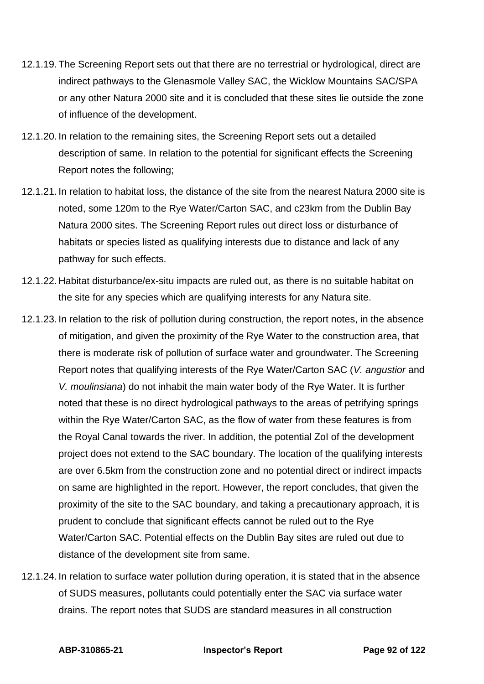- 12.1.19. The Screening Report sets out that there are no terrestrial or hydrological, direct are indirect pathways to the Glenasmole Valley SAC, the Wicklow Mountains SAC/SPA or any other Natura 2000 site and it is concluded that these sites lie outside the zone of influence of the development.
- 12.1.20. In relation to the remaining sites, the Screening Report sets out a detailed description of same. In relation to the potential for significant effects the Screening Report notes the following;
- 12.1.21. In relation to habitat loss, the distance of the site from the nearest Natura 2000 site is noted, some 120m to the Rye Water/Carton SAC, and c23km from the Dublin Bay Natura 2000 sites. The Screening Report rules out direct loss or disturbance of habitats or species listed as qualifying interests due to distance and lack of any pathway for such effects.
- 12.1.22. Habitat disturbance/ex-situ impacts are ruled out, as there is no suitable habitat on the site for any species which are qualifying interests for any Natura site.
- 12.1.23. In relation to the risk of pollution during construction, the report notes, in the absence of mitigation, and given the proximity of the Rye Water to the construction area, that there is moderate risk of pollution of surface water and groundwater. The Screening Report notes that qualifying interests of the Rye Water/Carton SAC (*V. angustior* and *V. moulinsiana*) do not inhabit the main water body of the Rye Water. It is further noted that these is no direct hydrological pathways to the areas of petrifying springs within the Rye Water/Carton SAC, as the flow of water from these features is from the Royal Canal towards the river. In addition, the potential ZoI of the development project does not extend to the SAC boundary. The location of the qualifying interests are over 6.5km from the construction zone and no potential direct or indirect impacts on same are highlighted in the report. However, the report concludes, that given the proximity of the site to the SAC boundary, and taking a precautionary approach, it is prudent to conclude that significant effects cannot be ruled out to the Rye Water/Carton SAC. Potential effects on the Dublin Bay sites are ruled out due to distance of the development site from same.
- 12.1.24. In relation to surface water pollution during operation, it is stated that in the absence of SUDS measures, pollutants could potentially enter the SAC via surface water drains. The report notes that SUDS are standard measures in all construction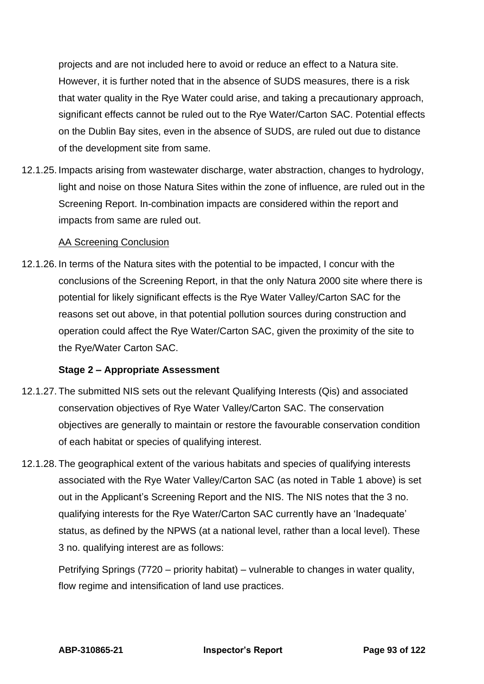projects and are not included here to avoid or reduce an effect to a Natura site. However, it is further noted that in the absence of SUDS measures, there is a risk that water quality in the Rye Water could arise, and taking a precautionary approach, significant effects cannot be ruled out to the Rye Water/Carton SAC. Potential effects on the Dublin Bay sites, even in the absence of SUDS, are ruled out due to distance of the development site from same.

12.1.25. Impacts arising from wastewater discharge, water abstraction, changes to hydrology, light and noise on those Natura Sites within the zone of influence, are ruled out in the Screening Report. In-combination impacts are considered within the report and impacts from same are ruled out.

### AA Screening Conclusion

12.1.26. In terms of the Natura sites with the potential to be impacted, I concur with the conclusions of the Screening Report, in that the only Natura 2000 site where there is potential for likely significant effects is the Rye Water Valley/Carton SAC for the reasons set out above, in that potential pollution sources during construction and operation could affect the Rye Water/Carton SAC, given the proximity of the site to the Rye/Water Carton SAC.

### **Stage 2 – Appropriate Assessment**

- 12.1.27. The submitted NIS sets out the relevant Qualifying Interests (Qis) and associated conservation objectives of Rye Water Valley/Carton SAC. The conservation objectives are generally to maintain or restore the favourable conservation condition of each habitat or species of qualifying interest.
- 12.1.28. The geographical extent of the various habitats and species of qualifying interests associated with the Rye Water Valley/Carton SAC (as noted in Table 1 above) is set out in the Applicant's Screening Report and the NIS. The NIS notes that the 3 no. qualifying interests for the Rye Water/Carton SAC currently have an 'Inadequate' status, as defined by the NPWS (at a national level, rather than a local level). These 3 no. qualifying interest are as follows:

Petrifying Springs (7720 – priority habitat) – vulnerable to changes in water quality, flow regime and intensification of land use practices.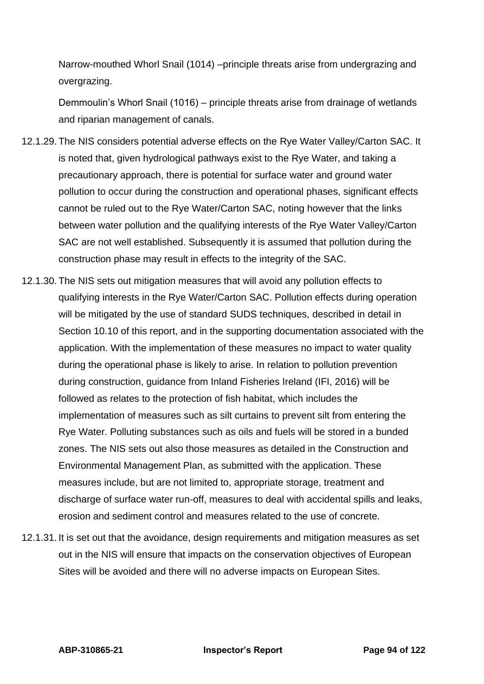Narrow-mouthed Whorl Snail (1014) –principle threats arise from undergrazing and overgrazing.

Demmoulin's Whorl Snail (1016) – principle threats arise from drainage of wetlands and riparian management of canals.

- 12.1.29. The NIS considers potential adverse effects on the Rye Water Valley/Carton SAC. It is noted that, given hydrological pathways exist to the Rye Water, and taking a precautionary approach, there is potential for surface water and ground water pollution to occur during the construction and operational phases, significant effects cannot be ruled out to the Rye Water/Carton SAC, noting however that the links between water pollution and the qualifying interests of the Rye Water Valley/Carton SAC are not well established. Subsequently it is assumed that pollution during the construction phase may result in effects to the integrity of the SAC.
- 12.1.30. The NIS sets out mitigation measures that will avoid any pollution effects to qualifying interests in the Rye Water/Carton SAC. Pollution effects during operation will be mitigated by the use of standard SUDS techniques, described in detail in Section 10.10 of this report, and in the supporting documentation associated with the application. With the implementation of these measures no impact to water quality during the operational phase is likely to arise. In relation to pollution prevention during construction, guidance from Inland Fisheries Ireland (IFI, 2016) will be followed as relates to the protection of fish habitat, which includes the implementation of measures such as silt curtains to prevent silt from entering the Rye Water. Polluting substances such as oils and fuels will be stored in a bunded zones. The NIS sets out also those measures as detailed in the Construction and Environmental Management Plan, as submitted with the application. These measures include, but are not limited to, appropriate storage, treatment and discharge of surface water run-off, measures to deal with accidental spills and leaks, erosion and sediment control and measures related to the use of concrete.
- 12.1.31. It is set out that the avoidance, design requirements and mitigation measures as set out in the NIS will ensure that impacts on the conservation objectives of European Sites will be avoided and there will no adverse impacts on European Sites.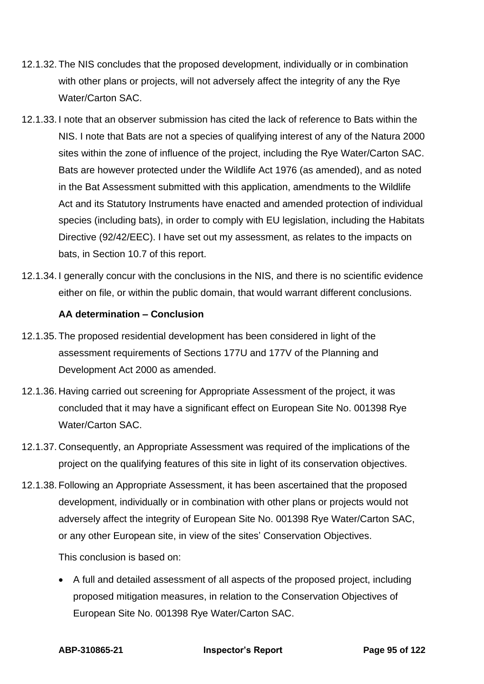- 12.1.32. The NIS concludes that the proposed development, individually or in combination with other plans or projects, will not adversely affect the integrity of any the Rye Water/Carton SAC.
- 12.1.33. I note that an observer submission has cited the lack of reference to Bats within the NIS. I note that Bats are not a species of qualifying interest of any of the Natura 2000 sites within the zone of influence of the project, including the Rye Water/Carton SAC. Bats are however protected under the Wildlife Act 1976 (as amended), and as noted in the Bat Assessment submitted with this application, amendments to the Wildlife Act and its Statutory Instruments have enacted and amended protection of individual species (including bats), in order to comply with EU legislation, including the Habitats Directive (92/42/EEC). I have set out my assessment, as relates to the impacts on bats, in Section 10.7 of this report.
- 12.1.34. I generally concur with the conclusions in the NIS, and there is no scientific evidence either on file, or within the public domain, that would warrant different conclusions.

### **AA determination – Conclusion**

- 12.1.35. The proposed residential development has been considered in light of the assessment requirements of Sections 177U and 177V of the Planning and Development Act 2000 as amended.
- 12.1.36. Having carried out screening for Appropriate Assessment of the project, it was concluded that it may have a significant effect on European Site No. 001398 Rye Water/Carton SAC.
- 12.1.37. Consequently, an Appropriate Assessment was required of the implications of the project on the qualifying features of this site in light of its conservation objectives.
- 12.1.38. Following an Appropriate Assessment, it has been ascertained that the proposed development, individually or in combination with other plans or projects would not adversely affect the integrity of European Site No. 001398 Rye Water/Carton SAC, or any other European site, in view of the sites' Conservation Objectives.

This conclusion is based on:

• A full and detailed assessment of all aspects of the proposed project, including proposed mitigation measures, in relation to the Conservation Objectives of European Site No. 001398 Rye Water/Carton SAC.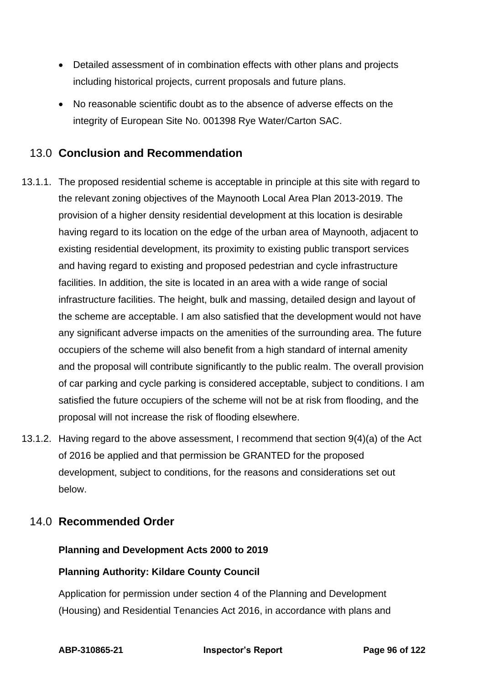- Detailed assessment of in combination effects with other plans and projects including historical projects, current proposals and future plans.
- No reasonable scientific doubt as to the absence of adverse effects on the integrity of European Site No. 001398 Rye Water/Carton SAC.

# 13.0 **Conclusion and Recommendation**

- 13.1.1. The proposed residential scheme is acceptable in principle at this site with regard to the relevant zoning objectives of the Maynooth Local Area Plan 2013-2019. The provision of a higher density residential development at this location is desirable having regard to its location on the edge of the urban area of Maynooth, adjacent to existing residential development, its proximity to existing public transport services and having regard to existing and proposed pedestrian and cycle infrastructure facilities. In addition, the site is located in an area with a wide range of social infrastructure facilities. The height, bulk and massing, detailed design and layout of the scheme are acceptable. I am also satisfied that the development would not have any significant adverse impacts on the amenities of the surrounding area. The future occupiers of the scheme will also benefit from a high standard of internal amenity and the proposal will contribute significantly to the public realm. The overall provision of car parking and cycle parking is considered acceptable, subject to conditions. I am satisfied the future occupiers of the scheme will not be at risk from flooding, and the proposal will not increase the risk of flooding elsewhere.
- 13.1.2. Having regard to the above assessment, I recommend that section 9(4)(a) of the Act of 2016 be applied and that permission be GRANTED for the proposed development, subject to conditions, for the reasons and considerations set out below.

# 14.0 **Recommended Order**

### **Planning and Development Acts 2000 to 2019**

### **Planning Authority: Kildare County Council**

Application for permission under section 4 of the Planning and Development (Housing) and Residential Tenancies Act 2016, in accordance with plans and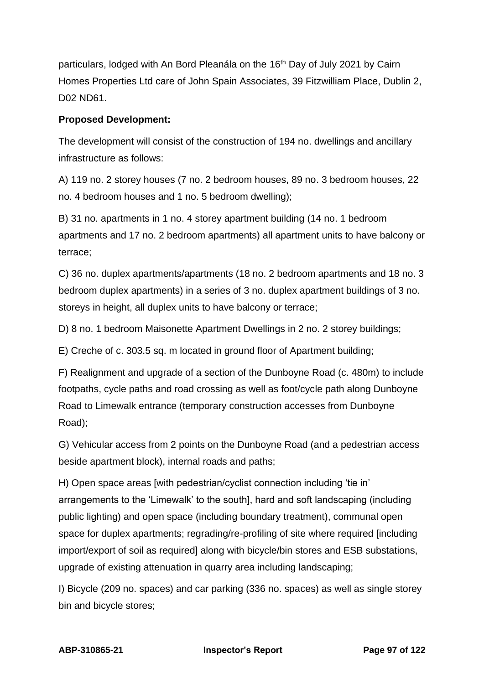particulars, lodged with An Bord Pleanála on the 16<sup>th</sup> Day of July 2021 by Cairn Homes Properties Ltd care of John Spain Associates, 39 Fitzwilliam Place, Dublin 2, D02 ND61.

### **Proposed Development:**

The development will consist of the construction of 194 no. dwellings and ancillary infrastructure as follows:

A) 119 no. 2 storey houses (7 no. 2 bedroom houses, 89 no. 3 bedroom houses, 22 no. 4 bedroom houses and 1 no. 5 bedroom dwelling);

B) 31 no. apartments in 1 no. 4 storey apartment building (14 no. 1 bedroom apartments and 17 no. 2 bedroom apartments) all apartment units to have balcony or terrace;

C) 36 no. duplex apartments/apartments (18 no. 2 bedroom apartments and 18 no. 3 bedroom duplex apartments) in a series of 3 no. duplex apartment buildings of 3 no. storeys in height, all duplex units to have balcony or terrace;

D) 8 no. 1 bedroom Maisonette Apartment Dwellings in 2 no. 2 storey buildings;

E) Creche of c. 303.5 sq. m located in ground floor of Apartment building;

F) Realignment and upgrade of a section of the Dunboyne Road (c. 480m) to include footpaths, cycle paths and road crossing as well as foot/cycle path along Dunboyne Road to Limewalk entrance (temporary construction accesses from Dunboyne Road);

G) Vehicular access from 2 points on the Dunboyne Road (and a pedestrian access beside apartment block), internal roads and paths;

H) Open space areas [with pedestrian/cyclist connection including 'tie in' arrangements to the 'Limewalk' to the south], hard and soft landscaping (including public lighting) and open space (including boundary treatment), communal open space for duplex apartments; regrading/re-profiling of site where required [including import/export of soil as required] along with bicycle/bin stores and ESB substations, upgrade of existing attenuation in quarry area including landscaping;

I) Bicycle (209 no. spaces) and car parking (336 no. spaces) as well as single storey bin and bicycle stores;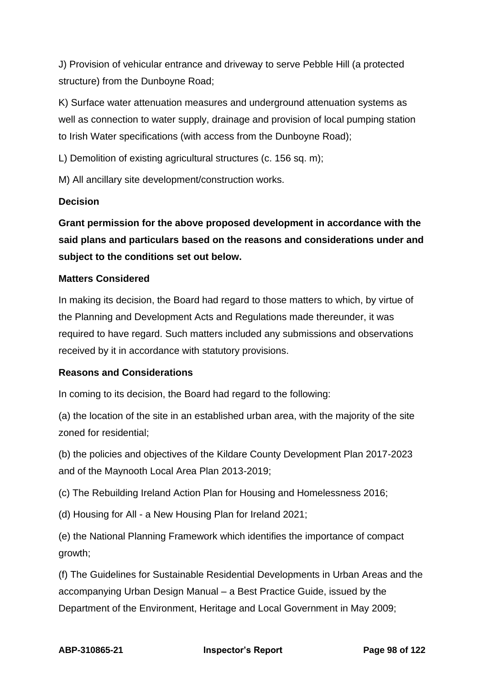J) Provision of vehicular entrance and driveway to serve Pebble Hill (a protected structure) from the Dunboyne Road;

K) Surface water attenuation measures and underground attenuation systems as well as connection to water supply, drainage and provision of local pumping station to Irish Water specifications (with access from the Dunboyne Road);

L) Demolition of existing agricultural structures (c. 156 sq. m);

M) All ancillary site development/construction works.

### **Decision**

**Grant permission for the above proposed development in accordance with the said plans and particulars based on the reasons and considerations under and subject to the conditions set out below.**

### **Matters Considered**

In making its decision, the Board had regard to those matters to which, by virtue of the Planning and Development Acts and Regulations made thereunder, it was required to have regard. Such matters included any submissions and observations received by it in accordance with statutory provisions.

### **Reasons and Considerations**

In coming to its decision, the Board had regard to the following:

(a) the location of the site in an established urban area, with the majority of the site zoned for residential;

(b) the policies and objectives of the Kildare County Development Plan 2017-2023 and of the Maynooth Local Area Plan 2013-2019;

(c) The Rebuilding Ireland Action Plan for Housing and Homelessness 2016;

(d) Housing for All - a New Housing Plan for Ireland 2021;

(e) the National Planning Framework which identifies the importance of compact growth;

(f) The Guidelines for Sustainable Residential Developments in Urban Areas and the accompanying Urban Design Manual – a Best Practice Guide, issued by the Department of the Environment, Heritage and Local Government in May 2009;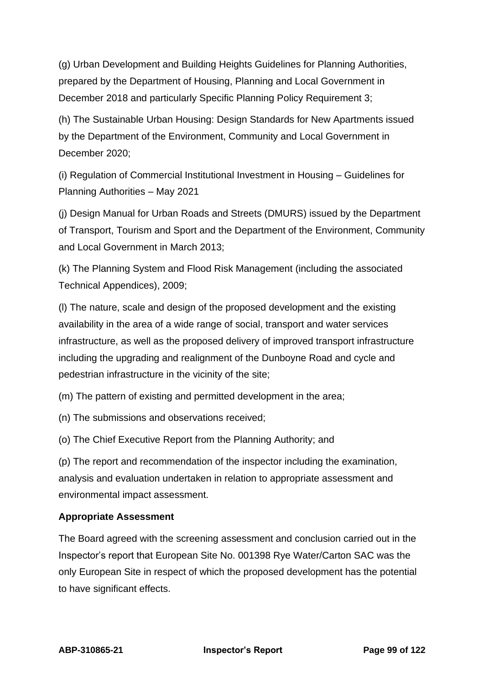(g) Urban Development and Building Heights Guidelines for Planning Authorities, prepared by the Department of Housing, Planning and Local Government in December 2018 and particularly Specific Planning Policy Requirement 3;

(h) The Sustainable Urban Housing: Design Standards for New Apartments issued by the Department of the Environment, Community and Local Government in December 2020;

(i) Regulation of Commercial Institutional Investment in Housing – Guidelines for Planning Authorities – May 2021

(j) Design Manual for Urban Roads and Streets (DMURS) issued by the Department of Transport, Tourism and Sport and the Department of the Environment, Community and Local Government in March 2013;

(k) The Planning System and Flood Risk Management (including the associated Technical Appendices), 2009;

(l) The nature, scale and design of the proposed development and the existing availability in the area of a wide range of social, transport and water services infrastructure, as well as the proposed delivery of improved transport infrastructure including the upgrading and realignment of the Dunboyne Road and cycle and pedestrian infrastructure in the vicinity of the site;

(m) The pattern of existing and permitted development in the area;

(n) The submissions and observations received;

(o) The Chief Executive Report from the Planning Authority; and

(p) The report and recommendation of the inspector including the examination, analysis and evaluation undertaken in relation to appropriate assessment and environmental impact assessment.

### **Appropriate Assessment**

The Board agreed with the screening assessment and conclusion carried out in the Inspector's report that European Site No. 001398 Rye Water/Carton SAC was the only European Site in respect of which the proposed development has the potential to have significant effects.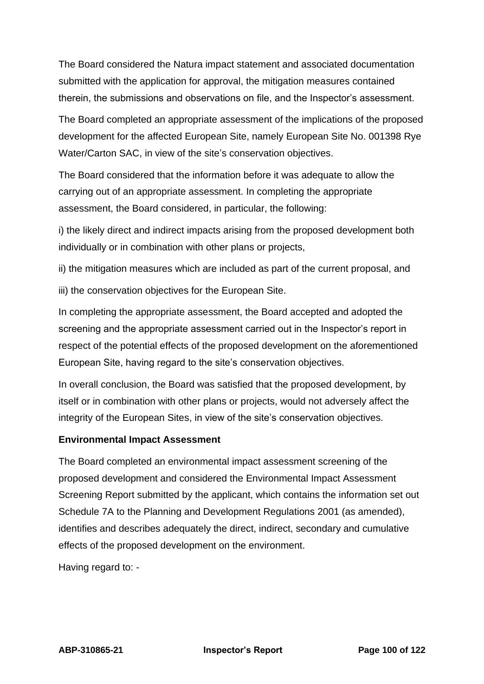The Board considered the Natura impact statement and associated documentation submitted with the application for approval, the mitigation measures contained therein, the submissions and observations on file, and the Inspector's assessment.

The Board completed an appropriate assessment of the implications of the proposed development for the affected European Site, namely European Site No. 001398 Rye Water/Carton SAC, in view of the site's conservation objectives.

The Board considered that the information before it was adequate to allow the carrying out of an appropriate assessment. In completing the appropriate assessment, the Board considered, in particular, the following:

i) the likely direct and indirect impacts arising from the proposed development both individually or in combination with other plans or projects,

ii) the mitigation measures which are included as part of the current proposal, and

iii) the conservation objectives for the European Site.

In completing the appropriate assessment, the Board accepted and adopted the screening and the appropriate assessment carried out in the Inspector's report in respect of the potential effects of the proposed development on the aforementioned European Site, having regard to the site's conservation objectives.

In overall conclusion, the Board was satisfied that the proposed development, by itself or in combination with other plans or projects, would not adversely affect the integrity of the European Sites, in view of the site's conservation objectives.

### **Environmental Impact Assessment**

The Board completed an environmental impact assessment screening of the proposed development and considered the Environmental Impact Assessment Screening Report submitted by the applicant, which contains the information set out Schedule 7A to the Planning and Development Regulations 2001 (as amended), identifies and describes adequately the direct, indirect, secondary and cumulative effects of the proposed development on the environment.

Having regard to: -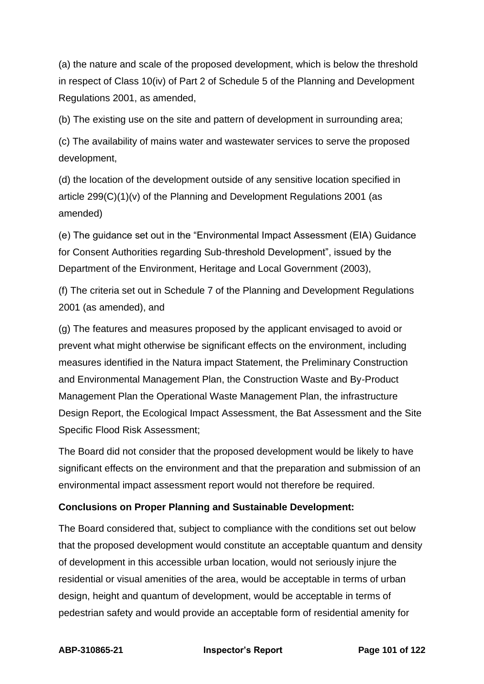(a) the nature and scale of the proposed development, which is below the threshold in respect of Class 10(iv) of Part 2 of Schedule 5 of the Planning and Development Regulations 2001, as amended,

(b) The existing use on the site and pattern of development in surrounding area;

(c) The availability of mains water and wastewater services to serve the proposed development,

(d) the location of the development outside of any sensitive location specified in article 299(C)(1)(v) of the Planning and Development Regulations 2001 (as amended)

(e) The guidance set out in the "Environmental Impact Assessment (EIA) Guidance for Consent Authorities regarding Sub-threshold Development", issued by the Department of the Environment, Heritage and Local Government (2003),

(f) The criteria set out in Schedule 7 of the Planning and Development Regulations 2001 (as amended), and

(g) The features and measures proposed by the applicant envisaged to avoid or prevent what might otherwise be significant effects on the environment, including measures identified in the Natura impact Statement, the Preliminary Construction and Environmental Management Plan, the Construction Waste and By-Product Management Plan the Operational Waste Management Plan, the infrastructure Design Report, the Ecological Impact Assessment, the Bat Assessment and the Site Specific Flood Risk Assessment;

The Board did not consider that the proposed development would be likely to have significant effects on the environment and that the preparation and submission of an environmental impact assessment report would not therefore be required.

### **Conclusions on Proper Planning and Sustainable Development:**

The Board considered that, subject to compliance with the conditions set out below that the proposed development would constitute an acceptable quantum and density of development in this accessible urban location, would not seriously injure the residential or visual amenities of the area, would be acceptable in terms of urban design, height and quantum of development, would be acceptable in terms of pedestrian safety and would provide an acceptable form of residential amenity for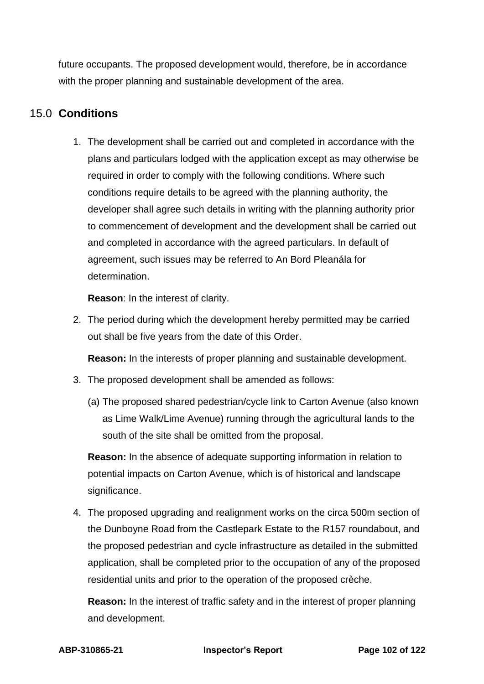future occupants. The proposed development would, therefore, be in accordance with the proper planning and sustainable development of the area.

# 15.0 **Conditions**

1. The development shall be carried out and completed in accordance with the plans and particulars lodged with the application except as may otherwise be required in order to comply with the following conditions. Where such conditions require details to be agreed with the planning authority, the developer shall agree such details in writing with the planning authority prior to commencement of development and the development shall be carried out and completed in accordance with the agreed particulars. In default of agreement, such issues may be referred to An Bord Pleanála for determination.

**Reason**: In the interest of clarity.

2. The period during which the development hereby permitted may be carried out shall be five years from the date of this Order.

**Reason:** In the interests of proper planning and sustainable development.

- 3. The proposed development shall be amended as follows:
	- (a) The proposed shared pedestrian/cycle link to Carton Avenue (also known as Lime Walk/Lime Avenue) running through the agricultural lands to the south of the site shall be omitted from the proposal.

**Reason:** In the absence of adequate supporting information in relation to potential impacts on Carton Avenue, which is of historical and landscape significance.

4. The proposed upgrading and realignment works on the circa 500m section of the Dunboyne Road from the Castlepark Estate to the R157 roundabout, and the proposed pedestrian and cycle infrastructure as detailed in the submitted application, shall be completed prior to the occupation of any of the proposed residential units and prior to the operation of the proposed crèche.

**Reason:** In the interest of traffic safety and in the interest of proper planning and development.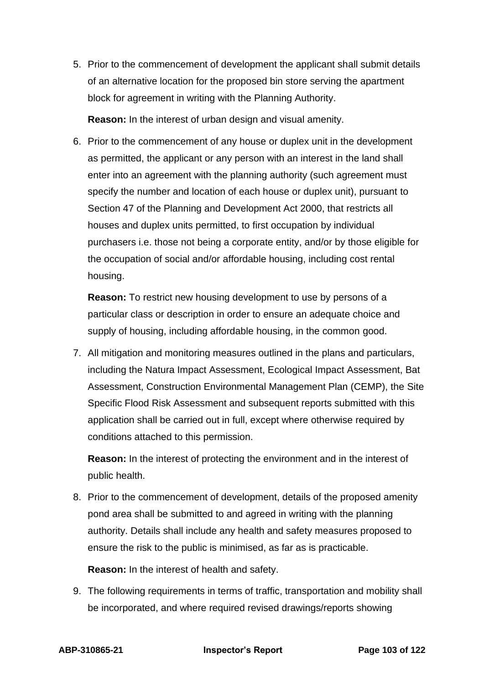5. Prior to the commencement of development the applicant shall submit details of an alternative location for the proposed bin store serving the apartment block for agreement in writing with the Planning Authority.

**Reason:** In the interest of urban design and visual amenity.

6. Prior to the commencement of any house or duplex unit in the development as permitted, the applicant or any person with an interest in the land shall enter into an agreement with the planning authority (such agreement must specify the number and location of each house or duplex unit), pursuant to Section 47 of the Planning and Development Act 2000, that restricts all houses and duplex units permitted, to first occupation by individual purchasers i.e. those not being a corporate entity, and/or by those eligible for the occupation of social and/or affordable housing, including cost rental housing.

**Reason:** To restrict new housing development to use by persons of a particular class or description in order to ensure an adequate choice and supply of housing, including affordable housing, in the common good.

7. All mitigation and monitoring measures outlined in the plans and particulars, including the Natura Impact Assessment, Ecological Impact Assessment, Bat Assessment, Construction Environmental Management Plan (CEMP), the Site Specific Flood Risk Assessment and subsequent reports submitted with this application shall be carried out in full, except where otherwise required by conditions attached to this permission.

**Reason:** In the interest of protecting the environment and in the interest of public health.

8. Prior to the commencement of development, details of the proposed amenity pond area shall be submitted to and agreed in writing with the planning authority. Details shall include any health and safety measures proposed to ensure the risk to the public is minimised, as far as is practicable.

**Reason:** In the interest of health and safety.

9. The following requirements in terms of traffic, transportation and mobility shall be incorporated, and where required revised drawings/reports showing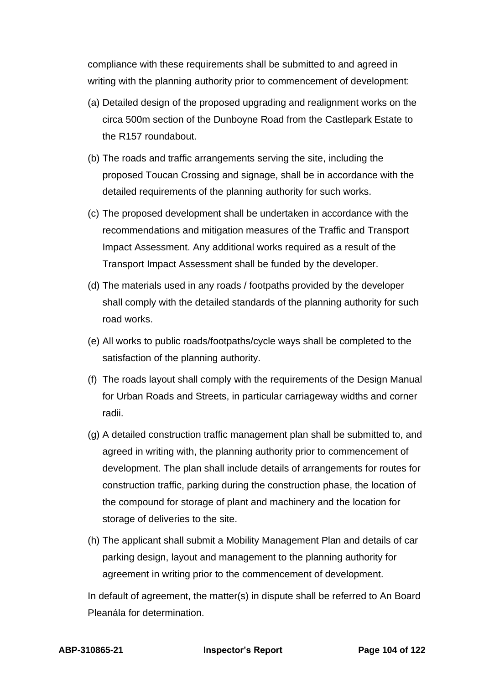compliance with these requirements shall be submitted to and agreed in writing with the planning authority prior to commencement of development:

- (a) Detailed design of the proposed upgrading and realignment works on the circa 500m section of the Dunboyne Road from the Castlepark Estate to the R157 roundabout.
- (b) The roads and traffic arrangements serving the site, including the proposed Toucan Crossing and signage, shall be in accordance with the detailed requirements of the planning authority for such works.
- (c) The proposed development shall be undertaken in accordance with the recommendations and mitigation measures of the Traffic and Transport Impact Assessment. Any additional works required as a result of the Transport Impact Assessment shall be funded by the developer.
- (d) The materials used in any roads / footpaths provided by the developer shall comply with the detailed standards of the planning authority for such road works.
- (e) All works to public roads/footpaths/cycle ways shall be completed to the satisfaction of the planning authority.
- (f) The roads layout shall comply with the requirements of the Design Manual for Urban Roads and Streets, in particular carriageway widths and corner radii.
- (g) A detailed construction traffic management plan shall be submitted to, and agreed in writing with, the planning authority prior to commencement of development. The plan shall include details of arrangements for routes for construction traffic, parking during the construction phase, the location of the compound for storage of plant and machinery and the location for storage of deliveries to the site.
- (h) The applicant shall submit a Mobility Management Plan and details of car parking design, layout and management to the planning authority for agreement in writing prior to the commencement of development.

In default of agreement, the matter(s) in dispute shall be referred to An Board Pleanála for determination.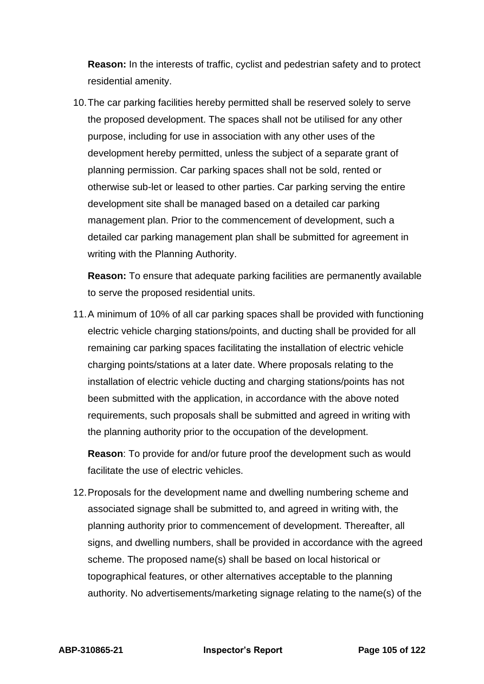**Reason:** In the interests of traffic, cyclist and pedestrian safety and to protect residential amenity.

10.The car parking facilities hereby permitted shall be reserved solely to serve the proposed development. The spaces shall not be utilised for any other purpose, including for use in association with any other uses of the development hereby permitted, unless the subject of a separate grant of planning permission. Car parking spaces shall not be sold, rented or otherwise sub-let or leased to other parties. Car parking serving the entire development site shall be managed based on a detailed car parking management plan. Prior to the commencement of development, such a detailed car parking management plan shall be submitted for agreement in writing with the Planning Authority.

**Reason:** To ensure that adequate parking facilities are permanently available to serve the proposed residential units.

11.A minimum of 10% of all car parking spaces shall be provided with functioning electric vehicle charging stations/points, and ducting shall be provided for all remaining car parking spaces facilitating the installation of electric vehicle charging points/stations at a later date. Where proposals relating to the installation of electric vehicle ducting and charging stations/points has not been submitted with the application, in accordance with the above noted requirements, such proposals shall be submitted and agreed in writing with the planning authority prior to the occupation of the development.

**Reason**: To provide for and/or future proof the development such as would facilitate the use of electric vehicles.

12.Proposals for the development name and dwelling numbering scheme and associated signage shall be submitted to, and agreed in writing with, the planning authority prior to commencement of development. Thereafter, all signs, and dwelling numbers, shall be provided in accordance with the agreed scheme. The proposed name(s) shall be based on local historical or topographical features, or other alternatives acceptable to the planning authority. No advertisements/marketing signage relating to the name(s) of the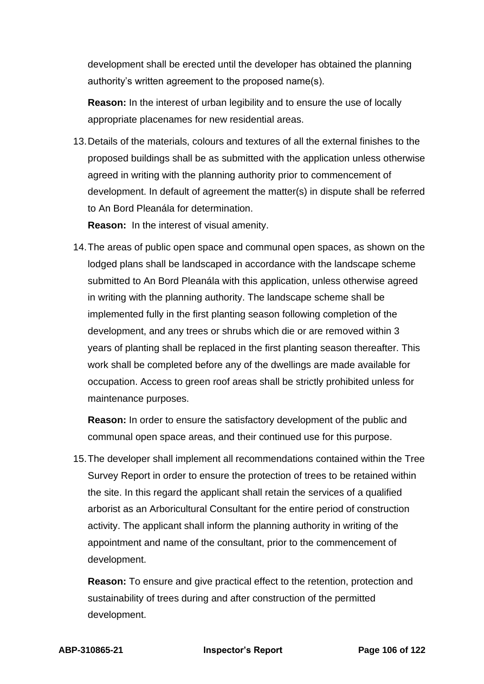development shall be erected until the developer has obtained the planning authority's written agreement to the proposed name(s).

**Reason:** In the interest of urban legibility and to ensure the use of locally appropriate placenames for new residential areas.

13.Details of the materials, colours and textures of all the external finishes to the proposed buildings shall be as submitted with the application unless otherwise agreed in writing with the planning authority prior to commencement of development. In default of agreement the matter(s) in dispute shall be referred to An Bord Pleanála for determination.

**Reason:** In the interest of visual amenity.

14.The areas of public open space and communal open spaces, as shown on the lodged plans shall be landscaped in accordance with the landscape scheme submitted to An Bord Pleanála with this application, unless otherwise agreed in writing with the planning authority. The landscape scheme shall be implemented fully in the first planting season following completion of the development, and any trees or shrubs which die or are removed within 3 years of planting shall be replaced in the first planting season thereafter. This work shall be completed before any of the dwellings are made available for occupation. Access to green roof areas shall be strictly prohibited unless for maintenance purposes.

**Reason:** In order to ensure the satisfactory development of the public and communal open space areas, and their continued use for this purpose.

15.The developer shall implement all recommendations contained within the Tree Survey Report in order to ensure the protection of trees to be retained within the site. In this regard the applicant shall retain the services of a qualified arborist as an Arboricultural Consultant for the entire period of construction activity. The applicant shall inform the planning authority in writing of the appointment and name of the consultant, prior to the commencement of development.

**Reason:** To ensure and give practical effect to the retention, protection and sustainability of trees during and after construction of the permitted development.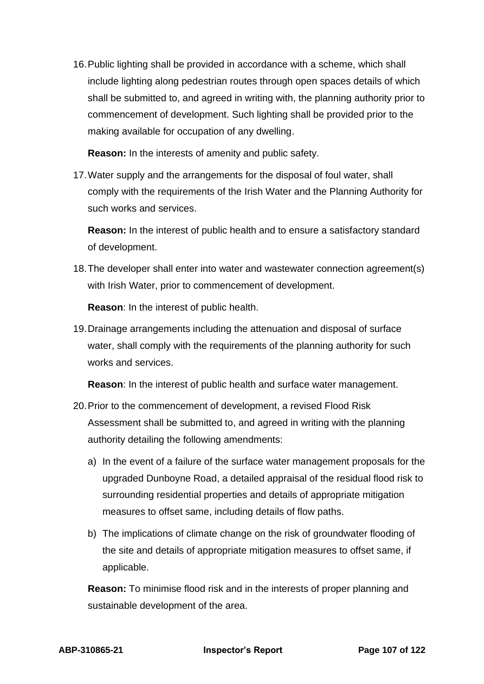16.Public lighting shall be provided in accordance with a scheme, which shall include lighting along pedestrian routes through open spaces details of which shall be submitted to, and agreed in writing with, the planning authority prior to commencement of development. Such lighting shall be provided prior to the making available for occupation of any dwelling.

**Reason:** In the interests of amenity and public safety.

17.Water supply and the arrangements for the disposal of foul water, shall comply with the requirements of the Irish Water and the Planning Authority for such works and services.

**Reason:** In the interest of public health and to ensure a satisfactory standard of development.

18.The developer shall enter into water and wastewater connection agreement(s) with Irish Water, prior to commencement of development.

**Reason**: In the interest of public health.

19.Drainage arrangements including the attenuation and disposal of surface water, shall comply with the requirements of the planning authority for such works and services.

**Reason**: In the interest of public health and surface water management.

- 20.Prior to the commencement of development, a revised Flood Risk Assessment shall be submitted to, and agreed in writing with the planning authority detailing the following amendments:
	- a) In the event of a failure of the surface water management proposals for the upgraded Dunboyne Road, a detailed appraisal of the residual flood risk to surrounding residential properties and details of appropriate mitigation measures to offset same, including details of flow paths.
	- b) The implications of climate change on the risk of groundwater flooding of the site and details of appropriate mitigation measures to offset same, if applicable.

**Reason:** To minimise flood risk and in the interests of proper planning and sustainable development of the area.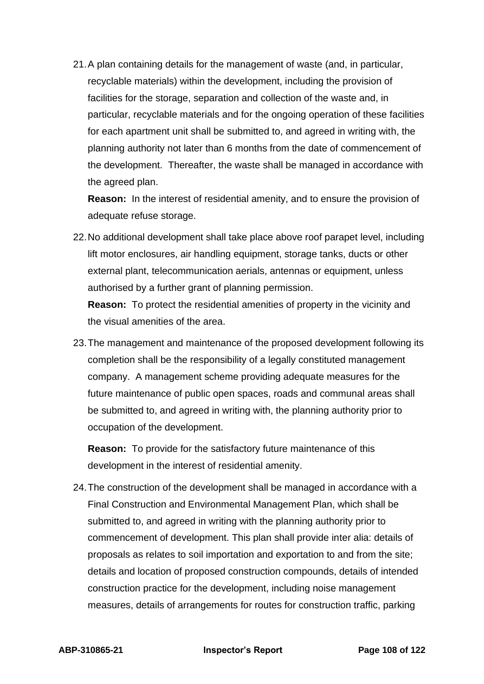21.A plan containing details for the management of waste (and, in particular, recyclable materials) within the development, including the provision of facilities for the storage, separation and collection of the waste and, in particular, recyclable materials and for the ongoing operation of these facilities for each apartment unit shall be submitted to, and agreed in writing with, the planning authority not later than 6 months from the date of commencement of the development. Thereafter, the waste shall be managed in accordance with the agreed plan.

**Reason:** In the interest of residential amenity, and to ensure the provision of adequate refuse storage.

22.No additional development shall take place above roof parapet level, including lift motor enclosures, air handling equipment, storage tanks, ducts or other external plant, telecommunication aerials, antennas or equipment, unless authorised by a further grant of planning permission.

**Reason:** To protect the residential amenities of property in the vicinity and the visual amenities of the area.

23.The management and maintenance of the proposed development following its completion shall be the responsibility of a legally constituted management company. A management scheme providing adequate measures for the future maintenance of public open spaces, roads and communal areas shall be submitted to, and agreed in writing with, the planning authority prior to occupation of the development.

**Reason:** To provide for the satisfactory future maintenance of this development in the interest of residential amenity.

24.The construction of the development shall be managed in accordance with a Final Construction and Environmental Management Plan, which shall be submitted to, and agreed in writing with the planning authority prior to commencement of development. This plan shall provide inter alia: details of proposals as relates to soil importation and exportation to and from the site; details and location of proposed construction compounds, details of intended construction practice for the development, including noise management measures, details of arrangements for routes for construction traffic, parking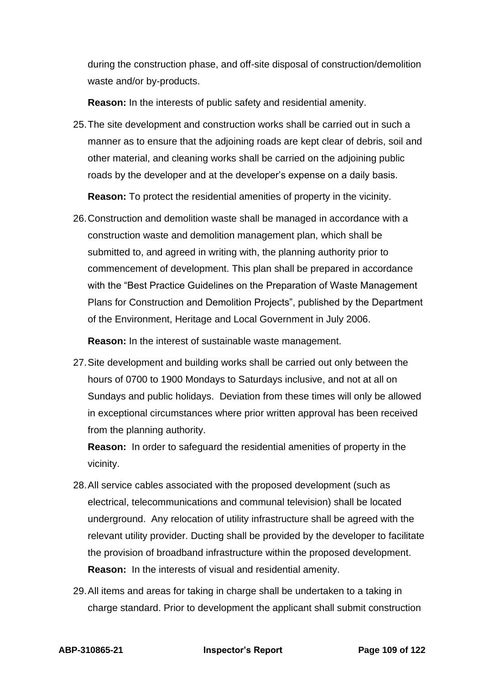during the construction phase, and off-site disposal of construction/demolition waste and/or by-products.

**Reason:** In the interests of public safety and residential amenity.

25.The site development and construction works shall be carried out in such a manner as to ensure that the adjoining roads are kept clear of debris, soil and other material, and cleaning works shall be carried on the adjoining public roads by the developer and at the developer's expense on a daily basis.

**Reason:** To protect the residential amenities of property in the vicinity.

26.Construction and demolition waste shall be managed in accordance with a construction waste and demolition management plan, which shall be submitted to, and agreed in writing with, the planning authority prior to commencement of development. This plan shall be prepared in accordance with the "Best Practice Guidelines on the Preparation of Waste Management Plans for Construction and Demolition Projects", published by the Department of the Environment, Heritage and Local Government in July 2006.

**Reason:** In the interest of sustainable waste management.

27.Site development and building works shall be carried out only between the hours of 0700 to 1900 Mondays to Saturdays inclusive, and not at all on Sundays and public holidays. Deviation from these times will only be allowed in exceptional circumstances where prior written approval has been received from the planning authority.

**Reason:** In order to safeguard the residential amenities of property in the vicinity.

- 28.All service cables associated with the proposed development (such as electrical, telecommunications and communal television) shall be located underground. Any relocation of utility infrastructure shall be agreed with the relevant utility provider. Ducting shall be provided by the developer to facilitate the provision of broadband infrastructure within the proposed development. **Reason:** In the interests of visual and residential amenity.
- 29.All items and areas for taking in charge shall be undertaken to a taking in charge standard. Prior to development the applicant shall submit construction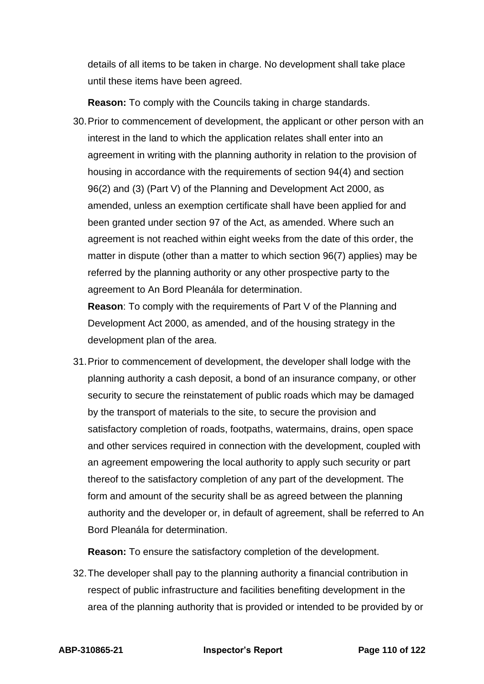details of all items to be taken in charge. No development shall take place until these items have been agreed.

**Reason:** To comply with the Councils taking in charge standards.

30.Prior to commencement of development, the applicant or other person with an interest in the land to which the application relates shall enter into an agreement in writing with the planning authority in relation to the provision of housing in accordance with the requirements of section 94(4) and section 96(2) and (3) (Part V) of the Planning and Development Act 2000, as amended, unless an exemption certificate shall have been applied for and been granted under section 97 of the Act, as amended. Where such an agreement is not reached within eight weeks from the date of this order, the matter in dispute (other than a matter to which section 96(7) applies) may be referred by the planning authority or any other prospective party to the agreement to An Bord Pleanála for determination.

**Reason**: To comply with the requirements of Part V of the Planning and Development Act 2000, as amended, and of the housing strategy in the development plan of the area.

31.Prior to commencement of development, the developer shall lodge with the planning authority a cash deposit, a bond of an insurance company, or other security to secure the reinstatement of public roads which may be damaged by the transport of materials to the site, to secure the provision and satisfactory completion of roads, footpaths, watermains, drains, open space and other services required in connection with the development, coupled with an agreement empowering the local authority to apply such security or part thereof to the satisfactory completion of any part of the development. The form and amount of the security shall be as agreed between the planning authority and the developer or, in default of agreement, shall be referred to An Bord Pleanála for determination.

**Reason:** To ensure the satisfactory completion of the development.

32.The developer shall pay to the planning authority a financial contribution in respect of public infrastructure and facilities benefiting development in the area of the planning authority that is provided or intended to be provided by or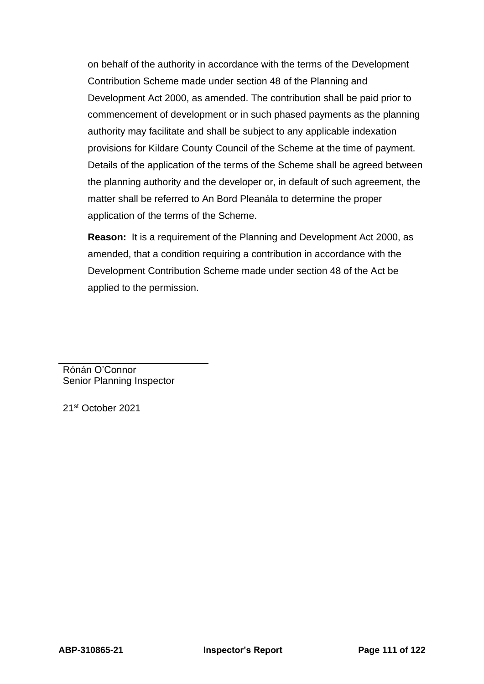on behalf of the authority in accordance with the terms of the Development Contribution Scheme made under section 48 of the Planning and Development Act 2000, as amended. The contribution shall be paid prior to commencement of development or in such phased payments as the planning authority may facilitate and shall be subject to any applicable indexation provisions for Kildare County Council of the Scheme at the time of payment. Details of the application of the terms of the Scheme shall be agreed between the planning authority and the developer or, in default of such agreement, the matter shall be referred to An Bord Pleanála to determine the proper application of the terms of the Scheme.

**Reason:** It is a requirement of the Planning and Development Act 2000, as amended, that a condition requiring a contribution in accordance with the Development Contribution Scheme made under section 48 of the Act be applied to the permission.

Rónán O'Connor Senior Planning Inspector

21st October 2021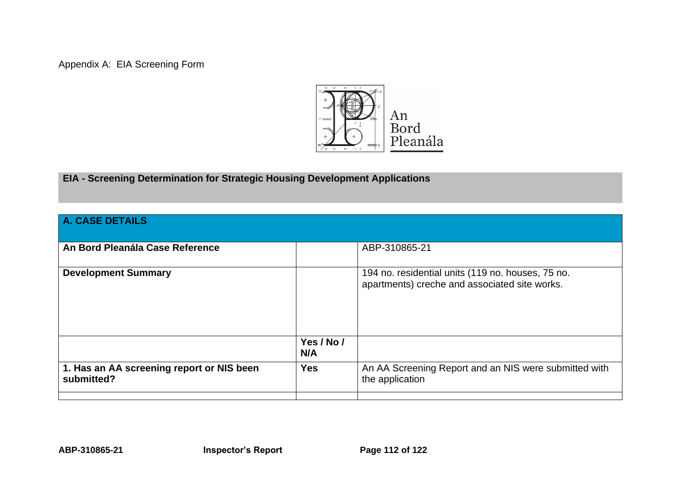Appendix A: EIA Screening Form



## **EIA - Screening Determination for Strategic Housing Development Applications**

| A. CASE DETAILS                                         |                   |                                                                                                    |
|---------------------------------------------------------|-------------------|----------------------------------------------------------------------------------------------------|
| An Bord Pleanála Case Reference                         |                   | ABP-310865-21                                                                                      |
| <b>Development Summary</b>                              |                   | 194 no. residential units (119 no. houses, 75 no.<br>apartments) creche and associated site works. |
|                                                         | Yes / No /<br>N/A |                                                                                                    |
| 1. Has an AA screening report or NIS been<br>submitted? | <b>Yes</b>        | An AA Screening Report and an NIS were submitted with<br>the application                           |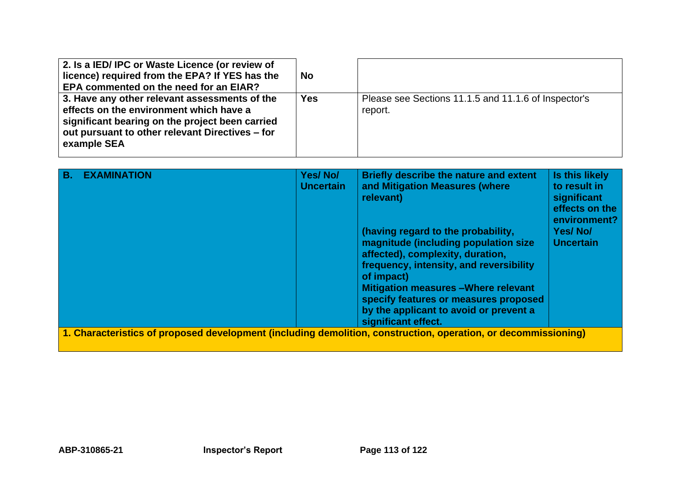| 2. Is a IED/IPC or Waste Licence (or review of<br>licence) required from the EPA? If YES has the<br><b>EPA commented on the need for an EIAR?</b>                                                             | <b>No</b>  |                                                                 |
|---------------------------------------------------------------------------------------------------------------------------------------------------------------------------------------------------------------|------------|-----------------------------------------------------------------|
| 3. Have any other relevant assessments of the<br>effects on the environment which have a<br>significant bearing on the project been carried<br>out pursuant to other relevant Directives – for<br>example SEA | <b>Yes</b> | Please see Sections 11.1.5 and 11.1.6 of Inspector's<br>report. |

| <b>B.</b> | <b>EXAMINATION</b>                                                                                             | Yes/No/<br><b>Uncertain</b> | Briefly describe the nature and extent<br>and Mitigation Measures (where<br>relevant)                                                                                                                                                                                                                                            | Is this likely<br>to result in<br>significant<br>effects on the<br>environment? |
|-----------|----------------------------------------------------------------------------------------------------------------|-----------------------------|----------------------------------------------------------------------------------------------------------------------------------------------------------------------------------------------------------------------------------------------------------------------------------------------------------------------------------|---------------------------------------------------------------------------------|
|           |                                                                                                                |                             | (having regard to the probability,<br>magnitude (including population size<br>affected), complexity, duration,<br>frequency, intensity, and reversibility<br>of impact)<br><b>Mitigation measures - Where relevant</b><br>specify features or measures proposed<br>by the applicant to avoid or prevent a<br>significant effect. | Yes/No/<br><b>Uncertain</b>                                                     |
|           | 1. Characteristics of proposed development (including demolition, construction, operation, or decommissioning) |                             |                                                                                                                                                                                                                                                                                                                                  |                                                                                 |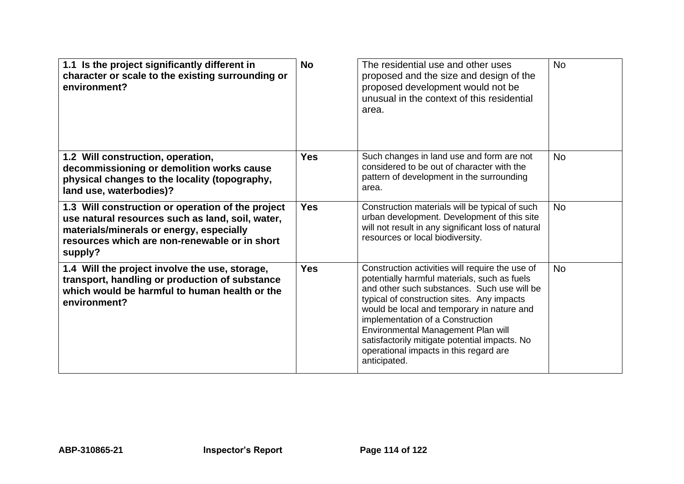| 1.1 Is the project significantly different in<br>character or scale to the existing surrounding or<br>environment?                                                                                            | <b>No</b>  | The residential use and other uses<br>proposed and the size and design of the<br>proposed development would not be<br>unusual in the context of this residential<br>area.                                                                                                                                                                                                                                                       | <b>No</b> |
|---------------------------------------------------------------------------------------------------------------------------------------------------------------------------------------------------------------|------------|---------------------------------------------------------------------------------------------------------------------------------------------------------------------------------------------------------------------------------------------------------------------------------------------------------------------------------------------------------------------------------------------------------------------------------|-----------|
| 1.2 Will construction, operation,<br>decommissioning or demolition works cause<br>physical changes to the locality (topography,<br>land use, waterbodies)?                                                    | <b>Yes</b> | Such changes in land use and form are not<br>considered to be out of character with the<br>pattern of development in the surrounding<br>area.                                                                                                                                                                                                                                                                                   | <b>No</b> |
| 1.3 Will construction or operation of the project<br>use natural resources such as land, soil, water,<br>materials/minerals or energy, especially<br>resources which are non-renewable or in short<br>supply? | <b>Yes</b> | Construction materials will be typical of such<br>urban development. Development of this site<br>will not result in any significant loss of natural<br>resources or local biodiversity.                                                                                                                                                                                                                                         | <b>No</b> |
| 1.4 Will the project involve the use, storage,<br>transport, handling or production of substance<br>which would be harmful to human health or the<br>environment?                                             | <b>Yes</b> | Construction activities will require the use of<br>potentially harmful materials, such as fuels<br>and other such substances. Such use will be<br>typical of construction sites. Any impacts<br>would be local and temporary in nature and<br>implementation of a Construction<br>Environmental Management Plan will<br>satisfactorily mitigate potential impacts. No<br>operational impacts in this regard are<br>anticipated. | <b>No</b> |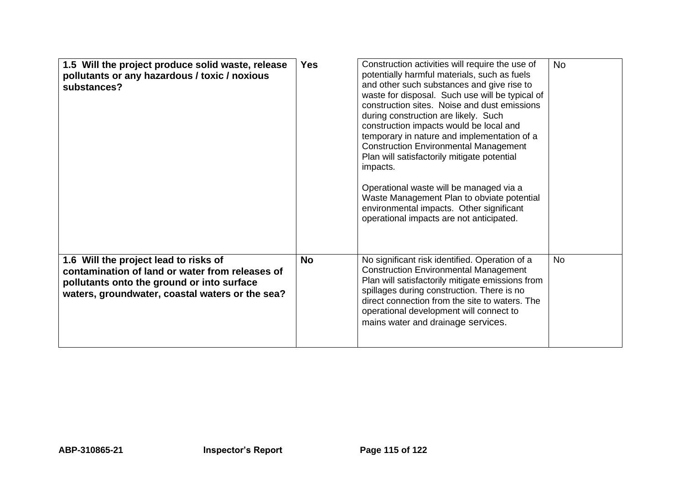| 1.5 Will the project produce solid waste, release<br>pollutants or any hazardous / toxic / noxious<br>substances?                                                                         | <b>Yes</b> | Construction activities will require the use of<br>potentially harmful materials, such as fuels<br>and other such substances and give rise to<br>waste for disposal. Such use will be typical of<br>construction sites. Noise and dust emissions<br>during construction are likely. Such<br>construction impacts would be local and<br>temporary in nature and implementation of a<br><b>Construction Environmental Management</b><br>Plan will satisfactorily mitigate potential<br>impacts.<br>Operational waste will be managed via a<br>Waste Management Plan to obviate potential<br>environmental impacts. Other significant<br>operational impacts are not anticipated. | <b>No</b> |
|-------------------------------------------------------------------------------------------------------------------------------------------------------------------------------------------|------------|--------------------------------------------------------------------------------------------------------------------------------------------------------------------------------------------------------------------------------------------------------------------------------------------------------------------------------------------------------------------------------------------------------------------------------------------------------------------------------------------------------------------------------------------------------------------------------------------------------------------------------------------------------------------------------|-----------|
| 1.6 Will the project lead to risks of<br>contamination of land or water from releases of<br>pollutants onto the ground or into surface<br>waters, groundwater, coastal waters or the sea? | <b>No</b>  | No significant risk identified. Operation of a<br><b>Construction Environmental Management</b><br>Plan will satisfactorily mitigate emissions from<br>spillages during construction. There is no<br>direct connection from the site to waters. The<br>operational development will connect to<br>mains water and drainage services.                                                                                                                                                                                                                                                                                                                                            | <b>No</b> |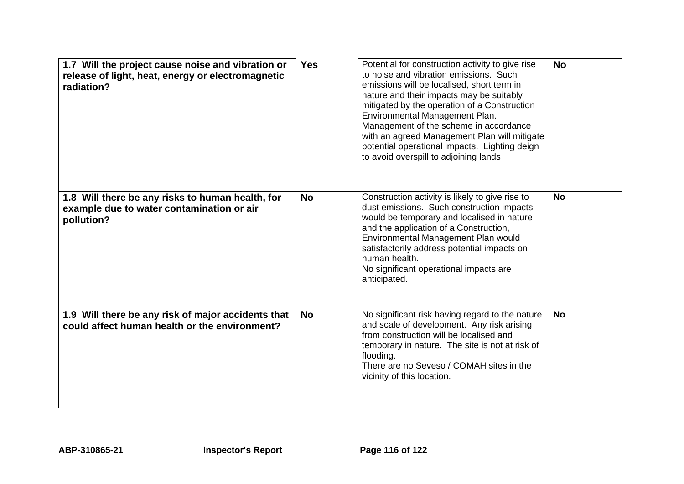| 1.7 Will the project cause noise and vibration or<br>release of light, heat, energy or electromagnetic<br>radiation? | <b>Yes</b> | Potential for construction activity to give rise<br>to noise and vibration emissions. Such<br>emissions will be localised, short term in<br>nature and their impacts may be suitably<br>mitigated by the operation of a Construction<br>Environmental Management Plan.<br>Management of the scheme in accordance<br>with an agreed Management Plan will mitigate<br>potential operational impacts. Lighting deign<br>to avoid overspill to adjoining lands | <b>No</b> |
|----------------------------------------------------------------------------------------------------------------------|------------|------------------------------------------------------------------------------------------------------------------------------------------------------------------------------------------------------------------------------------------------------------------------------------------------------------------------------------------------------------------------------------------------------------------------------------------------------------|-----------|
| 1.8 Will there be any risks to human health, for<br>example due to water contamination or air<br>pollution?          | <b>No</b>  | Construction activity is likely to give rise to<br>dust emissions. Such construction impacts<br>would be temporary and localised in nature<br>and the application of a Construction,<br>Environmental Management Plan would<br>satisfactorily address potential impacts on<br>human health.<br>No significant operational impacts are<br>anticipated.                                                                                                      | <b>No</b> |
| 1.9 Will there be any risk of major accidents that<br>could affect human health or the environment?                  | <b>No</b>  | No significant risk having regard to the nature<br>and scale of development. Any risk arising<br>from construction will be localised and<br>temporary in nature. The site is not at risk of<br>flooding.<br>There are no Seveso / COMAH sites in the<br>vicinity of this location.                                                                                                                                                                         | <b>No</b> |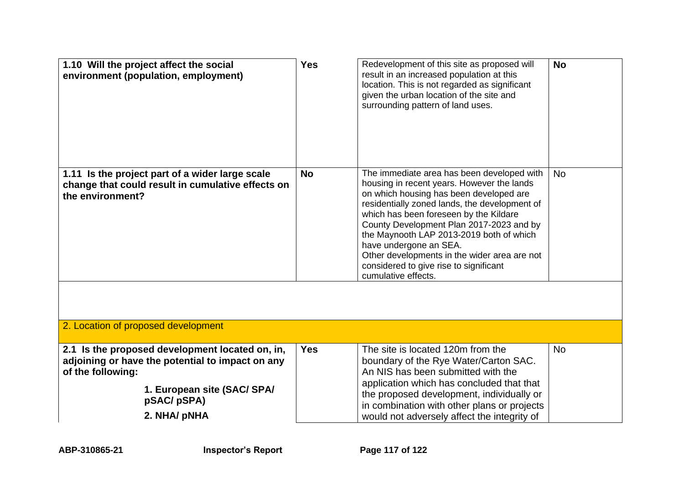| 1.10 Will the project affect the social<br>environment (population, employment)                                          | <b>Yes</b> | Redevelopment of this site as proposed will<br>result in an increased population at this<br>location. This is not regarded as significant<br>given the urban location of the site and<br>surrounding pattern of land uses.                                                                                                                                                                                                                                        | <b>No</b> |
|--------------------------------------------------------------------------------------------------------------------------|------------|-------------------------------------------------------------------------------------------------------------------------------------------------------------------------------------------------------------------------------------------------------------------------------------------------------------------------------------------------------------------------------------------------------------------------------------------------------------------|-----------|
| 1.11 Is the project part of a wider large scale<br>change that could result in cumulative effects on<br>the environment? | <b>No</b>  | The immediate area has been developed with<br>housing in recent years. However the lands<br>on which housing has been developed are<br>residentially zoned lands, the development of<br>which has been foreseen by the Kildare<br>County Development Plan 2017-2023 and by<br>the Maynooth LAP 2013-2019 both of which<br>have undergone an SEA.<br>Other developments in the wider area are not<br>considered to give rise to significant<br>cumulative effects. | <b>No</b> |
|                                                                                                                          |            |                                                                                                                                                                                                                                                                                                                                                                                                                                                                   |           |
| 2. Location of proposed development                                                                                      |            |                                                                                                                                                                                                                                                                                                                                                                                                                                                                   |           |
| 2.1 Is the proposed development located on, in,<br>adjoining or have the potential to impact on any<br>of the following: | <b>Yes</b> | The site is located 120m from the<br>boundary of the Rye Water/Carton SAC.<br>An NIS has been submitted with the<br>application which has concluded that that                                                                                                                                                                                                                                                                                                     | <b>No</b> |
| 1. European site (SAC/ SPA/<br>pSAC/pSPA)                                                                                |            | the proposed development, individually or<br>in combination with other plans or projects                                                                                                                                                                                                                                                                                                                                                                          |           |
| 2. NHA/ pNHA                                                                                                             |            | would not adversely affect the integrity of                                                                                                                                                                                                                                                                                                                                                                                                                       |           |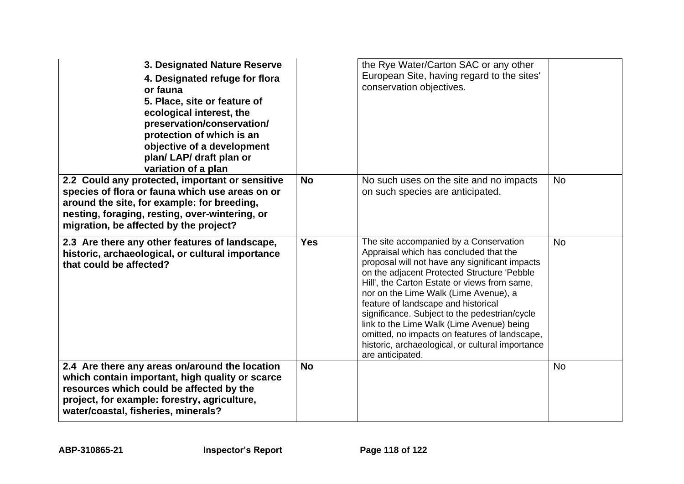| 3. Designated Nature Reserve<br>4. Designated refuge for flora<br>or fauna<br>5. Place, site or feature of<br>ecological interest, the<br>preservation/conservation/<br>protection of which is an<br>objective of a development<br>plan/ LAP/ draft plan or<br>variation of a plan |            | the Rye Water/Carton SAC or any other<br>European Site, having regard to the sites'<br>conservation objectives.                                                                                                                                                                                                                                                                                                                                                                                                                          |           |
|------------------------------------------------------------------------------------------------------------------------------------------------------------------------------------------------------------------------------------------------------------------------------------|------------|------------------------------------------------------------------------------------------------------------------------------------------------------------------------------------------------------------------------------------------------------------------------------------------------------------------------------------------------------------------------------------------------------------------------------------------------------------------------------------------------------------------------------------------|-----------|
| 2.2 Could any protected, important or sensitive<br>species of flora or fauna which use areas on or<br>around the site, for example: for breeding,<br>nesting, foraging, resting, over-wintering, or<br>migration, be affected by the project?                                      | <b>No</b>  | No such uses on the site and no impacts<br>on such species are anticipated.                                                                                                                                                                                                                                                                                                                                                                                                                                                              | <b>No</b> |
| 2.3 Are there any other features of landscape,<br>historic, archaeological, or cultural importance<br>that could be affected?                                                                                                                                                      | <b>Yes</b> | The site accompanied by a Conservation<br>Appraisal which has concluded that the<br>proposal will not have any significant impacts<br>on the adjacent Protected Structure 'Pebble<br>Hill', the Carton Estate or views from same,<br>nor on the Lime Walk (Lime Avenue), a<br>feature of landscape and historical<br>significance. Subject to the pedestrian/cycle<br>link to the Lime Walk (Lime Avenue) being<br>omitted, no impacts on features of landscape,<br>historic, archaeological, or cultural importance<br>are anticipated. | <b>No</b> |
| 2.4 Are there any areas on/around the location<br>which contain important, high quality or scarce<br>resources which could be affected by the<br>project, for example: forestry, agriculture,<br>water/coastal, fisheries, minerals?                                               | <b>No</b>  |                                                                                                                                                                                                                                                                                                                                                                                                                                                                                                                                          | <b>No</b> |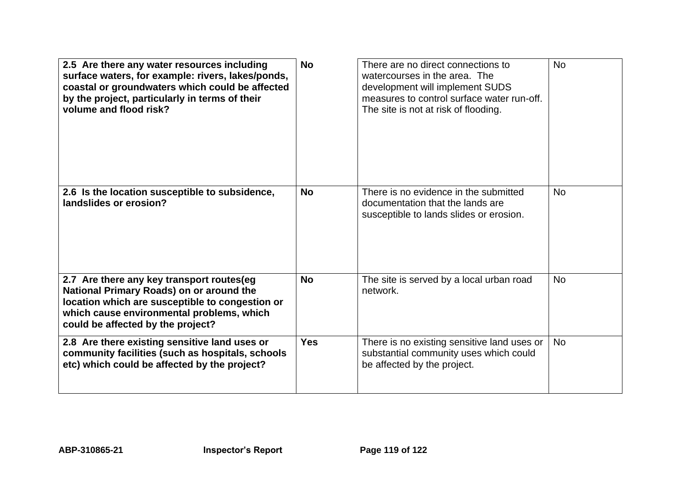| 2.5 Are there any water resources including<br>surface waters, for example: rivers, lakes/ponds,<br>coastal or groundwaters which could be affected<br>by the project, particularly in terms of their<br>volume and flood risk? | <b>No</b>  | There are no direct connections to<br>watercourses in the area. The<br>development will implement SUDS<br>measures to control surface water run-off.<br>The site is not at risk of flooding. | <b>No</b> |
|---------------------------------------------------------------------------------------------------------------------------------------------------------------------------------------------------------------------------------|------------|----------------------------------------------------------------------------------------------------------------------------------------------------------------------------------------------|-----------|
| 2.6 Is the location susceptible to subsidence,<br>landslides or erosion?                                                                                                                                                        | <b>No</b>  | There is no evidence in the submitted<br>documentation that the lands are<br>susceptible to lands slides or erosion.                                                                         | <b>No</b> |
| 2.7 Are there any key transport routes(eg<br>National Primary Roads) on or around the<br>location which are susceptible to congestion or<br>which cause environmental problems, which<br>could be affected by the project?      | <b>No</b>  | The site is served by a local urban road<br>network.                                                                                                                                         | <b>No</b> |
| 2.8 Are there existing sensitive land uses or<br>community facilities (such as hospitals, schools<br>etc) which could be affected by the project?                                                                               | <b>Yes</b> | There is no existing sensitive land uses or<br>substantial community uses which could<br>be affected by the project.                                                                         | <b>No</b> |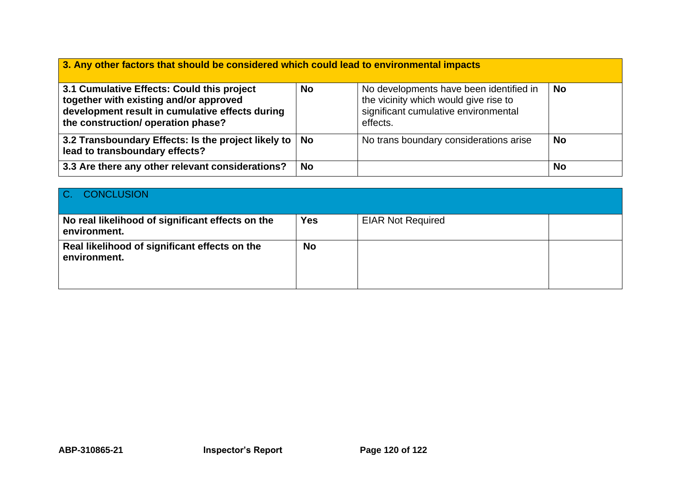| 3. Any other factors that should be considered which could lead to environmental impacts                                                                                      |           |                                                                                                                                      |           |  |
|-------------------------------------------------------------------------------------------------------------------------------------------------------------------------------|-----------|--------------------------------------------------------------------------------------------------------------------------------------|-----------|--|
| 3.1 Cumulative Effects: Could this project<br>together with existing and/or approved<br>development result in cumulative effects during<br>the construction/ operation phase? | <b>No</b> | No developments have been identified in<br>the vicinity which would give rise to<br>significant cumulative environmental<br>effects. | <b>No</b> |  |
| 3.2 Transboundary Effects: Is the project likely to   No<br>lead to transboundary effects?                                                                                    |           | No trans boundary considerations arise                                                                                               | <b>No</b> |  |
| 3.3 Are there any other relevant considerations?                                                                                                                              | <b>No</b> |                                                                                                                                      | <b>No</b> |  |

| $ C_{n} $<br><b>CONCLUSION</b>                                   |            |                          |  |
|------------------------------------------------------------------|------------|--------------------------|--|
| No real likelihood of significant effects on the<br>environment. | <b>Yes</b> | <b>EIAR Not Required</b> |  |
| Real likelihood of significant effects on the<br>environment.    | <b>No</b>  |                          |  |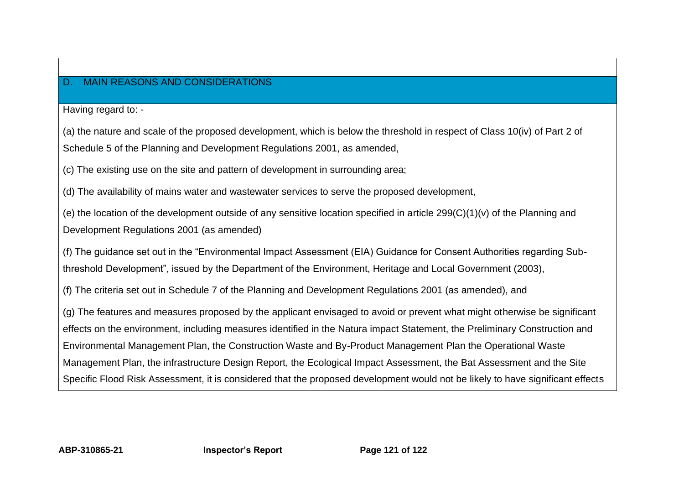## D. MAIN REASONS AND CONSIDERATIONS

Having regard to: -

(a) the nature and scale of the proposed development, which is below the threshold in respect of Class 10(iv) of Part 2 of Schedule 5 of the Planning and Development Regulations 2001, as amended,

(c) The existing use on the site and pattern of development in surrounding area;

(d) The availability of mains water and wastewater services to serve the proposed development,

(e) the location of the development outside of any sensitive location specified in article 299(C)(1)(v) of the Planning and Development Regulations 2001 (as amended)

(f) The guidance set out in the "Environmental Impact Assessment (EIA) Guidance for Consent Authorities regarding Subthreshold Development", issued by the Department of the Environment, Heritage and Local Government (2003),

(f) The criteria set out in Schedule 7 of the Planning and Development Regulations 2001 (as amended), and

(g) The features and measures proposed by the applicant envisaged to avoid or prevent what might otherwise be significant effects on the environment, including measures identified in the Natura impact Statement, the Preliminary Construction and Environmental Management Plan, the Construction Waste and By-Product Management Plan the Operational Waste Management Plan, the infrastructure Design Report, the Ecological Impact Assessment, the Bat Assessment and the Site Specific Flood Risk Assessment, it is considered that the proposed development would not be likely to have significant effects